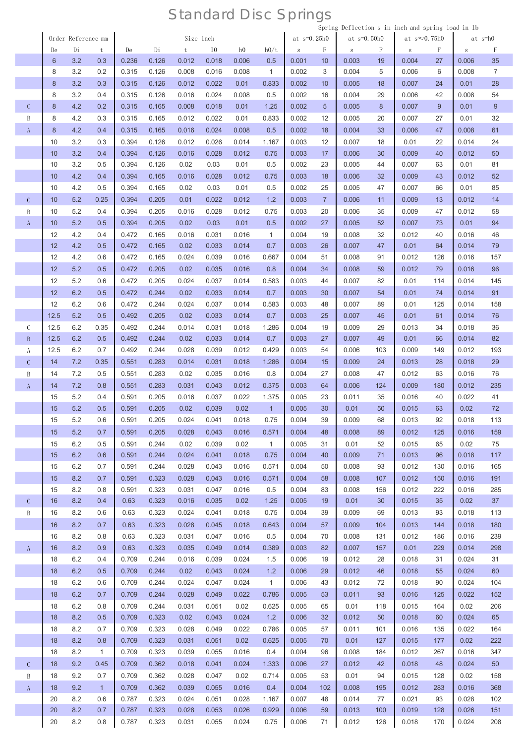|               |      |                    |              |       |       |           |                |                |              |               |                |               |     | Spring Deflection s in inch and spring load in 1b |     |       |                |
|---------------|------|--------------------|--------------|-------|-------|-----------|----------------|----------------|--------------|---------------|----------------|---------------|-----|---------------------------------------------------|-----|-------|----------------|
|               |      | Order Reference mm |              |       |       | Size inch |                |                |              | at $s=0.25h0$ |                | at $s=0.50h0$ |     | at $s \approx 0.75h0$                             |     |       | at s=h0        |
|               | De   | Di                 | t            | De    | Di    | t         | I <sub>0</sub> | h <sub>0</sub> | h0/t         | $\,$ S        | F              | $\,$ S        | F   | $\,$ S                                            | F   | S     | F              |
|               | 6    | 3.2                | 0.3          | 0.236 | 0.126 | 0.012     | 0.018          | 0.006          | 0.5          | 0.001         | 10             | 0.003         | 19  | 0.004                                             | 27  | 0.006 | 35             |
|               | 8    | 3.2                | 0.2          | 0.315 | 0.126 | 0.008     | 0.016          | 0.008          | $\mathbf{1}$ | 0.002         | 3              | 0.004         | 5   | 0.006                                             | 6   | 0.008 | $\overline{7}$ |
|               | 8    | 3.2                | 0.3          | 0.315 | 0.126 | 0.012     | 0.022          | 0.01           | 0.833        | 0.002         | 10             | 0.005         | 18  | 0.007                                             | 24  | 0.01  | 28             |
|               | 8    | 3.2                | 0.4          | 0.315 | 0.126 | 0.016     | 0.024          | 0.008          | 0.5          | 0.002         | 16             | 0.004         | 29  | 0.006                                             | 42  | 0.008 | 54             |
| $\mathcal{C}$ | 8    | 4.2                | 0.2          | 0.315 | 0.165 | 0.008     | 0.018          | 0.01           | 1.25         | 0.002         | 5              | 0.005         | 8   | 0.007                                             | 9   | 0.01  | $9\,$          |
| B             | 8    | 4.2                | 0.3          | 0.315 | 0.165 | 0.012     | 0.022          | 0.01           | 0.833        | 0.002         | 12             | 0.005         | 20  | 0.007                                             | 27  | 0.01  | 32             |
| $\rm A$       | 8    | 4.2                | 0.4          | 0.315 | 0.165 | 0.016     | 0.024          | 0.008          | 0.5          | 0.002         | 18             | 0.004         | 33  | 0.006                                             | 47  | 0.008 | 61             |
|               | 10   | 3.2                | 0.3          | 0.394 | 0.126 | 0.012     | 0.026          | 0.014          | 1.167        | 0.003         | 12             | 0.007         | 18  | 0.01                                              | 22  | 0.014 | 24             |
|               | 10   | 3.2                | 0.4          | 0.394 | 0.126 | 0.016     | 0.028          | 0.012          | 0.75         | 0.003         | 17             | 0.006         | 30  | 0.009                                             | 40  | 0.012 | 50             |
|               | 10   | 3.2                | 0.5          | 0.394 | 0.126 | 0.02      | 0.03           | 0.01           | 0.5          | 0.002         | 23             | 0.005         | 44  | 0.007                                             | 63  | 0.01  | 81             |
|               | 10   | 4.2                | 0.4          | 0.394 | 0.165 | 0.016     | 0.028          | 0.012          | 0.75         | 0.003         | 18             | 0.006         | 32  | 0.009                                             | 43  | 0.012 | 52             |
|               | 10   | 4.2                | 0.5          | 0.394 | 0.165 | 0.02      | 0.03           | 0.01           | 0.5          | 0.002         | 25             | 0.005         | 47  | 0.007                                             | 66  | 0.01  | 85             |
| $\mathcal{C}$ | 10   | 5.2                | 0.25         | 0.394 | 0.205 | 0.01      | 0.022          | 0.012          | 1.2          | 0.003         | $\overline{7}$ | 0.006         | 11  | 0.009                                             | 13  | 0.012 | 14             |
| B             | 10   | 5.2                | 0.4          | 0.394 | 0.205 | 0.016     | 0.028          | 0.012          | 0.75         | 0.003         | 20             | 0.006         | 35  | 0.009                                             | 47  | 0.012 | 58             |
| $\mathbf{A}$  | 10   | 5.2                | 0.5          | 0.394 | 0.205 | 0.02      | 0.03           | 0.01           | 0.5          | 0.002         | 27             | 0.005         | 52  | 0.007                                             | 73  | 0.01  | 94             |
|               | 12   | 4.2                | 0.4          | 0.472 | 0.165 | 0.016     | 0.031          | 0.016          | $\mathbf{1}$ | 0.004         | 19             | 0.008         | 32  | 0.012                                             | 40  | 0.016 | 46             |
|               | 12   | 4.2                | 0.5          | 0.472 | 0.165 | 0.02      | 0.033          | 0.014          | 0.7          | 0.003         | 26             | 0.007         | 47  | 0.01                                              | 64  | 0.014 | 79             |
|               | 12   | 4.2                | 0.6          | 0.472 | 0.165 | 0.024     | 0.039          | 0.016          | 0.667        | 0.004         | 51             | 0.008         | 91  | 0.012                                             | 126 | 0.016 | 157            |
|               | 12   | 5.2                | 0.5          | 0.472 | 0.205 | 0.02      | 0.035          | 0.016          | 0.8          | 0.004         | 34             | 0.008         | 59  | 0.012                                             | 79  | 0.016 | 96             |
|               | 12   | 5.2                | 0.6          | 0.472 | 0.205 | 0.024     | 0.037          | 0.014          | 0.583        | 0.003         | 44             | 0.007         | 82  | 0.01                                              | 114 | 0.014 | 145            |
|               |      |                    |              |       |       |           |                |                |              |               |                |               |     |                                                   |     |       |                |
|               | 12   | 6.2                | 0.5          | 0.472 | 0.244 | 0.02      | 0.033          | 0.014          | 0.7          | 0.003         | 30             | 0.007         | 54  | 0.01                                              | 74  | 0.014 | 91             |
|               | 12   | 6.2                | 0.6          | 0.472 | 0.244 | 0.024     | 0.037          | 0.014          | 0.583        | 0.003         | 48             | 0.007         | 89  | 0.01                                              | 125 | 0.014 | 158            |
|               | 12.5 | 5.2                | 0.5          | 0.492 | 0.205 | 0.02      | 0.033          | 0.014          | 0.7          | 0.003         | 25             | 0.007         | 45  | 0.01                                              | 61  | 0.014 | 76             |
| $\mathcal{C}$ | 12.5 | 6.2                | 0.35         | 0.492 | 0.244 | 0.014     | 0.031          | 0.018          | 1.286        | 0.004         | 19             | 0.009         | 29  | 0.013                                             | 34  | 0.018 | 36             |
| $\, {\bf B}$  | 12.5 | 6.2                | 0.5          | 0.492 | 0.244 | 0.02      | 0.033          | 0.014          | 0.7          | 0.003         | 27             | 0.007         | 49  | 0.01                                              | 66  | 0.014 | 82             |
| A             | 12.5 | 6.2                | 0.7          | 0.492 | 0.244 | 0.028     | 0.039          | 0.012          | 0.429        | 0.003         | 54             | 0.006         | 103 | 0.009                                             | 149 | 0.012 | 193            |
| $\mathcal{C}$ | 14   | 7.2                | 0.35         | 0.551 | 0.283 | 0.014     | 0.031          | 0.018          | 1.286        | 0.004         | 15             | 0.009         | 24  | 0.013                                             | 28  | 0.018 | 29             |
| $\, {\bf B}$  | 14   | 7.2                | 0.5          | 0.551 | 0.283 | 0.02      | 0.035          | 0.016          | 0.8          | 0.004         | 27             | 0.008         | 47  | 0.012                                             | 63  | 0.016 | 76             |
| A             | 14   | 7.2                | 0.8          | 0.551 | 0.283 | 0.031     | 0.043          | 0.012          | 0.375        | 0.003         | 64             | 0.006         | 124 | 0.009                                             | 180 | 0.012 | 235            |
|               | 15   | 5.2                | 0.4          | 0.591 | 0.205 | 0.016     | 0.037          | 0.022          | 1.375        | 0.005         | 23             | 0.011         | 35  | 0.016                                             | 40  | 0.022 | 41             |
|               | 15   | 5.2                | 0.5          | 0.591 | 0.205 | 0.02      | 0.039          | 0.02           | $\mathbf{1}$ | 0.005         | 30             | 0.01          | 50  | 0.015                                             | 63  | 0.02  | 72             |
|               | 15   | $5.2\,$            | 0.6          | 0.591 | 0.205 | 0.024     | 0.041          | 0.018          | 0.75         | 0.004         | 39             | 0.009         | 68  | 0.013                                             | 92  | 0.018 | 113            |
|               | 15   | 5.2                | 0.7          | 0.591 | 0.205 | 0.028     | 0.043          | 0.016          | 0.571        | 0.004         | 48             | 0.008         | 89  | 0.012                                             | 125 | 0.016 | 159            |
|               | 15   | 6.2                | 0.5          | 0.591 | 0.244 | 0.02      | 0.039          | 0.02           | $\mathbf{1}$ | 0.005         | 31             | 0.01          | 52  | 0.015                                             | 65  | 0.02  | 75             |
|               | 15   | 6.2                | 0.6          | 0.591 | 0.244 | 0.024     | 0.041          | 0.018          | 0.75         | 0.004         | 40             | 0.009         | 71  | 0.013                                             | 96  | 0.018 | 117            |
|               | 15   | 6.2                | 0.7          | 0.591 | 0.244 | 0.028     | 0.043          | 0.016          | 0.571        | 0.004         | 50             | 0.008         | 93  | 0.012                                             | 130 | 0.016 | 165            |
|               | 15   | 8.2                | 0.7          | 0.591 | 0.323 | 0.028     | 0.043          | 0.016          | 0.571        | 0.004         | 58             | 0.008         | 107 | 0.012                                             | 150 | 0.016 | 191            |
|               | 15   | 8.2                | 0.8          | 0.591 | 0.323 | 0.031     | 0.047          | 0.016          | 0.5          | 0.004         | 83             | 0.008         | 156 | 0.012                                             | 222 | 0.016 | 285            |
| $\mathsf{C}$  | 16   | 8.2                | 0.4          | 0.63  | 0.323 | 0.016     | 0.035          | 0.02           | 1.25         | 0.005         | 19             | 0.01          | 30  | 0.015                                             | 35  | 0.02  | 37             |
| B             | 16   | 8.2                | 0.6          | 0.63  | 0.323 | 0.024     | 0.041          | 0.018          | 0.75         | 0.004         | 39             | 0.009         | 69  | 0.013                                             | 93  | 0.018 | 113            |
|               | 16   | 8.2                | 0.7          | 0.63  | 0.323 | 0.028     | 0.045          | 0.018          | 0.643        | 0.004         | 57             | 0.009         | 104 | 0.013                                             | 144 | 0.018 | 180            |
|               | 16   | 8.2                | 0.8          | 0.63  | 0.323 | 0.031     | 0.047          | 0.016          | 0.5          | 0.004         | 70             | 0.008         | 131 | 0.012                                             | 186 | 0.016 | 239            |
| A             | 16   | 8.2                | 0.9          | 0.63  | 0.323 | 0.035     | 0.049          | 0.014          | 0.389        | 0.003         | 82             | 0.007         | 157 | 0.01                                              | 229 | 0.014 | 298            |
|               | 18   | 6.2                | 0.4          | 0.709 | 0.244 | 0.016     | 0.039          | 0.024          | 1.5          | 0.006         | 19             | 0.012         | 28  | 0.018                                             | 31  | 0.024 | 31             |
|               | 18   | 6.2                | 0.5          | 0.709 | 0.244 | 0.02      | 0.043          | 0.024          | 1.2          | 0.006         | 29             | 0.012         | 46  | 0.018                                             | 55  | 0.024 | 60             |
|               |      |                    |              |       |       |           |                |                |              |               |                |               |     |                                                   |     |       |                |
|               | 18   | 6.2                | 0.6          | 0.709 | 0.244 | 0.024     | 0.047          | 0.024          | $\mathbf{1}$ | 0.006         | 43             | 0.012         | 72  | 0.018                                             | 90  | 0.024 | 104            |
|               | 18   | 6.2                | 0.7          | 0.709 | 0.244 | 0.028     | 0.049          | 0.022          | 0.786        | 0.005         | 53             | 0.011         | 93  | 0.016                                             | 125 | 0.022 | 152            |
|               | 18   | 6.2                | 0.8          | 0.709 | 0.244 | 0.031     | 0.051          | 0.02           | 0.625        | 0.005         | 65             | 0.01          | 118 | 0.015                                             | 164 | 0.02  | 206            |
|               | 18   | 8.2                | 0.5          | 0.709 | 0.323 | 0.02      | 0.043          | 0.024          | 1.2          | 0.006         | 32             | 0.012         | 50  | 0.018                                             | 60  | 0.024 | 65             |
|               | 18   | 8.2                | 0.7          | 0.709 | 0.323 | 0.028     | 0.049          | 0.022          | 0.786        | 0.005         | 57             | 0.011         | 101 | 0.016                                             | 135 | 0.022 | 164            |
|               | 18   | 8.2                | 0.8          | 0.709 | 0.323 | 0.031     | 0.051          | 0.02           | 0.625        | 0.005         | 70             | 0.01          | 127 | 0.015                                             | 177 | 0.02  | 222            |
|               | 18   | 8.2                | $\mathbf{1}$ | 0.709 | 0.323 | 0.039     | 0.055          | 0.016          | 0.4          | 0.004         | 96             | 0.008         | 184 | 0.012                                             | 267 | 0.016 | 347            |
| $\mathsf{C}$  | 18   | 9.2                | 0.45         | 0.709 | 0.362 | 0.018     | 0.041          | 0.024          | 1.333        | 0.006         | 27             | 0.012         | 42  | 0.018                                             | 48  | 0.024 | 50             |
| B             | 18   | 9.2                | 0.7          | 0.709 | 0.362 | 0.028     | 0.047          | 0.02           | 0.714        | 0.005         | 53             | 0.01          | 94  | 0.015                                             | 128 | 0.02  | 158            |
| $\mathbf{A}$  | 18   | 9.2                | $\mathbf{1}$ | 0.709 | 0.362 | 0.039     | 0.055          | 0.016          | 0.4          | 0.004         | 102            | 0.008         | 195 | 0.012                                             | 283 | 0.016 | 368            |
|               | 20   | 8.2                | 0.6          | 0.787 | 0.323 | 0.024     | 0.051          | 0.028          | 1.167        | 0.007         | 48             | 0.014         | 77  | 0.021                                             | 93  | 0.028 | 102            |
|               | 20   | 8.2                | 0.7          | 0.787 | 0.323 | 0.028     | 0.053          | 0.026          | 0.929        | 0.006         | 59             | 0.013         | 100 | 0.019                                             | 128 | 0.026 | 151            |
|               | 20   | 8.2                | 0.8          | 0.787 | 0.323 | 0.031     | 0.055          | 0.024          | 0.75         | 0.006         | 71             | 0.012         | 126 | 0.018                                             | 170 | 0.024 | 208            |
|               |      |                    |              |       |       |           |                |                |              |               |                |               |     |                                                   |     |       |                |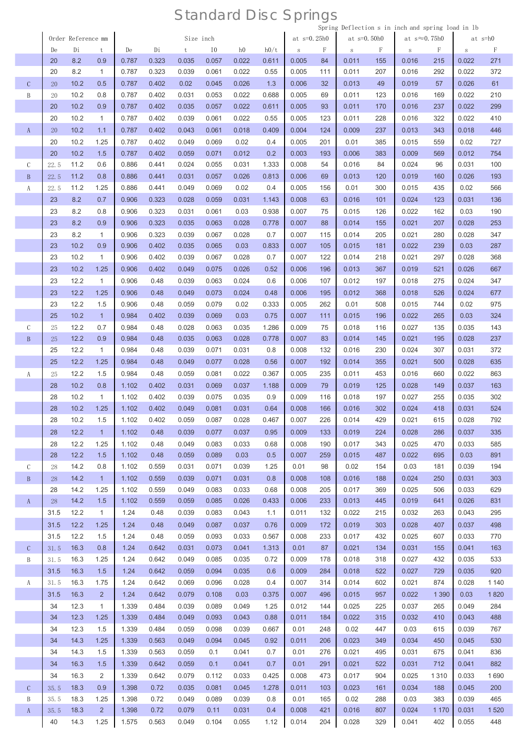| Size inch<br>at $s=0.25h0$<br>at $s=0.50h0$<br>at $s \approx 0.75h0$<br>at s=h0<br>Order Reference mm<br>I <sub>0</sub><br>h0/t<br>F<br>F<br>Di<br>h <sub>0</sub><br>F<br>F<br>De<br>Di<br>De<br>t<br>$\,$ S<br>$\,$ S<br>t<br>S<br>S<br>8.2<br>0.035<br>0.022<br>271<br>20<br>0.9<br>0.787<br>0.323<br>0.057<br>0.611<br>0.005<br>84<br>0.011<br>155<br>0.016<br>0.022<br>215<br>8.2<br>$\mathbf{1}$<br>0.039<br>0.061<br>0.022<br>0.005<br>0.011<br>207<br>20<br>0.787<br>0.323<br>0.55<br>111<br>0.016<br>292<br>0.022<br>372<br>$\mathcal{C}$<br>10.2<br>0.02<br>0.026<br>1.3<br>0.013<br>61<br>0.5<br>0.787<br>0.402<br>0.045<br>0.006<br>32<br>49<br>0.019<br>57<br>0.026<br>20<br>B<br>10.2<br>0.787<br>0.053<br>0.022<br>0.688<br>123<br>210<br>0.8<br>0.402<br>0.031<br>0.005<br>69<br>0.011<br>0.016<br>169<br>0.022<br>20<br>10.2<br>0.022<br>20<br>0.9<br>0.787<br>0.402<br>0.035<br>0.057<br>0.611<br>0.005<br>93<br>0.011<br>170<br>0.016<br>237<br>0.022<br>299<br>20<br>10.2<br>$\mathbf{1}$<br>0.039<br>0.061<br>0.022<br>0.55<br>123<br>0.011<br>228<br>0.787<br>0.402<br>0.005<br>0.016<br>322<br>0.022<br>410<br>10.2<br>$\rm A$<br>20<br>1.1<br>0.787<br>0.402<br>0.043<br>0.061<br>0.018<br>0.409<br>0.004<br>124<br>0.009<br>237<br>0.013<br>343<br>0.018<br>446<br>20<br>10.2<br>0.402<br>0.049<br>0.069<br>0.02<br>0.4<br>0.005<br>201<br>0.01<br>385<br>0.015<br>0.02<br>1.25<br>0.787<br>559<br>727<br>10.2<br>0.2<br>383<br>20<br>1.5<br>0.787<br>0.402<br>0.059<br>0.071<br>0.012<br>0.003<br>193<br>0.006<br>0.009<br>0.012<br>754<br>569<br>11.2<br>0.024<br>0.055<br>1.333<br>0.016<br>С<br>0.6<br>0.886<br>0.441<br>0.031<br>0.008<br>54<br>84<br>0.024<br>96<br>0.031<br>100<br>22.5<br>0.8<br>0.031<br>0.057<br>0.026<br>0.813<br>$\, {\bf B}$<br>11.2<br>0.886<br>0.441<br>0.006<br>69<br>0.013<br>120<br>0.019<br>160<br>0.026<br>193<br>22.5<br>0.049<br>0.069<br>0.02<br>300<br>11.2<br>0.886<br>0.441<br>0.4<br>0.005<br>156<br>0.01<br>0.015<br>435<br>0.02<br>566<br>A<br>22.5<br>1.25<br>23<br>8.2<br>0.028<br>101<br>0.7<br>0.906<br>0.323<br>0.059<br>0.031<br>1.143<br>0.008<br>63<br>0.016<br>0.024<br>0.031<br>136<br>123<br>8.2<br>0.03<br>0.938<br>126<br>23<br>0.8<br>0.906<br>0.323<br>0.031<br>0.061<br>0.007<br>75<br>0.015<br>0.022<br>162<br>0.03<br>190<br>8.2<br>23<br>0.9<br>0.906<br>0.323<br>0.035<br>0.063<br>0.028<br>0.778<br>0.007<br>88<br>0.014<br>155<br>0.021<br>207<br>0.028<br>253<br>23<br>8.2<br>$\mathbf{1}$<br>0.323<br>0.039<br>0.067<br>0.028<br>0.7<br>0.007<br>0.014<br>205<br>0.021<br>0.906<br>115<br>280<br>0.028<br>347<br>10.2<br>0.03<br>23<br>0.9<br>0.402<br>0.035<br>0.065<br>0.833<br>0.007<br>105<br>0.015<br>181<br>0.022<br>0.03<br>287<br>0.906<br>239<br>10.2<br>0.039<br>0.028<br>23<br>$\mathbf{1}$<br>0.906<br>0.402<br>0.067<br>0.7<br>0.007<br>122<br>0.014<br>218<br>0.021<br>297<br>0.028<br>368<br>23<br>10.2<br>0.049<br>0.026<br>367<br>1.25<br>0.906<br>0.402<br>0.075<br>0.52<br>0.006<br>196<br>0.013<br>0.019<br>521<br>0.026<br>667<br>12.2<br>$\mathbf{1}$<br>0.039<br>0.063<br>0.024<br>0.012<br>23<br>0.906<br>0.48<br>0.6<br>0.006<br>107<br>197<br>0.018<br>275<br>0.024<br>347<br>12.2<br>0.049<br>0.073<br>0.024<br>0.48<br>0.012<br>368<br>23<br>1.25<br>0.906<br>0.48<br>0.006<br>195<br>0.018<br>526<br>0.024<br>677<br>12.2<br>0.059<br>0.079<br>0.02<br>0.333<br>508<br>23<br>1.5<br>0.906<br>0.48<br>0.005<br>262<br>0.01<br>0.015<br>744<br>0.02<br>975<br>10.2<br>$\mathbf{1}$<br>0.039<br>0.03<br>324<br>25<br>0.984<br>0.402<br>0.069<br>0.75<br>0.007<br>111<br>0.015<br>196<br>0.022<br>265<br>0.03<br>$\mathcal{C}$<br>12.2<br>0.984<br>0.028<br>0.063<br>0.035<br>1.286<br>0.009<br>0.018<br>116<br>0.027<br>0.7<br>0.48<br>75<br>135<br>0.035<br>143<br>25<br>$\, {\bf B}$<br>12.2<br>0.9<br>0.984<br>0.48<br>0.035<br>0.063<br>0.028<br>0.778<br>0.007<br>83<br>0.014<br>145<br>0.021<br>0.028<br>237<br>25<br>195<br>25<br>12.2<br>$\mathbf{1}$<br>0.039<br>0.031<br>230<br>0.984<br>0.48<br>0.071<br>0.8<br>0.008<br>132<br>0.016<br>0.024<br>307<br>0.031<br>372<br>12.2<br>0.028<br>25<br>1.25<br>0.984<br>0.48<br>0.049<br>0.077<br>0.56<br>0.007<br>192<br>0.014<br>355<br>0.021<br>500<br>0.028<br>635<br>12.2<br>0.059<br>0.081<br>0.022<br>0.367<br>0.005<br>0.011<br>453<br>0.022<br>1.5<br>0.984<br>0.48<br>235<br>0.016<br>863<br>A<br>25<br>660<br>28<br>10.2<br>0.031<br>0.037<br>0.8<br>1.102<br>0.402<br>0.069<br>1.188<br>0.009<br>79<br>0.019<br>125<br>0.028<br>149<br>0.037<br>163<br>28<br>10.2<br>$\mathbf{1}$<br>1.102<br>0.402<br>0.039<br>0.075<br>0.035<br>0.9<br>0.009<br>0.018<br>197<br>0.027<br>0.035<br>302<br>116<br>255<br>28<br>10.2<br>1.25<br>1.102<br>0.081<br>0.031<br>0.64<br>302<br>0.024<br>0.402<br>0.049<br>0.008<br>166<br>0.016<br>418<br>0.031<br>524<br>28<br>10.2<br>1.5<br>1.102<br>0.402<br>0.059<br>0.087<br>0.028<br>0.467<br>0.007<br>226<br>0.014<br>429<br>0.021<br>615<br>0.028<br>792<br>0.028<br>335<br>28<br>12.2<br>$\mathbf{1}$<br>1.102<br>0.48<br>0.039<br>0.077<br>0.037<br>0.95<br>0.009<br>133<br>0.019<br>224<br>286<br>0.037<br>28<br>12.2<br>0.033<br>0.008<br>0.017<br>343<br>0.025<br>585<br>1.25<br>1.102<br>0.48<br>0.049<br>0.083<br>0.68<br>190<br>470<br>0.033<br>28<br>12.2<br>1.5<br>1.102<br>0.48<br>0.059<br>0.089<br>0.03<br>0.5<br>0.007<br>259<br>0.015<br>487<br>0.022<br>0.03<br>891<br>695<br>$\mathcal{C}$<br>14.2<br>0.02<br>0.8<br>1.102<br>0.559<br>0.031<br>0.071<br>0.039<br>1.25<br>0.01<br>98<br>154<br>0.03<br>181<br>0.039<br>194<br>28<br>0.031<br>14.2<br>1.102<br>0.559<br>0.039<br>0.071<br>0.8<br>0.008<br>108<br>0.016<br>188<br>0.024<br>250<br>0.031<br>303<br>$\mathbf{B}$<br>$\mathbf{1}$<br>28<br>28<br>14.2<br>1.102<br>0.559<br>0.049<br>0.083<br>0.033<br>0.68<br>0.008<br>205<br>0.017<br>369<br>0.025<br>0.033<br>629<br>1.25<br>506<br>$\mathbf{A}$<br>14.2<br>1.102<br>0.559<br>0.059<br>0.085<br>0.026<br>0.433<br>0.006<br>233<br>0.013<br>445<br>0.019<br>0.026<br>831<br>28<br>1.5<br>641<br>12.2<br>$\mathbf{1}$<br>0.011<br>0.022<br>0.032<br>295<br>31.5<br>1.24<br>0.48<br>0.039<br>0.083<br>0.043<br>1.1<br>132<br>215<br>263<br>0.043<br>12.2<br>31.5<br>1.25<br>1.24<br>0.48<br>0.049<br>0.087<br>0.037<br>0.76<br>0.009<br>172<br>0.019<br>303<br>0.028<br>407<br>0.037<br>498<br>12.2<br>0.059<br>0.033<br>0.567<br>0.008<br>233<br>0.017<br>432<br>0.025<br>31.5<br>1.5<br>1.24<br>0.48<br>0.093<br>607<br>0.033<br>770<br>0.021<br>$\mathcal{C}$<br>16.3<br>0.8<br>1.24<br>0.642<br>0.031<br>0.073<br>0.041<br>1.313<br>0.01<br>134<br>0.031<br>0.041<br>163<br>31.5<br>87<br>155<br>0.009<br>B<br>16.3<br>1.25<br>1.24<br>0.642<br>0.049<br>0.085<br>0.035<br>0.72<br>178<br>0.018<br>318<br>0.027<br>432<br>0.035<br>533<br>31.5<br>920<br>31.5<br>16.3<br>1.24<br>0.642<br>0.059<br>0.094<br>0.035<br>0.6<br>0.009<br>284<br>0.018<br>522<br>0.027<br>729<br>0.035<br>1.5<br>16.3<br>1.24<br>0.642<br>0.069<br>0.096<br>0.028<br>0.4<br>0.007<br>0.014<br>602<br>0.021<br>0.028<br>1 1 4 0<br>A<br>1.75<br>314<br>874<br>31.5<br>16.3<br>$\overline{2}$<br>1.24<br>0.642<br>0.079<br>0.108<br>0.03<br>0.375<br>0.007<br>0.015<br>957<br>0.022<br>1 3 9 0<br>1820<br>31.5<br>496<br>0.03<br>34<br>12.3<br>$\mathbf{1}$<br>1.339<br>0.484<br>0.039<br>0.089<br>0.049<br>1.25<br>0.012<br>144<br>0.025<br>225<br>0.037<br>0.049<br>284<br>265<br>12.3<br>34<br>1.339<br>0.484<br>0.049<br>0.093<br>0.043<br>0.88<br>0.011<br>184<br>0.022<br>315<br>0.032<br>0.043<br>488<br>1.25<br>410<br>12.3<br>0.039<br>0.667<br>0.01<br>0.02<br>447<br>0.03<br>767<br>34<br>1.5<br>1.339<br>0.484<br>0.059<br>0.098<br>248<br>615<br>0.039<br>34<br>14.3<br>1.25<br>1.339<br>0.563<br>0.049<br>0.094<br>0.045<br>0.92<br>0.011<br>206<br>0.023<br>349<br>0.034<br>450<br>0.045<br>530<br>34<br>14.3<br>1.5<br>1.339<br>0.563<br>0.059<br>0.041<br>0.7<br>0.01<br>276<br>0.021<br>495<br>0.031<br>0.041<br>836<br>0.1<br>675<br>0.021<br>882<br>34<br>16.3<br>1.5<br>1.339<br>0.642<br>0.059<br>0.1<br>0.041<br>0.7<br>0.01<br>291<br>522<br>0.031<br>0.041<br>712<br>34<br>16.3<br>2<br>0.033<br>0.008<br>0.017<br>904<br>0.025<br>0.033<br>1.339<br>0.642<br>0.079<br>0.112<br>0.425<br>473<br>1690<br>1 3 1 0<br>$\mathcal{C}$<br>18.3<br>0.9<br>1.398<br>0.72<br>0.035<br>0.081<br>0.045<br>1.278<br>0.011<br>103<br>0.023<br>161<br>0.034<br>188<br>0.045<br>200<br>35.5<br>B<br>18.3<br>1.398<br>0.049<br>0.089<br>0.039<br>0.01<br>0.02<br>288<br>0.03<br>0.039<br>465<br>1.25<br>0.72<br>0.8<br>165<br>383<br>35.5<br>$\mathbf{A}$<br>$2^{\circ}$<br>35.5<br>18.3<br>1.398<br>0.72<br>0.079<br>0.031<br>0.008<br>421<br>0.016<br>807<br>0.024<br>0.031<br>1520<br>0.11<br>0.4<br>1 170<br>204<br>329<br>402<br>40<br>14.3<br>1.25<br>1.575<br>0.563<br>0.049<br>0.104<br>0.055<br>1.12<br>0.014<br>0.028<br>0.041<br>0.055<br>448 |  |  |  |  |  |  |  | Spring Deflection s in inch and spring load in Ib |  |  |
|-----------------------------------------------------------------------------------------------------------------------------------------------------------------------------------------------------------------------------------------------------------------------------------------------------------------------------------------------------------------------------------------------------------------------------------------------------------------------------------------------------------------------------------------------------------------------------------------------------------------------------------------------------------------------------------------------------------------------------------------------------------------------------------------------------------------------------------------------------------------------------------------------------------------------------------------------------------------------------------------------------------------------------------------------------------------------------------------------------------------------------------------------------------------------------------------------------------------------------------------------------------------------------------------------------------------------------------------------------------------------------------------------------------------------------------------------------------------------------------------------------------------------------------------------------------------------------------------------------------------------------------------------------------------------------------------------------------------------------------------------------------------------------------------------------------------------------------------------------------------------------------------------------------------------------------------------------------------------------------------------------------------------------------------------------------------------------------------------------------------------------------------------------------------------------------------------------------------------------------------------------------------------------------------------------------------------------------------------------------------------------------------------------------------------------------------------------------------------------------------------------------------------------------------------------------------------------------------------------------------------------------------------------------------------------------------------------------------------------------------------------------------------------------------------------------------------------------------------------------------------------------------------------------------------------------------------------------------------------------------------------------------------------------------------------------------------------------------------------------------------------------------------------------------------------------------------------------------------------------------------------------------------------------------------------------------------------------------------------------------------------------------------------------------------------------------------------------------------------------------------------------------------------------------------------------------------------------------------------------------------------------------------------------------------------------------------------------------------------------------------------------------------------------------------------------------------------------------------------------------------------------------------------------------------------------------------------------------------------------------------------------------------------------------------------------------------------------------------------------------------------------------------------------------------------------------------------------------------------------------------------------------------------------------------------------------------------------------------------------------------------------------------------------------------------------------------------------------------------------------------------------------------------------------------------------------------------------------------------------------------------------------------------------------------------------------------------------------------------------------------------------------------------------------------------------------------------------------------------------------------------------------------------------------------------------------------------------------------------------------------------------------------------------------------------------------------------------------------------------------------------------------------------------------------------------------------------------------------------------------------------------------------------------------------------------------------------------------------------------------------------------------------------------------------------------------------------------------------------------------------------------------------------------------------------------------------------------------------------------------------------------------------------------------------------------------------------------------------------------------------------------------------------------------------------------------------------------------------------------------------------------------------------------------------------------------------------------------------------------------------------------------------------------------------------------------------------------------------------------------------------------------------------------------------------------------------------------------------------------------------------------------------------------------------------------------------------------------------------------------------------------------------------------------------------------------------------------------------------------------------------------------------------------------------------------------------------------------------------------------------------------------------------------------------------------------------------------------------------------------------------------------------------------------------------------------------------------------------------------------------------------------------------------------------------------------------------------------------------------------------------------------------------------------------------------------------------------------------------------------------------------------------------------------------------------------------------------------------------------------------------------------------------------------------------------------------------------------------------------------------------------------------------------------------------------------------------------------------------------------------------------------------------------------------------------------------------------------------------------------------------------------------------------------------------------------------------------------------------------------------------------------------------------------------------------------------------------------------------------------------------------------------------------------------------------------------------------------------------------------------------------------------------------------------------------------------------------------------------------------------------------------------------------------------------------------------------------------------------------------------------------------------------------------------------------------------------------------------------------------------------------------------------------------------------------------------------------------------------------------------------------------------------------------------------------------------------------------------------------------------------------------------------------------------------------------------------------------------------------------------------------------------------------------------------------------------------------------------------------------------------------------------------|--|--|--|--|--|--|--|---------------------------------------------------|--|--|
|                                                                                                                                                                                                                                                                                                                                                                                                                                                                                                                                                                                                                                                                                                                                                                                                                                                                                                                                                                                                                                                                                                                                                                                                                                                                                                                                                                                                                                                                                                                                                                                                                                                                                                                                                                                                                                                                                                                                                                                                                                                                                                                                                                                                                                                                                                                                                                                                                                                                                                                                                                                                                                                                                                                                                                                                                                                                                                                                                                                                                                                                                                                                                                                                                                                                                                                                                                                                                                                                                                                                                                                                                                                                                                                                                                                                                                                                                                                                                                                                                                                                                                                                                                                                                                                                                                                                                                                                                                                                                                                                                                                                                                                                                                                                                                                                                                                                                                                                                                                                                                                                                                                                                                                                                                                                                                                                                                                                                                                                                                                                                                                                                                                                                                                                                                                                                                                                                                                                                                                                                                                                                                                                                                                                                                                                                                                                                                                                                                                                                                                                                                                                                                                                                                                                                                                                                                                                                                                                                                                                                                                                                                                                                                                                                                                                                                                                                                                                                                                                                                                                                                                                                                                                                                                                                                                                                                                                                                                                                                                                                                                                                                                                                                                                                                                                                                                                                                                                                                                                                                                                                                                                                                                                                                                                                                                                                                                                                                     |  |  |  |  |  |  |  |                                                   |  |  |
|                                                                                                                                                                                                                                                                                                                                                                                                                                                                                                                                                                                                                                                                                                                                                                                                                                                                                                                                                                                                                                                                                                                                                                                                                                                                                                                                                                                                                                                                                                                                                                                                                                                                                                                                                                                                                                                                                                                                                                                                                                                                                                                                                                                                                                                                                                                                                                                                                                                                                                                                                                                                                                                                                                                                                                                                                                                                                                                                                                                                                                                                                                                                                                                                                                                                                                                                                                                                                                                                                                                                                                                                                                                                                                                                                                                                                                                                                                                                                                                                                                                                                                                                                                                                                                                                                                                                                                                                                                                                                                                                                                                                                                                                                                                                                                                                                                                                                                                                                                                                                                                                                                                                                                                                                                                                                                                                                                                                                                                                                                                                                                                                                                                                                                                                                                                                                                                                                                                                                                                                                                                                                                                                                                                                                                                                                                                                                                                                                                                                                                                                                                                                                                                                                                                                                                                                                                                                                                                                                                                                                                                                                                                                                                                                                                                                                                                                                                                                                                                                                                                                                                                                                                                                                                                                                                                                                                                                                                                                                                                                                                                                                                                                                                                                                                                                                                                                                                                                                                                                                                                                                                                                                                                                                                                                                                                                                                                                                                     |  |  |  |  |  |  |  |                                                   |  |  |
|                                                                                                                                                                                                                                                                                                                                                                                                                                                                                                                                                                                                                                                                                                                                                                                                                                                                                                                                                                                                                                                                                                                                                                                                                                                                                                                                                                                                                                                                                                                                                                                                                                                                                                                                                                                                                                                                                                                                                                                                                                                                                                                                                                                                                                                                                                                                                                                                                                                                                                                                                                                                                                                                                                                                                                                                                                                                                                                                                                                                                                                                                                                                                                                                                                                                                                                                                                                                                                                                                                                                                                                                                                                                                                                                                                                                                                                                                                                                                                                                                                                                                                                                                                                                                                                                                                                                                                                                                                                                                                                                                                                                                                                                                                                                                                                                                                                                                                                                                                                                                                                                                                                                                                                                                                                                                                                                                                                                                                                                                                                                                                                                                                                                                                                                                                                                                                                                                                                                                                                                                                                                                                                                                                                                                                                                                                                                                                                                                                                                                                                                                                                                                                                                                                                                                                                                                                                                                                                                                                                                                                                                                                                                                                                                                                                                                                                                                                                                                                                                                                                                                                                                                                                                                                                                                                                                                                                                                                                                                                                                                                                                                                                                                                                                                                                                                                                                                                                                                                                                                                                                                                                                                                                                                                                                                                                                                                                                                                     |  |  |  |  |  |  |  |                                                   |  |  |
|                                                                                                                                                                                                                                                                                                                                                                                                                                                                                                                                                                                                                                                                                                                                                                                                                                                                                                                                                                                                                                                                                                                                                                                                                                                                                                                                                                                                                                                                                                                                                                                                                                                                                                                                                                                                                                                                                                                                                                                                                                                                                                                                                                                                                                                                                                                                                                                                                                                                                                                                                                                                                                                                                                                                                                                                                                                                                                                                                                                                                                                                                                                                                                                                                                                                                                                                                                                                                                                                                                                                                                                                                                                                                                                                                                                                                                                                                                                                                                                                                                                                                                                                                                                                                                                                                                                                                                                                                                                                                                                                                                                                                                                                                                                                                                                                                                                                                                                                                                                                                                                                                                                                                                                                                                                                                                                                                                                                                                                                                                                                                                                                                                                                                                                                                                                                                                                                                                                                                                                                                                                                                                                                                                                                                                                                                                                                                                                                                                                                                                                                                                                                                                                                                                                                                                                                                                                                                                                                                                                                                                                                                                                                                                                                                                                                                                                                                                                                                                                                                                                                                                                                                                                                                                                                                                                                                                                                                                                                                                                                                                                                                                                                                                                                                                                                                                                                                                                                                                                                                                                                                                                                                                                                                                                                                                                                                                                                                                     |  |  |  |  |  |  |  |                                                   |  |  |
|                                                                                                                                                                                                                                                                                                                                                                                                                                                                                                                                                                                                                                                                                                                                                                                                                                                                                                                                                                                                                                                                                                                                                                                                                                                                                                                                                                                                                                                                                                                                                                                                                                                                                                                                                                                                                                                                                                                                                                                                                                                                                                                                                                                                                                                                                                                                                                                                                                                                                                                                                                                                                                                                                                                                                                                                                                                                                                                                                                                                                                                                                                                                                                                                                                                                                                                                                                                                                                                                                                                                                                                                                                                                                                                                                                                                                                                                                                                                                                                                                                                                                                                                                                                                                                                                                                                                                                                                                                                                                                                                                                                                                                                                                                                                                                                                                                                                                                                                                                                                                                                                                                                                                                                                                                                                                                                                                                                                                                                                                                                                                                                                                                                                                                                                                                                                                                                                                                                                                                                                                                                                                                                                                                                                                                                                                                                                                                                                                                                                                                                                                                                                                                                                                                                                                                                                                                                                                                                                                                                                                                                                                                                                                                                                                                                                                                                                                                                                                                                                                                                                                                                                                                                                                                                                                                                                                                                                                                                                                                                                                                                                                                                                                                                                                                                                                                                                                                                                                                                                                                                                                                                                                                                                                                                                                                                                                                                                                                     |  |  |  |  |  |  |  |                                                   |  |  |
|                                                                                                                                                                                                                                                                                                                                                                                                                                                                                                                                                                                                                                                                                                                                                                                                                                                                                                                                                                                                                                                                                                                                                                                                                                                                                                                                                                                                                                                                                                                                                                                                                                                                                                                                                                                                                                                                                                                                                                                                                                                                                                                                                                                                                                                                                                                                                                                                                                                                                                                                                                                                                                                                                                                                                                                                                                                                                                                                                                                                                                                                                                                                                                                                                                                                                                                                                                                                                                                                                                                                                                                                                                                                                                                                                                                                                                                                                                                                                                                                                                                                                                                                                                                                                                                                                                                                                                                                                                                                                                                                                                                                                                                                                                                                                                                                                                                                                                                                                                                                                                                                                                                                                                                                                                                                                                                                                                                                                                                                                                                                                                                                                                                                                                                                                                                                                                                                                                                                                                                                                                                                                                                                                                                                                                                                                                                                                                                                                                                                                                                                                                                                                                                                                                                                                                                                                                                                                                                                                                                                                                                                                                                                                                                                                                                                                                                                                                                                                                                                                                                                                                                                                                                                                                                                                                                                                                                                                                                                                                                                                                                                                                                                                                                                                                                                                                                                                                                                                                                                                                                                                                                                                                                                                                                                                                                                                                                                                                     |  |  |  |  |  |  |  |                                                   |  |  |
|                                                                                                                                                                                                                                                                                                                                                                                                                                                                                                                                                                                                                                                                                                                                                                                                                                                                                                                                                                                                                                                                                                                                                                                                                                                                                                                                                                                                                                                                                                                                                                                                                                                                                                                                                                                                                                                                                                                                                                                                                                                                                                                                                                                                                                                                                                                                                                                                                                                                                                                                                                                                                                                                                                                                                                                                                                                                                                                                                                                                                                                                                                                                                                                                                                                                                                                                                                                                                                                                                                                                                                                                                                                                                                                                                                                                                                                                                                                                                                                                                                                                                                                                                                                                                                                                                                                                                                                                                                                                                                                                                                                                                                                                                                                                                                                                                                                                                                                                                                                                                                                                                                                                                                                                                                                                                                                                                                                                                                                                                                                                                                                                                                                                                                                                                                                                                                                                                                                                                                                                                                                                                                                                                                                                                                                                                                                                                                                                                                                                                                                                                                                                                                                                                                                                                                                                                                                                                                                                                                                                                                                                                                                                                                                                                                                                                                                                                                                                                                                                                                                                                                                                                                                                                                                                                                                                                                                                                                                                                                                                                                                                                                                                                                                                                                                                                                                                                                                                                                                                                                                                                                                                                                                                                                                                                                                                                                                                                                     |  |  |  |  |  |  |  |                                                   |  |  |
|                                                                                                                                                                                                                                                                                                                                                                                                                                                                                                                                                                                                                                                                                                                                                                                                                                                                                                                                                                                                                                                                                                                                                                                                                                                                                                                                                                                                                                                                                                                                                                                                                                                                                                                                                                                                                                                                                                                                                                                                                                                                                                                                                                                                                                                                                                                                                                                                                                                                                                                                                                                                                                                                                                                                                                                                                                                                                                                                                                                                                                                                                                                                                                                                                                                                                                                                                                                                                                                                                                                                                                                                                                                                                                                                                                                                                                                                                                                                                                                                                                                                                                                                                                                                                                                                                                                                                                                                                                                                                                                                                                                                                                                                                                                                                                                                                                                                                                                                                                                                                                                                                                                                                                                                                                                                                                                                                                                                                                                                                                                                                                                                                                                                                                                                                                                                                                                                                                                                                                                                                                                                                                                                                                                                                                                                                                                                                                                                                                                                                                                                                                                                                                                                                                                                                                                                                                                                                                                                                                                                                                                                                                                                                                                                                                                                                                                                                                                                                                                                                                                                                                                                                                                                                                                                                                                                                                                                                                                                                                                                                                                                                                                                                                                                                                                                                                                                                                                                                                                                                                                                                                                                                                                                                                                                                                                                                                                                                                     |  |  |  |  |  |  |  |                                                   |  |  |
|                                                                                                                                                                                                                                                                                                                                                                                                                                                                                                                                                                                                                                                                                                                                                                                                                                                                                                                                                                                                                                                                                                                                                                                                                                                                                                                                                                                                                                                                                                                                                                                                                                                                                                                                                                                                                                                                                                                                                                                                                                                                                                                                                                                                                                                                                                                                                                                                                                                                                                                                                                                                                                                                                                                                                                                                                                                                                                                                                                                                                                                                                                                                                                                                                                                                                                                                                                                                                                                                                                                                                                                                                                                                                                                                                                                                                                                                                                                                                                                                                                                                                                                                                                                                                                                                                                                                                                                                                                                                                                                                                                                                                                                                                                                                                                                                                                                                                                                                                                                                                                                                                                                                                                                                                                                                                                                                                                                                                                                                                                                                                                                                                                                                                                                                                                                                                                                                                                                                                                                                                                                                                                                                                                                                                                                                                                                                                                                                                                                                                                                                                                                                                                                                                                                                                                                                                                                                                                                                                                                                                                                                                                                                                                                                                                                                                                                                                                                                                                                                                                                                                                                                                                                                                                                                                                                                                                                                                                                                                                                                                                                                                                                                                                                                                                                                                                                                                                                                                                                                                                                                                                                                                                                                                                                                                                                                                                                                                                     |  |  |  |  |  |  |  |                                                   |  |  |
|                                                                                                                                                                                                                                                                                                                                                                                                                                                                                                                                                                                                                                                                                                                                                                                                                                                                                                                                                                                                                                                                                                                                                                                                                                                                                                                                                                                                                                                                                                                                                                                                                                                                                                                                                                                                                                                                                                                                                                                                                                                                                                                                                                                                                                                                                                                                                                                                                                                                                                                                                                                                                                                                                                                                                                                                                                                                                                                                                                                                                                                                                                                                                                                                                                                                                                                                                                                                                                                                                                                                                                                                                                                                                                                                                                                                                                                                                                                                                                                                                                                                                                                                                                                                                                                                                                                                                                                                                                                                                                                                                                                                                                                                                                                                                                                                                                                                                                                                                                                                                                                                                                                                                                                                                                                                                                                                                                                                                                                                                                                                                                                                                                                                                                                                                                                                                                                                                                                                                                                                                                                                                                                                                                                                                                                                                                                                                                                                                                                                                                                                                                                                                                                                                                                                                                                                                                                                                                                                                                                                                                                                                                                                                                                                                                                                                                                                                                                                                                                                                                                                                                                                                                                                                                                                                                                                                                                                                                                                                                                                                                                                                                                                                                                                                                                                                                                                                                                                                                                                                                                                                                                                                                                                                                                                                                                                                                                                                                     |  |  |  |  |  |  |  |                                                   |  |  |
|                                                                                                                                                                                                                                                                                                                                                                                                                                                                                                                                                                                                                                                                                                                                                                                                                                                                                                                                                                                                                                                                                                                                                                                                                                                                                                                                                                                                                                                                                                                                                                                                                                                                                                                                                                                                                                                                                                                                                                                                                                                                                                                                                                                                                                                                                                                                                                                                                                                                                                                                                                                                                                                                                                                                                                                                                                                                                                                                                                                                                                                                                                                                                                                                                                                                                                                                                                                                                                                                                                                                                                                                                                                                                                                                                                                                                                                                                                                                                                                                                                                                                                                                                                                                                                                                                                                                                                                                                                                                                                                                                                                                                                                                                                                                                                                                                                                                                                                                                                                                                                                                                                                                                                                                                                                                                                                                                                                                                                                                                                                                                                                                                                                                                                                                                                                                                                                                                                                                                                                                                                                                                                                                                                                                                                                                                                                                                                                                                                                                                                                                                                                                                                                                                                                                                                                                                                                                                                                                                                                                                                                                                                                                                                                                                                                                                                                                                                                                                                                                                                                                                                                                                                                                                                                                                                                                                                                                                                                                                                                                                                                                                                                                                                                                                                                                                                                                                                                                                                                                                                                                                                                                                                                                                                                                                                                                                                                                                                     |  |  |  |  |  |  |  |                                                   |  |  |
|                                                                                                                                                                                                                                                                                                                                                                                                                                                                                                                                                                                                                                                                                                                                                                                                                                                                                                                                                                                                                                                                                                                                                                                                                                                                                                                                                                                                                                                                                                                                                                                                                                                                                                                                                                                                                                                                                                                                                                                                                                                                                                                                                                                                                                                                                                                                                                                                                                                                                                                                                                                                                                                                                                                                                                                                                                                                                                                                                                                                                                                                                                                                                                                                                                                                                                                                                                                                                                                                                                                                                                                                                                                                                                                                                                                                                                                                                                                                                                                                                                                                                                                                                                                                                                                                                                                                                                                                                                                                                                                                                                                                                                                                                                                                                                                                                                                                                                                                                                                                                                                                                                                                                                                                                                                                                                                                                                                                                                                                                                                                                                                                                                                                                                                                                                                                                                                                                                                                                                                                                                                                                                                                                                                                                                                                                                                                                                                                                                                                                                                                                                                                                                                                                                                                                                                                                                                                                                                                                                                                                                                                                                                                                                                                                                                                                                                                                                                                                                                                                                                                                                                                                                                                                                                                                                                                                                                                                                                                                                                                                                                                                                                                                                                                                                                                                                                                                                                                                                                                                                                                                                                                                                                                                                                                                                                                                                                                                                     |  |  |  |  |  |  |  |                                                   |  |  |
|                                                                                                                                                                                                                                                                                                                                                                                                                                                                                                                                                                                                                                                                                                                                                                                                                                                                                                                                                                                                                                                                                                                                                                                                                                                                                                                                                                                                                                                                                                                                                                                                                                                                                                                                                                                                                                                                                                                                                                                                                                                                                                                                                                                                                                                                                                                                                                                                                                                                                                                                                                                                                                                                                                                                                                                                                                                                                                                                                                                                                                                                                                                                                                                                                                                                                                                                                                                                                                                                                                                                                                                                                                                                                                                                                                                                                                                                                                                                                                                                                                                                                                                                                                                                                                                                                                                                                                                                                                                                                                                                                                                                                                                                                                                                                                                                                                                                                                                                                                                                                                                                                                                                                                                                                                                                                                                                                                                                                                                                                                                                                                                                                                                                                                                                                                                                                                                                                                                                                                                                                                                                                                                                                                                                                                                                                                                                                                                                                                                                                                                                                                                                                                                                                                                                                                                                                                                                                                                                                                                                                                                                                                                                                                                                                                                                                                                                                                                                                                                                                                                                                                                                                                                                                                                                                                                                                                                                                                                                                                                                                                                                                                                                                                                                                                                                                                                                                                                                                                                                                                                                                                                                                                                                                                                                                                                                                                                                                                     |  |  |  |  |  |  |  |                                                   |  |  |
|                                                                                                                                                                                                                                                                                                                                                                                                                                                                                                                                                                                                                                                                                                                                                                                                                                                                                                                                                                                                                                                                                                                                                                                                                                                                                                                                                                                                                                                                                                                                                                                                                                                                                                                                                                                                                                                                                                                                                                                                                                                                                                                                                                                                                                                                                                                                                                                                                                                                                                                                                                                                                                                                                                                                                                                                                                                                                                                                                                                                                                                                                                                                                                                                                                                                                                                                                                                                                                                                                                                                                                                                                                                                                                                                                                                                                                                                                                                                                                                                                                                                                                                                                                                                                                                                                                                                                                                                                                                                                                                                                                                                                                                                                                                                                                                                                                                                                                                                                                                                                                                                                                                                                                                                                                                                                                                                                                                                                                                                                                                                                                                                                                                                                                                                                                                                                                                                                                                                                                                                                                                                                                                                                                                                                                                                                                                                                                                                                                                                                                                                                                                                                                                                                                                                                                                                                                                                                                                                                                                                                                                                                                                                                                                                                                                                                                                                                                                                                                                                                                                                                                                                                                                                                                                                                                                                                                                                                                                                                                                                                                                                                                                                                                                                                                                                                                                                                                                                                                                                                                                                                                                                                                                                                                                                                                                                                                                                                                     |  |  |  |  |  |  |  |                                                   |  |  |
|                                                                                                                                                                                                                                                                                                                                                                                                                                                                                                                                                                                                                                                                                                                                                                                                                                                                                                                                                                                                                                                                                                                                                                                                                                                                                                                                                                                                                                                                                                                                                                                                                                                                                                                                                                                                                                                                                                                                                                                                                                                                                                                                                                                                                                                                                                                                                                                                                                                                                                                                                                                                                                                                                                                                                                                                                                                                                                                                                                                                                                                                                                                                                                                                                                                                                                                                                                                                                                                                                                                                                                                                                                                                                                                                                                                                                                                                                                                                                                                                                                                                                                                                                                                                                                                                                                                                                                                                                                                                                                                                                                                                                                                                                                                                                                                                                                                                                                                                                                                                                                                                                                                                                                                                                                                                                                                                                                                                                                                                                                                                                                                                                                                                                                                                                                                                                                                                                                                                                                                                                                                                                                                                                                                                                                                                                                                                                                                                                                                                                                                                                                                                                                                                                                                                                                                                                                                                                                                                                                                                                                                                                                                                                                                                                                                                                                                                                                                                                                                                                                                                                                                                                                                                                                                                                                                                                                                                                                                                                                                                                                                                                                                                                                                                                                                                                                                                                                                                                                                                                                                                                                                                                                                                                                                                                                                                                                                                                                     |  |  |  |  |  |  |  |                                                   |  |  |
|                                                                                                                                                                                                                                                                                                                                                                                                                                                                                                                                                                                                                                                                                                                                                                                                                                                                                                                                                                                                                                                                                                                                                                                                                                                                                                                                                                                                                                                                                                                                                                                                                                                                                                                                                                                                                                                                                                                                                                                                                                                                                                                                                                                                                                                                                                                                                                                                                                                                                                                                                                                                                                                                                                                                                                                                                                                                                                                                                                                                                                                                                                                                                                                                                                                                                                                                                                                                                                                                                                                                                                                                                                                                                                                                                                                                                                                                                                                                                                                                                                                                                                                                                                                                                                                                                                                                                                                                                                                                                                                                                                                                                                                                                                                                                                                                                                                                                                                                                                                                                                                                                                                                                                                                                                                                                                                                                                                                                                                                                                                                                                                                                                                                                                                                                                                                                                                                                                                                                                                                                                                                                                                                                                                                                                                                                                                                                                                                                                                                                                                                                                                                                                                                                                                                                                                                                                                                                                                                                                                                                                                                                                                                                                                                                                                                                                                                                                                                                                                                                                                                                                                                                                                                                                                                                                                                                                                                                                                                                                                                                                                                                                                                                                                                                                                                                                                                                                                                                                                                                                                                                                                                                                                                                                                                                                                                                                                                                                     |  |  |  |  |  |  |  |                                                   |  |  |
|                                                                                                                                                                                                                                                                                                                                                                                                                                                                                                                                                                                                                                                                                                                                                                                                                                                                                                                                                                                                                                                                                                                                                                                                                                                                                                                                                                                                                                                                                                                                                                                                                                                                                                                                                                                                                                                                                                                                                                                                                                                                                                                                                                                                                                                                                                                                                                                                                                                                                                                                                                                                                                                                                                                                                                                                                                                                                                                                                                                                                                                                                                                                                                                                                                                                                                                                                                                                                                                                                                                                                                                                                                                                                                                                                                                                                                                                                                                                                                                                                                                                                                                                                                                                                                                                                                                                                                                                                                                                                                                                                                                                                                                                                                                                                                                                                                                                                                                                                                                                                                                                                                                                                                                                                                                                                                                                                                                                                                                                                                                                                                                                                                                                                                                                                                                                                                                                                                                                                                                                                                                                                                                                                                                                                                                                                                                                                                                                                                                                                                                                                                                                                                                                                                                                                                                                                                                                                                                                                                                                                                                                                                                                                                                                                                                                                                                                                                                                                                                                                                                                                                                                                                                                                                                                                                                                                                                                                                                                                                                                                                                                                                                                                                                                                                                                                                                                                                                                                                                                                                                                                                                                                                                                                                                                                                                                                                                                                                     |  |  |  |  |  |  |  |                                                   |  |  |
|                                                                                                                                                                                                                                                                                                                                                                                                                                                                                                                                                                                                                                                                                                                                                                                                                                                                                                                                                                                                                                                                                                                                                                                                                                                                                                                                                                                                                                                                                                                                                                                                                                                                                                                                                                                                                                                                                                                                                                                                                                                                                                                                                                                                                                                                                                                                                                                                                                                                                                                                                                                                                                                                                                                                                                                                                                                                                                                                                                                                                                                                                                                                                                                                                                                                                                                                                                                                                                                                                                                                                                                                                                                                                                                                                                                                                                                                                                                                                                                                                                                                                                                                                                                                                                                                                                                                                                                                                                                                                                                                                                                                                                                                                                                                                                                                                                                                                                                                                                                                                                                                                                                                                                                                                                                                                                                                                                                                                                                                                                                                                                                                                                                                                                                                                                                                                                                                                                                                                                                                                                                                                                                                                                                                                                                                                                                                                                                                                                                                                                                                                                                                                                                                                                                                                                                                                                                                                                                                                                                                                                                                                                                                                                                                                                                                                                                                                                                                                                                                                                                                                                                                                                                                                                                                                                                                                                                                                                                                                                                                                                                                                                                                                                                                                                                                                                                                                                                                                                                                                                                                                                                                                                                                                                                                                                                                                                                                                                     |  |  |  |  |  |  |  |                                                   |  |  |
|                                                                                                                                                                                                                                                                                                                                                                                                                                                                                                                                                                                                                                                                                                                                                                                                                                                                                                                                                                                                                                                                                                                                                                                                                                                                                                                                                                                                                                                                                                                                                                                                                                                                                                                                                                                                                                                                                                                                                                                                                                                                                                                                                                                                                                                                                                                                                                                                                                                                                                                                                                                                                                                                                                                                                                                                                                                                                                                                                                                                                                                                                                                                                                                                                                                                                                                                                                                                                                                                                                                                                                                                                                                                                                                                                                                                                                                                                                                                                                                                                                                                                                                                                                                                                                                                                                                                                                                                                                                                                                                                                                                                                                                                                                                                                                                                                                                                                                                                                                                                                                                                                                                                                                                                                                                                                                                                                                                                                                                                                                                                                                                                                                                                                                                                                                                                                                                                                                                                                                                                                                                                                                                                                                                                                                                                                                                                                                                                                                                                                                                                                                                                                                                                                                                                                                                                                                                                                                                                                                                                                                                                                                                                                                                                                                                                                                                                                                                                                                                                                                                                                                                                                                                                                                                                                                                                                                                                                                                                                                                                                                                                                                                                                                                                                                                                                                                                                                                                                                                                                                                                                                                                                                                                                                                                                                                                                                                                                                     |  |  |  |  |  |  |  |                                                   |  |  |
|                                                                                                                                                                                                                                                                                                                                                                                                                                                                                                                                                                                                                                                                                                                                                                                                                                                                                                                                                                                                                                                                                                                                                                                                                                                                                                                                                                                                                                                                                                                                                                                                                                                                                                                                                                                                                                                                                                                                                                                                                                                                                                                                                                                                                                                                                                                                                                                                                                                                                                                                                                                                                                                                                                                                                                                                                                                                                                                                                                                                                                                                                                                                                                                                                                                                                                                                                                                                                                                                                                                                                                                                                                                                                                                                                                                                                                                                                                                                                                                                                                                                                                                                                                                                                                                                                                                                                                                                                                                                                                                                                                                                                                                                                                                                                                                                                                                                                                                                                                                                                                                                                                                                                                                                                                                                                                                                                                                                                                                                                                                                                                                                                                                                                                                                                                                                                                                                                                                                                                                                                                                                                                                                                                                                                                                                                                                                                                                                                                                                                                                                                                                                                                                                                                                                                                                                                                                                                                                                                                                                                                                                                                                                                                                                                                                                                                                                                                                                                                                                                                                                                                                                                                                                                                                                                                                                                                                                                                                                                                                                                                                                                                                                                                                                                                                                                                                                                                                                                                                                                                                                                                                                                                                                                                                                                                                                                                                                                                     |  |  |  |  |  |  |  |                                                   |  |  |
|                                                                                                                                                                                                                                                                                                                                                                                                                                                                                                                                                                                                                                                                                                                                                                                                                                                                                                                                                                                                                                                                                                                                                                                                                                                                                                                                                                                                                                                                                                                                                                                                                                                                                                                                                                                                                                                                                                                                                                                                                                                                                                                                                                                                                                                                                                                                                                                                                                                                                                                                                                                                                                                                                                                                                                                                                                                                                                                                                                                                                                                                                                                                                                                                                                                                                                                                                                                                                                                                                                                                                                                                                                                                                                                                                                                                                                                                                                                                                                                                                                                                                                                                                                                                                                                                                                                                                                                                                                                                                                                                                                                                                                                                                                                                                                                                                                                                                                                                                                                                                                                                                                                                                                                                                                                                                                                                                                                                                                                                                                                                                                                                                                                                                                                                                                                                                                                                                                                                                                                                                                                                                                                                                                                                                                                                                                                                                                                                                                                                                                                                                                                                                                                                                                                                                                                                                                                                                                                                                                                                                                                                                                                                                                                                                                                                                                                                                                                                                                                                                                                                                                                                                                                                                                                                                                                                                                                                                                                                                                                                                                                                                                                                                                                                                                                                                                                                                                                                                                                                                                                                                                                                                                                                                                                                                                                                                                                                                                     |  |  |  |  |  |  |  |                                                   |  |  |
|                                                                                                                                                                                                                                                                                                                                                                                                                                                                                                                                                                                                                                                                                                                                                                                                                                                                                                                                                                                                                                                                                                                                                                                                                                                                                                                                                                                                                                                                                                                                                                                                                                                                                                                                                                                                                                                                                                                                                                                                                                                                                                                                                                                                                                                                                                                                                                                                                                                                                                                                                                                                                                                                                                                                                                                                                                                                                                                                                                                                                                                                                                                                                                                                                                                                                                                                                                                                                                                                                                                                                                                                                                                                                                                                                                                                                                                                                                                                                                                                                                                                                                                                                                                                                                                                                                                                                                                                                                                                                                                                                                                                                                                                                                                                                                                                                                                                                                                                                                                                                                                                                                                                                                                                                                                                                                                                                                                                                                                                                                                                                                                                                                                                                                                                                                                                                                                                                                                                                                                                                                                                                                                                                                                                                                                                                                                                                                                                                                                                                                                                                                                                                                                                                                                                                                                                                                                                                                                                                                                                                                                                                                                                                                                                                                                                                                                                                                                                                                                                                                                                                                                                                                                                                                                                                                                                                                                                                                                                                                                                                                                                                                                                                                                                                                                                                                                                                                                                                                                                                                                                                                                                                                                                                                                                                                                                                                                                                                     |  |  |  |  |  |  |  |                                                   |  |  |
|                                                                                                                                                                                                                                                                                                                                                                                                                                                                                                                                                                                                                                                                                                                                                                                                                                                                                                                                                                                                                                                                                                                                                                                                                                                                                                                                                                                                                                                                                                                                                                                                                                                                                                                                                                                                                                                                                                                                                                                                                                                                                                                                                                                                                                                                                                                                                                                                                                                                                                                                                                                                                                                                                                                                                                                                                                                                                                                                                                                                                                                                                                                                                                                                                                                                                                                                                                                                                                                                                                                                                                                                                                                                                                                                                                                                                                                                                                                                                                                                                                                                                                                                                                                                                                                                                                                                                                                                                                                                                                                                                                                                                                                                                                                                                                                                                                                                                                                                                                                                                                                                                                                                                                                                                                                                                                                                                                                                                                                                                                                                                                                                                                                                                                                                                                                                                                                                                                                                                                                                                                                                                                                                                                                                                                                                                                                                                                                                                                                                                                                                                                                                                                                                                                                                                                                                                                                                                                                                                                                                                                                                                                                                                                                                                                                                                                                                                                                                                                                                                                                                                                                                                                                                                                                                                                                                                                                                                                                                                                                                                                                                                                                                                                                                                                                                                                                                                                                                                                                                                                                                                                                                                                                                                                                                                                                                                                                                                                     |  |  |  |  |  |  |  |                                                   |  |  |
|                                                                                                                                                                                                                                                                                                                                                                                                                                                                                                                                                                                                                                                                                                                                                                                                                                                                                                                                                                                                                                                                                                                                                                                                                                                                                                                                                                                                                                                                                                                                                                                                                                                                                                                                                                                                                                                                                                                                                                                                                                                                                                                                                                                                                                                                                                                                                                                                                                                                                                                                                                                                                                                                                                                                                                                                                                                                                                                                                                                                                                                                                                                                                                                                                                                                                                                                                                                                                                                                                                                                                                                                                                                                                                                                                                                                                                                                                                                                                                                                                                                                                                                                                                                                                                                                                                                                                                                                                                                                                                                                                                                                                                                                                                                                                                                                                                                                                                                                                                                                                                                                                                                                                                                                                                                                                                                                                                                                                                                                                                                                                                                                                                                                                                                                                                                                                                                                                                                                                                                                                                                                                                                                                                                                                                                                                                                                                                                                                                                                                                                                                                                                                                                                                                                                                                                                                                                                                                                                                                                                                                                                                                                                                                                                                                                                                                                                                                                                                                                                                                                                                                                                                                                                                                                                                                                                                                                                                                                                                                                                                                                                                                                                                                                                                                                                                                                                                                                                                                                                                                                                                                                                                                                                                                                                                                                                                                                                                                     |  |  |  |  |  |  |  |                                                   |  |  |
|                                                                                                                                                                                                                                                                                                                                                                                                                                                                                                                                                                                                                                                                                                                                                                                                                                                                                                                                                                                                                                                                                                                                                                                                                                                                                                                                                                                                                                                                                                                                                                                                                                                                                                                                                                                                                                                                                                                                                                                                                                                                                                                                                                                                                                                                                                                                                                                                                                                                                                                                                                                                                                                                                                                                                                                                                                                                                                                                                                                                                                                                                                                                                                                                                                                                                                                                                                                                                                                                                                                                                                                                                                                                                                                                                                                                                                                                                                                                                                                                                                                                                                                                                                                                                                                                                                                                                                                                                                                                                                                                                                                                                                                                                                                                                                                                                                                                                                                                                                                                                                                                                                                                                                                                                                                                                                                                                                                                                                                                                                                                                                                                                                                                                                                                                                                                                                                                                                                                                                                                                                                                                                                                                                                                                                                                                                                                                                                                                                                                                                                                                                                                                                                                                                                                                                                                                                                                                                                                                                                                                                                                                                                                                                                                                                                                                                                                                                                                                                                                                                                                                                                                                                                                                                                                                                                                                                                                                                                                                                                                                                                                                                                                                                                                                                                                                                                                                                                                                                                                                                                                                                                                                                                                                                                                                                                                                                                                                                     |  |  |  |  |  |  |  |                                                   |  |  |
|                                                                                                                                                                                                                                                                                                                                                                                                                                                                                                                                                                                                                                                                                                                                                                                                                                                                                                                                                                                                                                                                                                                                                                                                                                                                                                                                                                                                                                                                                                                                                                                                                                                                                                                                                                                                                                                                                                                                                                                                                                                                                                                                                                                                                                                                                                                                                                                                                                                                                                                                                                                                                                                                                                                                                                                                                                                                                                                                                                                                                                                                                                                                                                                                                                                                                                                                                                                                                                                                                                                                                                                                                                                                                                                                                                                                                                                                                                                                                                                                                                                                                                                                                                                                                                                                                                                                                                                                                                                                                                                                                                                                                                                                                                                                                                                                                                                                                                                                                                                                                                                                                                                                                                                                                                                                                                                                                                                                                                                                                                                                                                                                                                                                                                                                                                                                                                                                                                                                                                                                                                                                                                                                                                                                                                                                                                                                                                                                                                                                                                                                                                                                                                                                                                                                                                                                                                                                                                                                                                                                                                                                                                                                                                                                                                                                                                                                                                                                                                                                                                                                                                                                                                                                                                                                                                                                                                                                                                                                                                                                                                                                                                                                                                                                                                                                                                                                                                                                                                                                                                                                                                                                                                                                                                                                                                                                                                                                                                     |  |  |  |  |  |  |  |                                                   |  |  |
|                                                                                                                                                                                                                                                                                                                                                                                                                                                                                                                                                                                                                                                                                                                                                                                                                                                                                                                                                                                                                                                                                                                                                                                                                                                                                                                                                                                                                                                                                                                                                                                                                                                                                                                                                                                                                                                                                                                                                                                                                                                                                                                                                                                                                                                                                                                                                                                                                                                                                                                                                                                                                                                                                                                                                                                                                                                                                                                                                                                                                                                                                                                                                                                                                                                                                                                                                                                                                                                                                                                                                                                                                                                                                                                                                                                                                                                                                                                                                                                                                                                                                                                                                                                                                                                                                                                                                                                                                                                                                                                                                                                                                                                                                                                                                                                                                                                                                                                                                                                                                                                                                                                                                                                                                                                                                                                                                                                                                                                                                                                                                                                                                                                                                                                                                                                                                                                                                                                                                                                                                                                                                                                                                                                                                                                                                                                                                                                                                                                                                                                                                                                                                                                                                                                                                                                                                                                                                                                                                                                                                                                                                                                                                                                                                                                                                                                                                                                                                                                                                                                                                                                                                                                                                                                                                                                                                                                                                                                                                                                                                                                                                                                                                                                                                                                                                                                                                                                                                                                                                                                                                                                                                                                                                                                                                                                                                                                                                                     |  |  |  |  |  |  |  |                                                   |  |  |
|                                                                                                                                                                                                                                                                                                                                                                                                                                                                                                                                                                                                                                                                                                                                                                                                                                                                                                                                                                                                                                                                                                                                                                                                                                                                                                                                                                                                                                                                                                                                                                                                                                                                                                                                                                                                                                                                                                                                                                                                                                                                                                                                                                                                                                                                                                                                                                                                                                                                                                                                                                                                                                                                                                                                                                                                                                                                                                                                                                                                                                                                                                                                                                                                                                                                                                                                                                                                                                                                                                                                                                                                                                                                                                                                                                                                                                                                                                                                                                                                                                                                                                                                                                                                                                                                                                                                                                                                                                                                                                                                                                                                                                                                                                                                                                                                                                                                                                                                                                                                                                                                                                                                                                                                                                                                                                                                                                                                                                                                                                                                                                                                                                                                                                                                                                                                                                                                                                                                                                                                                                                                                                                                                                                                                                                                                                                                                                                                                                                                                                                                                                                                                                                                                                                                                                                                                                                                                                                                                                                                                                                                                                                                                                                                                                                                                                                                                                                                                                                                                                                                                                                                                                                                                                                                                                                                                                                                                                                                                                                                                                                                                                                                                                                                                                                                                                                                                                                                                                                                                                                                                                                                                                                                                                                                                                                                                                                                                                     |  |  |  |  |  |  |  |                                                   |  |  |
|                                                                                                                                                                                                                                                                                                                                                                                                                                                                                                                                                                                                                                                                                                                                                                                                                                                                                                                                                                                                                                                                                                                                                                                                                                                                                                                                                                                                                                                                                                                                                                                                                                                                                                                                                                                                                                                                                                                                                                                                                                                                                                                                                                                                                                                                                                                                                                                                                                                                                                                                                                                                                                                                                                                                                                                                                                                                                                                                                                                                                                                                                                                                                                                                                                                                                                                                                                                                                                                                                                                                                                                                                                                                                                                                                                                                                                                                                                                                                                                                                                                                                                                                                                                                                                                                                                                                                                                                                                                                                                                                                                                                                                                                                                                                                                                                                                                                                                                                                                                                                                                                                                                                                                                                                                                                                                                                                                                                                                                                                                                                                                                                                                                                                                                                                                                                                                                                                                                                                                                                                                                                                                                                                                                                                                                                                                                                                                                                                                                                                                                                                                                                                                                                                                                                                                                                                                                                                                                                                                                                                                                                                                                                                                                                                                                                                                                                                                                                                                                                                                                                                                                                                                                                                                                                                                                                                                                                                                                                                                                                                                                                                                                                                                                                                                                                                                                                                                                                                                                                                                                                                                                                                                                                                                                                                                                                                                                                                                     |  |  |  |  |  |  |  |                                                   |  |  |
|                                                                                                                                                                                                                                                                                                                                                                                                                                                                                                                                                                                                                                                                                                                                                                                                                                                                                                                                                                                                                                                                                                                                                                                                                                                                                                                                                                                                                                                                                                                                                                                                                                                                                                                                                                                                                                                                                                                                                                                                                                                                                                                                                                                                                                                                                                                                                                                                                                                                                                                                                                                                                                                                                                                                                                                                                                                                                                                                                                                                                                                                                                                                                                                                                                                                                                                                                                                                                                                                                                                                                                                                                                                                                                                                                                                                                                                                                                                                                                                                                                                                                                                                                                                                                                                                                                                                                                                                                                                                                                                                                                                                                                                                                                                                                                                                                                                                                                                                                                                                                                                                                                                                                                                                                                                                                                                                                                                                                                                                                                                                                                                                                                                                                                                                                                                                                                                                                                                                                                                                                                                                                                                                                                                                                                                                                                                                                                                                                                                                                                                                                                                                                                                                                                                                                                                                                                                                                                                                                                                                                                                                                                                                                                                                                                                                                                                                                                                                                                                                                                                                                                                                                                                                                                                                                                                                                                                                                                                                                                                                                                                                                                                                                                                                                                                                                                                                                                                                                                                                                                                                                                                                                                                                                                                                                                                                                                                                                                     |  |  |  |  |  |  |  |                                                   |  |  |
|                                                                                                                                                                                                                                                                                                                                                                                                                                                                                                                                                                                                                                                                                                                                                                                                                                                                                                                                                                                                                                                                                                                                                                                                                                                                                                                                                                                                                                                                                                                                                                                                                                                                                                                                                                                                                                                                                                                                                                                                                                                                                                                                                                                                                                                                                                                                                                                                                                                                                                                                                                                                                                                                                                                                                                                                                                                                                                                                                                                                                                                                                                                                                                                                                                                                                                                                                                                                                                                                                                                                                                                                                                                                                                                                                                                                                                                                                                                                                                                                                                                                                                                                                                                                                                                                                                                                                                                                                                                                                                                                                                                                                                                                                                                                                                                                                                                                                                                                                                                                                                                                                                                                                                                                                                                                                                                                                                                                                                                                                                                                                                                                                                                                                                                                                                                                                                                                                                                                                                                                                                                                                                                                                                                                                                                                                                                                                                                                                                                                                                                                                                                                                                                                                                                                                                                                                                                                                                                                                                                                                                                                                                                                                                                                                                                                                                                                                                                                                                                                                                                                                                                                                                                                                                                                                                                                                                                                                                                                                                                                                                                                                                                                                                                                                                                                                                                                                                                                                                                                                                                                                                                                                                                                                                                                                                                                                                                                                                     |  |  |  |  |  |  |  |                                                   |  |  |
|                                                                                                                                                                                                                                                                                                                                                                                                                                                                                                                                                                                                                                                                                                                                                                                                                                                                                                                                                                                                                                                                                                                                                                                                                                                                                                                                                                                                                                                                                                                                                                                                                                                                                                                                                                                                                                                                                                                                                                                                                                                                                                                                                                                                                                                                                                                                                                                                                                                                                                                                                                                                                                                                                                                                                                                                                                                                                                                                                                                                                                                                                                                                                                                                                                                                                                                                                                                                                                                                                                                                                                                                                                                                                                                                                                                                                                                                                                                                                                                                                                                                                                                                                                                                                                                                                                                                                                                                                                                                                                                                                                                                                                                                                                                                                                                                                                                                                                                                                                                                                                                                                                                                                                                                                                                                                                                                                                                                                                                                                                                                                                                                                                                                                                                                                                                                                                                                                                                                                                                                                                                                                                                                                                                                                                                                                                                                                                                                                                                                                                                                                                                                                                                                                                                                                                                                                                                                                                                                                                                                                                                                                                                                                                                                                                                                                                                                                                                                                                                                                                                                                                                                                                                                                                                                                                                                                                                                                                                                                                                                                                                                                                                                                                                                                                                                                                                                                                                                                                                                                                                                                                                                                                                                                                                                                                                                                                                                                                     |  |  |  |  |  |  |  |                                                   |  |  |
|                                                                                                                                                                                                                                                                                                                                                                                                                                                                                                                                                                                                                                                                                                                                                                                                                                                                                                                                                                                                                                                                                                                                                                                                                                                                                                                                                                                                                                                                                                                                                                                                                                                                                                                                                                                                                                                                                                                                                                                                                                                                                                                                                                                                                                                                                                                                                                                                                                                                                                                                                                                                                                                                                                                                                                                                                                                                                                                                                                                                                                                                                                                                                                                                                                                                                                                                                                                                                                                                                                                                                                                                                                                                                                                                                                                                                                                                                                                                                                                                                                                                                                                                                                                                                                                                                                                                                                                                                                                                                                                                                                                                                                                                                                                                                                                                                                                                                                                                                                                                                                                                                                                                                                                                                                                                                                                                                                                                                                                                                                                                                                                                                                                                                                                                                                                                                                                                                                                                                                                                                                                                                                                                                                                                                                                                                                                                                                                                                                                                                                                                                                                                                                                                                                                                                                                                                                                                                                                                                                                                                                                                                                                                                                                                                                                                                                                                                                                                                                                                                                                                                                                                                                                                                                                                                                                                                                                                                                                                                                                                                                                                                                                                                                                                                                                                                                                                                                                                                                                                                                                                                                                                                                                                                                                                                                                                                                                                                                     |  |  |  |  |  |  |  |                                                   |  |  |
|                                                                                                                                                                                                                                                                                                                                                                                                                                                                                                                                                                                                                                                                                                                                                                                                                                                                                                                                                                                                                                                                                                                                                                                                                                                                                                                                                                                                                                                                                                                                                                                                                                                                                                                                                                                                                                                                                                                                                                                                                                                                                                                                                                                                                                                                                                                                                                                                                                                                                                                                                                                                                                                                                                                                                                                                                                                                                                                                                                                                                                                                                                                                                                                                                                                                                                                                                                                                                                                                                                                                                                                                                                                                                                                                                                                                                                                                                                                                                                                                                                                                                                                                                                                                                                                                                                                                                                                                                                                                                                                                                                                                                                                                                                                                                                                                                                                                                                                                                                                                                                                                                                                                                                                                                                                                                                                                                                                                                                                                                                                                                                                                                                                                                                                                                                                                                                                                                                                                                                                                                                                                                                                                                                                                                                                                                                                                                                                                                                                                                                                                                                                                                                                                                                                                                                                                                                                                                                                                                                                                                                                                                                                                                                                                                                                                                                                                                                                                                                                                                                                                                                                                                                                                                                                                                                                                                                                                                                                                                                                                                                                                                                                                                                                                                                                                                                                                                                                                                                                                                                                                                                                                                                                                                                                                                                                                                                                                                                     |  |  |  |  |  |  |  |                                                   |  |  |
|                                                                                                                                                                                                                                                                                                                                                                                                                                                                                                                                                                                                                                                                                                                                                                                                                                                                                                                                                                                                                                                                                                                                                                                                                                                                                                                                                                                                                                                                                                                                                                                                                                                                                                                                                                                                                                                                                                                                                                                                                                                                                                                                                                                                                                                                                                                                                                                                                                                                                                                                                                                                                                                                                                                                                                                                                                                                                                                                                                                                                                                                                                                                                                                                                                                                                                                                                                                                                                                                                                                                                                                                                                                                                                                                                                                                                                                                                                                                                                                                                                                                                                                                                                                                                                                                                                                                                                                                                                                                                                                                                                                                                                                                                                                                                                                                                                                                                                                                                                                                                                                                                                                                                                                                                                                                                                                                                                                                                                                                                                                                                                                                                                                                                                                                                                                                                                                                                                                                                                                                                                                                                                                                                                                                                                                                                                                                                                                                                                                                                                                                                                                                                                                                                                                                                                                                                                                                                                                                                                                                                                                                                                                                                                                                                                                                                                                                                                                                                                                                                                                                                                                                                                                                                                                                                                                                                                                                                                                                                                                                                                                                                                                                                                                                                                                                                                                                                                                                                                                                                                                                                                                                                                                                                                                                                                                                                                                                                                     |  |  |  |  |  |  |  |                                                   |  |  |
|                                                                                                                                                                                                                                                                                                                                                                                                                                                                                                                                                                                                                                                                                                                                                                                                                                                                                                                                                                                                                                                                                                                                                                                                                                                                                                                                                                                                                                                                                                                                                                                                                                                                                                                                                                                                                                                                                                                                                                                                                                                                                                                                                                                                                                                                                                                                                                                                                                                                                                                                                                                                                                                                                                                                                                                                                                                                                                                                                                                                                                                                                                                                                                                                                                                                                                                                                                                                                                                                                                                                                                                                                                                                                                                                                                                                                                                                                                                                                                                                                                                                                                                                                                                                                                                                                                                                                                                                                                                                                                                                                                                                                                                                                                                                                                                                                                                                                                                                                                                                                                                                                                                                                                                                                                                                                                                                                                                                                                                                                                                                                                                                                                                                                                                                                                                                                                                                                                                                                                                                                                                                                                                                                                                                                                                                                                                                                                                                                                                                                                                                                                                                                                                                                                                                                                                                                                                                                                                                                                                                                                                                                                                                                                                                                                                                                                                                                                                                                                                                                                                                                                                                                                                                                                                                                                                                                                                                                                                                                                                                                                                                                                                                                                                                                                                                                                                                                                                                                                                                                                                                                                                                                                                                                                                                                                                                                                                                                                     |  |  |  |  |  |  |  |                                                   |  |  |
|                                                                                                                                                                                                                                                                                                                                                                                                                                                                                                                                                                                                                                                                                                                                                                                                                                                                                                                                                                                                                                                                                                                                                                                                                                                                                                                                                                                                                                                                                                                                                                                                                                                                                                                                                                                                                                                                                                                                                                                                                                                                                                                                                                                                                                                                                                                                                                                                                                                                                                                                                                                                                                                                                                                                                                                                                                                                                                                                                                                                                                                                                                                                                                                                                                                                                                                                                                                                                                                                                                                                                                                                                                                                                                                                                                                                                                                                                                                                                                                                                                                                                                                                                                                                                                                                                                                                                                                                                                                                                                                                                                                                                                                                                                                                                                                                                                                                                                                                                                                                                                                                                                                                                                                                                                                                                                                                                                                                                                                                                                                                                                                                                                                                                                                                                                                                                                                                                                                                                                                                                                                                                                                                                                                                                                                                                                                                                                                                                                                                                                                                                                                                                                                                                                                                                                                                                                                                                                                                                                                                                                                                                                                                                                                                                                                                                                                                                                                                                                                                                                                                                                                                                                                                                                                                                                                                                                                                                                                                                                                                                                                                                                                                                                                                                                                                                                                                                                                                                                                                                                                                                                                                                                                                                                                                                                                                                                                                                                     |  |  |  |  |  |  |  |                                                   |  |  |
|                                                                                                                                                                                                                                                                                                                                                                                                                                                                                                                                                                                                                                                                                                                                                                                                                                                                                                                                                                                                                                                                                                                                                                                                                                                                                                                                                                                                                                                                                                                                                                                                                                                                                                                                                                                                                                                                                                                                                                                                                                                                                                                                                                                                                                                                                                                                                                                                                                                                                                                                                                                                                                                                                                                                                                                                                                                                                                                                                                                                                                                                                                                                                                                                                                                                                                                                                                                                                                                                                                                                                                                                                                                                                                                                                                                                                                                                                                                                                                                                                                                                                                                                                                                                                                                                                                                                                                                                                                                                                                                                                                                                                                                                                                                                                                                                                                                                                                                                                                                                                                                                                                                                                                                                                                                                                                                                                                                                                                                                                                                                                                                                                                                                                                                                                                                                                                                                                                                                                                                                                                                                                                                                                                                                                                                                                                                                                                                                                                                                                                                                                                                                                                                                                                                                                                                                                                                                                                                                                                                                                                                                                                                                                                                                                                                                                                                                                                                                                                                                                                                                                                                                                                                                                                                                                                                                                                                                                                                                                                                                                                                                                                                                                                                                                                                                                                                                                                                                                                                                                                                                                                                                                                                                                                                                                                                                                                                                                                     |  |  |  |  |  |  |  |                                                   |  |  |
|                                                                                                                                                                                                                                                                                                                                                                                                                                                                                                                                                                                                                                                                                                                                                                                                                                                                                                                                                                                                                                                                                                                                                                                                                                                                                                                                                                                                                                                                                                                                                                                                                                                                                                                                                                                                                                                                                                                                                                                                                                                                                                                                                                                                                                                                                                                                                                                                                                                                                                                                                                                                                                                                                                                                                                                                                                                                                                                                                                                                                                                                                                                                                                                                                                                                                                                                                                                                                                                                                                                                                                                                                                                                                                                                                                                                                                                                                                                                                                                                                                                                                                                                                                                                                                                                                                                                                                                                                                                                                                                                                                                                                                                                                                                                                                                                                                                                                                                                                                                                                                                                                                                                                                                                                                                                                                                                                                                                                                                                                                                                                                                                                                                                                                                                                                                                                                                                                                                                                                                                                                                                                                                                                                                                                                                                                                                                                                                                                                                                                                                                                                                                                                                                                                                                                                                                                                                                                                                                                                                                                                                                                                                                                                                                                                                                                                                                                                                                                                                                                                                                                                                                                                                                                                                                                                                                                                                                                                                                                                                                                                                                                                                                                                                                                                                                                                                                                                                                                                                                                                                                                                                                                                                                                                                                                                                                                                                                                                     |  |  |  |  |  |  |  |                                                   |  |  |
|                                                                                                                                                                                                                                                                                                                                                                                                                                                                                                                                                                                                                                                                                                                                                                                                                                                                                                                                                                                                                                                                                                                                                                                                                                                                                                                                                                                                                                                                                                                                                                                                                                                                                                                                                                                                                                                                                                                                                                                                                                                                                                                                                                                                                                                                                                                                                                                                                                                                                                                                                                                                                                                                                                                                                                                                                                                                                                                                                                                                                                                                                                                                                                                                                                                                                                                                                                                                                                                                                                                                                                                                                                                                                                                                                                                                                                                                                                                                                                                                                                                                                                                                                                                                                                                                                                                                                                                                                                                                                                                                                                                                                                                                                                                                                                                                                                                                                                                                                                                                                                                                                                                                                                                                                                                                                                                                                                                                                                                                                                                                                                                                                                                                                                                                                                                                                                                                                                                                                                                                                                                                                                                                                                                                                                                                                                                                                                                                                                                                                                                                                                                                                                                                                                                                                                                                                                                                                                                                                                                                                                                                                                                                                                                                                                                                                                                                                                                                                                                                                                                                                                                                                                                                                                                                                                                                                                                                                                                                                                                                                                                                                                                                                                                                                                                                                                                                                                                                                                                                                                                                                                                                                                                                                                                                                                                                                                                                                                     |  |  |  |  |  |  |  |                                                   |  |  |
|                                                                                                                                                                                                                                                                                                                                                                                                                                                                                                                                                                                                                                                                                                                                                                                                                                                                                                                                                                                                                                                                                                                                                                                                                                                                                                                                                                                                                                                                                                                                                                                                                                                                                                                                                                                                                                                                                                                                                                                                                                                                                                                                                                                                                                                                                                                                                                                                                                                                                                                                                                                                                                                                                                                                                                                                                                                                                                                                                                                                                                                                                                                                                                                                                                                                                                                                                                                                                                                                                                                                                                                                                                                                                                                                                                                                                                                                                                                                                                                                                                                                                                                                                                                                                                                                                                                                                                                                                                                                                                                                                                                                                                                                                                                                                                                                                                                                                                                                                                                                                                                                                                                                                                                                                                                                                                                                                                                                                                                                                                                                                                                                                                                                                                                                                                                                                                                                                                                                                                                                                                                                                                                                                                                                                                                                                                                                                                                                                                                                                                                                                                                                                                                                                                                                                                                                                                                                                                                                                                                                                                                                                                                                                                                                                                                                                                                                                                                                                                                                                                                                                                                                                                                                                                                                                                                                                                                                                                                                                                                                                                                                                                                                                                                                                                                                                                                                                                                                                                                                                                                                                                                                                                                                                                                                                                                                                                                                                                     |  |  |  |  |  |  |  |                                                   |  |  |
|                                                                                                                                                                                                                                                                                                                                                                                                                                                                                                                                                                                                                                                                                                                                                                                                                                                                                                                                                                                                                                                                                                                                                                                                                                                                                                                                                                                                                                                                                                                                                                                                                                                                                                                                                                                                                                                                                                                                                                                                                                                                                                                                                                                                                                                                                                                                                                                                                                                                                                                                                                                                                                                                                                                                                                                                                                                                                                                                                                                                                                                                                                                                                                                                                                                                                                                                                                                                                                                                                                                                                                                                                                                                                                                                                                                                                                                                                                                                                                                                                                                                                                                                                                                                                                                                                                                                                                                                                                                                                                                                                                                                                                                                                                                                                                                                                                                                                                                                                                                                                                                                                                                                                                                                                                                                                                                                                                                                                                                                                                                                                                                                                                                                                                                                                                                                                                                                                                                                                                                                                                                                                                                                                                                                                                                                                                                                                                                                                                                                                                                                                                                                                                                                                                                                                                                                                                                                                                                                                                                                                                                                                                                                                                                                                                                                                                                                                                                                                                                                                                                                                                                                                                                                                                                                                                                                                                                                                                                                                                                                                                                                                                                                                                                                                                                                                                                                                                                                                                                                                                                                                                                                                                                                                                                                                                                                                                                                                                     |  |  |  |  |  |  |  |                                                   |  |  |
|                                                                                                                                                                                                                                                                                                                                                                                                                                                                                                                                                                                                                                                                                                                                                                                                                                                                                                                                                                                                                                                                                                                                                                                                                                                                                                                                                                                                                                                                                                                                                                                                                                                                                                                                                                                                                                                                                                                                                                                                                                                                                                                                                                                                                                                                                                                                                                                                                                                                                                                                                                                                                                                                                                                                                                                                                                                                                                                                                                                                                                                                                                                                                                                                                                                                                                                                                                                                                                                                                                                                                                                                                                                                                                                                                                                                                                                                                                                                                                                                                                                                                                                                                                                                                                                                                                                                                                                                                                                                                                                                                                                                                                                                                                                                                                                                                                                                                                                                                                                                                                                                                                                                                                                                                                                                                                                                                                                                                                                                                                                                                                                                                                                                                                                                                                                                                                                                                                                                                                                                                                                                                                                                                                                                                                                                                                                                                                                                                                                                                                                                                                                                                                                                                                                                                                                                                                                                                                                                                                                                                                                                                                                                                                                                                                                                                                                                                                                                                                                                                                                                                                                                                                                                                                                                                                                                                                                                                                                                                                                                                                                                                                                                                                                                                                                                                                                                                                                                                                                                                                                                                                                                                                                                                                                                                                                                                                                                                                     |  |  |  |  |  |  |  |                                                   |  |  |
|                                                                                                                                                                                                                                                                                                                                                                                                                                                                                                                                                                                                                                                                                                                                                                                                                                                                                                                                                                                                                                                                                                                                                                                                                                                                                                                                                                                                                                                                                                                                                                                                                                                                                                                                                                                                                                                                                                                                                                                                                                                                                                                                                                                                                                                                                                                                                                                                                                                                                                                                                                                                                                                                                                                                                                                                                                                                                                                                                                                                                                                                                                                                                                                                                                                                                                                                                                                                                                                                                                                                                                                                                                                                                                                                                                                                                                                                                                                                                                                                                                                                                                                                                                                                                                                                                                                                                                                                                                                                                                                                                                                                                                                                                                                                                                                                                                                                                                                                                                                                                                                                                                                                                                                                                                                                                                                                                                                                                                                                                                                                                                                                                                                                                                                                                                                                                                                                                                                                                                                                                                                                                                                                                                                                                                                                                                                                                                                                                                                                                                                                                                                                                                                                                                                                                                                                                                                                                                                                                                                                                                                                                                                                                                                                                                                                                                                                                                                                                                                                                                                                                                                                                                                                                                                                                                                                                                                                                                                                                                                                                                                                                                                                                                                                                                                                                                                                                                                                                                                                                                                                                                                                                                                                                                                                                                                                                                                                                                     |  |  |  |  |  |  |  |                                                   |  |  |
|                                                                                                                                                                                                                                                                                                                                                                                                                                                                                                                                                                                                                                                                                                                                                                                                                                                                                                                                                                                                                                                                                                                                                                                                                                                                                                                                                                                                                                                                                                                                                                                                                                                                                                                                                                                                                                                                                                                                                                                                                                                                                                                                                                                                                                                                                                                                                                                                                                                                                                                                                                                                                                                                                                                                                                                                                                                                                                                                                                                                                                                                                                                                                                                                                                                                                                                                                                                                                                                                                                                                                                                                                                                                                                                                                                                                                                                                                                                                                                                                                                                                                                                                                                                                                                                                                                                                                                                                                                                                                                                                                                                                                                                                                                                                                                                                                                                                                                                                                                                                                                                                                                                                                                                                                                                                                                                                                                                                                                                                                                                                                                                                                                                                                                                                                                                                                                                                                                                                                                                                                                                                                                                                                                                                                                                                                                                                                                                                                                                                                                                                                                                                                                                                                                                                                                                                                                                                                                                                                                                                                                                                                                                                                                                                                                                                                                                                                                                                                                                                                                                                                                                                                                                                                                                                                                                                                                                                                                                                                                                                                                                                                                                                                                                                                                                                                                                                                                                                                                                                                                                                                                                                                                                                                                                                                                                                                                                                                                     |  |  |  |  |  |  |  |                                                   |  |  |
|                                                                                                                                                                                                                                                                                                                                                                                                                                                                                                                                                                                                                                                                                                                                                                                                                                                                                                                                                                                                                                                                                                                                                                                                                                                                                                                                                                                                                                                                                                                                                                                                                                                                                                                                                                                                                                                                                                                                                                                                                                                                                                                                                                                                                                                                                                                                                                                                                                                                                                                                                                                                                                                                                                                                                                                                                                                                                                                                                                                                                                                                                                                                                                                                                                                                                                                                                                                                                                                                                                                                                                                                                                                                                                                                                                                                                                                                                                                                                                                                                                                                                                                                                                                                                                                                                                                                                                                                                                                                                                                                                                                                                                                                                                                                                                                                                                                                                                                                                                                                                                                                                                                                                                                                                                                                                                                                                                                                                                                                                                                                                                                                                                                                                                                                                                                                                                                                                                                                                                                                                                                                                                                                                                                                                                                                                                                                                                                                                                                                                                                                                                                                                                                                                                                                                                                                                                                                                                                                                                                                                                                                                                                                                                                                                                                                                                                                                                                                                                                                                                                                                                                                                                                                                                                                                                                                                                                                                                                                                                                                                                                                                                                                                                                                                                                                                                                                                                                                                                                                                                                                                                                                                                                                                                                                                                                                                                                                                                     |  |  |  |  |  |  |  |                                                   |  |  |
|                                                                                                                                                                                                                                                                                                                                                                                                                                                                                                                                                                                                                                                                                                                                                                                                                                                                                                                                                                                                                                                                                                                                                                                                                                                                                                                                                                                                                                                                                                                                                                                                                                                                                                                                                                                                                                                                                                                                                                                                                                                                                                                                                                                                                                                                                                                                                                                                                                                                                                                                                                                                                                                                                                                                                                                                                                                                                                                                                                                                                                                                                                                                                                                                                                                                                                                                                                                                                                                                                                                                                                                                                                                                                                                                                                                                                                                                                                                                                                                                                                                                                                                                                                                                                                                                                                                                                                                                                                                                                                                                                                                                                                                                                                                                                                                                                                                                                                                                                                                                                                                                                                                                                                                                                                                                                                                                                                                                                                                                                                                                                                                                                                                                                                                                                                                                                                                                                                                                                                                                                                                                                                                                                                                                                                                                                                                                                                                                                                                                                                                                                                                                                                                                                                                                                                                                                                                                                                                                                                                                                                                                                                                                                                                                                                                                                                                                                                                                                                                                                                                                                                                                                                                                                                                                                                                                                                                                                                                                                                                                                                                                                                                                                                                                                                                                                                                                                                                                                                                                                                                                                                                                                                                                                                                                                                                                                                                                                                     |  |  |  |  |  |  |  |                                                   |  |  |
|                                                                                                                                                                                                                                                                                                                                                                                                                                                                                                                                                                                                                                                                                                                                                                                                                                                                                                                                                                                                                                                                                                                                                                                                                                                                                                                                                                                                                                                                                                                                                                                                                                                                                                                                                                                                                                                                                                                                                                                                                                                                                                                                                                                                                                                                                                                                                                                                                                                                                                                                                                                                                                                                                                                                                                                                                                                                                                                                                                                                                                                                                                                                                                                                                                                                                                                                                                                                                                                                                                                                                                                                                                                                                                                                                                                                                                                                                                                                                                                                                                                                                                                                                                                                                                                                                                                                                                                                                                                                                                                                                                                                                                                                                                                                                                                                                                                                                                                                                                                                                                                                                                                                                                                                                                                                                                                                                                                                                                                                                                                                                                                                                                                                                                                                                                                                                                                                                                                                                                                                                                                                                                                                                                                                                                                                                                                                                                                                                                                                                                                                                                                                                                                                                                                                                                                                                                                                                                                                                                                                                                                                                                                                                                                                                                                                                                                                                                                                                                                                                                                                                                                                                                                                                                                                                                                                                                                                                                                                                                                                                                                                                                                                                                                                                                                                                                                                                                                                                                                                                                                                                                                                                                                                                                                                                                                                                                                                                                     |  |  |  |  |  |  |  |                                                   |  |  |
|                                                                                                                                                                                                                                                                                                                                                                                                                                                                                                                                                                                                                                                                                                                                                                                                                                                                                                                                                                                                                                                                                                                                                                                                                                                                                                                                                                                                                                                                                                                                                                                                                                                                                                                                                                                                                                                                                                                                                                                                                                                                                                                                                                                                                                                                                                                                                                                                                                                                                                                                                                                                                                                                                                                                                                                                                                                                                                                                                                                                                                                                                                                                                                                                                                                                                                                                                                                                                                                                                                                                                                                                                                                                                                                                                                                                                                                                                                                                                                                                                                                                                                                                                                                                                                                                                                                                                                                                                                                                                                                                                                                                                                                                                                                                                                                                                                                                                                                                                                                                                                                                                                                                                                                                                                                                                                                                                                                                                                                                                                                                                                                                                                                                                                                                                                                                                                                                                                                                                                                                                                                                                                                                                                                                                                                                                                                                                                                                                                                                                                                                                                                                                                                                                                                                                                                                                                                                                                                                                                                                                                                                                                                                                                                                                                                                                                                                                                                                                                                                                                                                                                                                                                                                                                                                                                                                                                                                                                                                                                                                                                                                                                                                                                                                                                                                                                                                                                                                                                                                                                                                                                                                                                                                                                                                                                                                                                                                                                     |  |  |  |  |  |  |  |                                                   |  |  |
|                                                                                                                                                                                                                                                                                                                                                                                                                                                                                                                                                                                                                                                                                                                                                                                                                                                                                                                                                                                                                                                                                                                                                                                                                                                                                                                                                                                                                                                                                                                                                                                                                                                                                                                                                                                                                                                                                                                                                                                                                                                                                                                                                                                                                                                                                                                                                                                                                                                                                                                                                                                                                                                                                                                                                                                                                                                                                                                                                                                                                                                                                                                                                                                                                                                                                                                                                                                                                                                                                                                                                                                                                                                                                                                                                                                                                                                                                                                                                                                                                                                                                                                                                                                                                                                                                                                                                                                                                                                                                                                                                                                                                                                                                                                                                                                                                                                                                                                                                                                                                                                                                                                                                                                                                                                                                                                                                                                                                                                                                                                                                                                                                                                                                                                                                                                                                                                                                                                                                                                                                                                                                                                                                                                                                                                                                                                                                                                                                                                                                                                                                                                                                                                                                                                                                                                                                                                                                                                                                                                                                                                                                                                                                                                                                                                                                                                                                                                                                                                                                                                                                                                                                                                                                                                                                                                                                                                                                                                                                                                                                                                                                                                                                                                                                                                                                                                                                                                                                                                                                                                                                                                                                                                                                                                                                                                                                                                                                                     |  |  |  |  |  |  |  |                                                   |  |  |
|                                                                                                                                                                                                                                                                                                                                                                                                                                                                                                                                                                                                                                                                                                                                                                                                                                                                                                                                                                                                                                                                                                                                                                                                                                                                                                                                                                                                                                                                                                                                                                                                                                                                                                                                                                                                                                                                                                                                                                                                                                                                                                                                                                                                                                                                                                                                                                                                                                                                                                                                                                                                                                                                                                                                                                                                                                                                                                                                                                                                                                                                                                                                                                                                                                                                                                                                                                                                                                                                                                                                                                                                                                                                                                                                                                                                                                                                                                                                                                                                                                                                                                                                                                                                                                                                                                                                                                                                                                                                                                                                                                                                                                                                                                                                                                                                                                                                                                                                                                                                                                                                                                                                                                                                                                                                                                                                                                                                                                                                                                                                                                                                                                                                                                                                                                                                                                                                                                                                                                                                                                                                                                                                                                                                                                                                                                                                                                                                                                                                                                                                                                                                                                                                                                                                                                                                                                                                                                                                                                                                                                                                                                                                                                                                                                                                                                                                                                                                                                                                                                                                                                                                                                                                                                                                                                                                                                                                                                                                                                                                                                                                                                                                                                                                                                                                                                                                                                                                                                                                                                                                                                                                                                                                                                                                                                                                                                                                                                     |  |  |  |  |  |  |  |                                                   |  |  |
|                                                                                                                                                                                                                                                                                                                                                                                                                                                                                                                                                                                                                                                                                                                                                                                                                                                                                                                                                                                                                                                                                                                                                                                                                                                                                                                                                                                                                                                                                                                                                                                                                                                                                                                                                                                                                                                                                                                                                                                                                                                                                                                                                                                                                                                                                                                                                                                                                                                                                                                                                                                                                                                                                                                                                                                                                                                                                                                                                                                                                                                                                                                                                                                                                                                                                                                                                                                                                                                                                                                                                                                                                                                                                                                                                                                                                                                                                                                                                                                                                                                                                                                                                                                                                                                                                                                                                                                                                                                                                                                                                                                                                                                                                                                                                                                                                                                                                                                                                                                                                                                                                                                                                                                                                                                                                                                                                                                                                                                                                                                                                                                                                                                                                                                                                                                                                                                                                                                                                                                                                                                                                                                                                                                                                                                                                                                                                                                                                                                                                                                                                                                                                                                                                                                                                                                                                                                                                                                                                                                                                                                                                                                                                                                                                                                                                                                                                                                                                                                                                                                                                                                                                                                                                                                                                                                                                                                                                                                                                                                                                                                                                                                                                                                                                                                                                                                                                                                                                                                                                                                                                                                                                                                                                                                                                                                                                                                                                                     |  |  |  |  |  |  |  |                                                   |  |  |
|                                                                                                                                                                                                                                                                                                                                                                                                                                                                                                                                                                                                                                                                                                                                                                                                                                                                                                                                                                                                                                                                                                                                                                                                                                                                                                                                                                                                                                                                                                                                                                                                                                                                                                                                                                                                                                                                                                                                                                                                                                                                                                                                                                                                                                                                                                                                                                                                                                                                                                                                                                                                                                                                                                                                                                                                                                                                                                                                                                                                                                                                                                                                                                                                                                                                                                                                                                                                                                                                                                                                                                                                                                                                                                                                                                                                                                                                                                                                                                                                                                                                                                                                                                                                                                                                                                                                                                                                                                                                                                                                                                                                                                                                                                                                                                                                                                                                                                                                                                                                                                                                                                                                                                                                                                                                                                                                                                                                                                                                                                                                                                                                                                                                                                                                                                                                                                                                                                                                                                                                                                                                                                                                                                                                                                                                                                                                                                                                                                                                                                                                                                                                                                                                                                                                                                                                                                                                                                                                                                                                                                                                                                                                                                                                                                                                                                                                                                                                                                                                                                                                                                                                                                                                                                                                                                                                                                                                                                                                                                                                                                                                                                                                                                                                                                                                                                                                                                                                                                                                                                                                                                                                                                                                                                                                                                                                                                                                                                     |  |  |  |  |  |  |  |                                                   |  |  |
|                                                                                                                                                                                                                                                                                                                                                                                                                                                                                                                                                                                                                                                                                                                                                                                                                                                                                                                                                                                                                                                                                                                                                                                                                                                                                                                                                                                                                                                                                                                                                                                                                                                                                                                                                                                                                                                                                                                                                                                                                                                                                                                                                                                                                                                                                                                                                                                                                                                                                                                                                                                                                                                                                                                                                                                                                                                                                                                                                                                                                                                                                                                                                                                                                                                                                                                                                                                                                                                                                                                                                                                                                                                                                                                                                                                                                                                                                                                                                                                                                                                                                                                                                                                                                                                                                                                                                                                                                                                                                                                                                                                                                                                                                                                                                                                                                                                                                                                                                                                                                                                                                                                                                                                                                                                                                                                                                                                                                                                                                                                                                                                                                                                                                                                                                                                                                                                                                                                                                                                                                                                                                                                                                                                                                                                                                                                                                                                                                                                                                                                                                                                                                                                                                                                                                                                                                                                                                                                                                                                                                                                                                                                                                                                                                                                                                                                                                                                                                                                                                                                                                                                                                                                                                                                                                                                                                                                                                                                                                                                                                                                                                                                                                                                                                                                                                                                                                                                                                                                                                                                                                                                                                                                                                                                                                                                                                                                                                                     |  |  |  |  |  |  |  |                                                   |  |  |
|                                                                                                                                                                                                                                                                                                                                                                                                                                                                                                                                                                                                                                                                                                                                                                                                                                                                                                                                                                                                                                                                                                                                                                                                                                                                                                                                                                                                                                                                                                                                                                                                                                                                                                                                                                                                                                                                                                                                                                                                                                                                                                                                                                                                                                                                                                                                                                                                                                                                                                                                                                                                                                                                                                                                                                                                                                                                                                                                                                                                                                                                                                                                                                                                                                                                                                                                                                                                                                                                                                                                                                                                                                                                                                                                                                                                                                                                                                                                                                                                                                                                                                                                                                                                                                                                                                                                                                                                                                                                                                                                                                                                                                                                                                                                                                                                                                                                                                                                                                                                                                                                                                                                                                                                                                                                                                                                                                                                                                                                                                                                                                                                                                                                                                                                                                                                                                                                                                                                                                                                                                                                                                                                                                                                                                                                                                                                                                                                                                                                                                                                                                                                                                                                                                                                                                                                                                                                                                                                                                                                                                                                                                                                                                                                                                                                                                                                                                                                                                                                                                                                                                                                                                                                                                                                                                                                                                                                                                                                                                                                                                                                                                                                                                                                                                                                                                                                                                                                                                                                                                                                                                                                                                                                                                                                                                                                                                                                                                     |  |  |  |  |  |  |  |                                                   |  |  |
|                                                                                                                                                                                                                                                                                                                                                                                                                                                                                                                                                                                                                                                                                                                                                                                                                                                                                                                                                                                                                                                                                                                                                                                                                                                                                                                                                                                                                                                                                                                                                                                                                                                                                                                                                                                                                                                                                                                                                                                                                                                                                                                                                                                                                                                                                                                                                                                                                                                                                                                                                                                                                                                                                                                                                                                                                                                                                                                                                                                                                                                                                                                                                                                                                                                                                                                                                                                                                                                                                                                                                                                                                                                                                                                                                                                                                                                                                                                                                                                                                                                                                                                                                                                                                                                                                                                                                                                                                                                                                                                                                                                                                                                                                                                                                                                                                                                                                                                                                                                                                                                                                                                                                                                                                                                                                                                                                                                                                                                                                                                                                                                                                                                                                                                                                                                                                                                                                                                                                                                                                                                                                                                                                                                                                                                                                                                                                                                                                                                                                                                                                                                                                                                                                                                                                                                                                                                                                                                                                                                                                                                                                                                                                                                                                                                                                                                                                                                                                                                                                                                                                                                                                                                                                                                                                                                                                                                                                                                                                                                                                                                                                                                                                                                                                                                                                                                                                                                                                                                                                                                                                                                                                                                                                                                                                                                                                                                                                                     |  |  |  |  |  |  |  |                                                   |  |  |
|                                                                                                                                                                                                                                                                                                                                                                                                                                                                                                                                                                                                                                                                                                                                                                                                                                                                                                                                                                                                                                                                                                                                                                                                                                                                                                                                                                                                                                                                                                                                                                                                                                                                                                                                                                                                                                                                                                                                                                                                                                                                                                                                                                                                                                                                                                                                                                                                                                                                                                                                                                                                                                                                                                                                                                                                                                                                                                                                                                                                                                                                                                                                                                                                                                                                                                                                                                                                                                                                                                                                                                                                                                                                                                                                                                                                                                                                                                                                                                                                                                                                                                                                                                                                                                                                                                                                                                                                                                                                                                                                                                                                                                                                                                                                                                                                                                                                                                                                                                                                                                                                                                                                                                                                                                                                                                                                                                                                                                                                                                                                                                                                                                                                                                                                                                                                                                                                                                                                                                                                                                                                                                                                                                                                                                                                                                                                                                                                                                                                                                                                                                                                                                                                                                                                                                                                                                                                                                                                                                                                                                                                                                                                                                                                                                                                                                                                                                                                                                                                                                                                                                                                                                                                                                                                                                                                                                                                                                                                                                                                                                                                                                                                                                                                                                                                                                                                                                                                                                                                                                                                                                                                                                                                                                                                                                                                                                                                                                     |  |  |  |  |  |  |  |                                                   |  |  |
|                                                                                                                                                                                                                                                                                                                                                                                                                                                                                                                                                                                                                                                                                                                                                                                                                                                                                                                                                                                                                                                                                                                                                                                                                                                                                                                                                                                                                                                                                                                                                                                                                                                                                                                                                                                                                                                                                                                                                                                                                                                                                                                                                                                                                                                                                                                                                                                                                                                                                                                                                                                                                                                                                                                                                                                                                                                                                                                                                                                                                                                                                                                                                                                                                                                                                                                                                                                                                                                                                                                                                                                                                                                                                                                                                                                                                                                                                                                                                                                                                                                                                                                                                                                                                                                                                                                                                                                                                                                                                                                                                                                                                                                                                                                                                                                                                                                                                                                                                                                                                                                                                                                                                                                                                                                                                                                                                                                                                                                                                                                                                                                                                                                                                                                                                                                                                                                                                                                                                                                                                                                                                                                                                                                                                                                                                                                                                                                                                                                                                                                                                                                                                                                                                                                                                                                                                                                                                                                                                                                                                                                                                                                                                                                                                                                                                                                                                                                                                                                                                                                                                                                                                                                                                                                                                                                                                                                                                                                                                                                                                                                                                                                                                                                                                                                                                                                                                                                                                                                                                                                                                                                                                                                                                                                                                                                                                                                                                                     |  |  |  |  |  |  |  |                                                   |  |  |
|                                                                                                                                                                                                                                                                                                                                                                                                                                                                                                                                                                                                                                                                                                                                                                                                                                                                                                                                                                                                                                                                                                                                                                                                                                                                                                                                                                                                                                                                                                                                                                                                                                                                                                                                                                                                                                                                                                                                                                                                                                                                                                                                                                                                                                                                                                                                                                                                                                                                                                                                                                                                                                                                                                                                                                                                                                                                                                                                                                                                                                                                                                                                                                                                                                                                                                                                                                                                                                                                                                                                                                                                                                                                                                                                                                                                                                                                                                                                                                                                                                                                                                                                                                                                                                                                                                                                                                                                                                                                                                                                                                                                                                                                                                                                                                                                                                                                                                                                                                                                                                                                                                                                                                                                                                                                                                                                                                                                                                                                                                                                                                                                                                                                                                                                                                                                                                                                                                                                                                                                                                                                                                                                                                                                                                                                                                                                                                                                                                                                                                                                                                                                                                                                                                                                                                                                                                                                                                                                                                                                                                                                                                                                                                                                                                                                                                                                                                                                                                                                                                                                                                                                                                                                                                                                                                                                                                                                                                                                                                                                                                                                                                                                                                                                                                                                                                                                                                                                                                                                                                                                                                                                                                                                                                                                                                                                                                                                                                     |  |  |  |  |  |  |  |                                                   |  |  |
|                                                                                                                                                                                                                                                                                                                                                                                                                                                                                                                                                                                                                                                                                                                                                                                                                                                                                                                                                                                                                                                                                                                                                                                                                                                                                                                                                                                                                                                                                                                                                                                                                                                                                                                                                                                                                                                                                                                                                                                                                                                                                                                                                                                                                                                                                                                                                                                                                                                                                                                                                                                                                                                                                                                                                                                                                                                                                                                                                                                                                                                                                                                                                                                                                                                                                                                                                                                                                                                                                                                                                                                                                                                                                                                                                                                                                                                                                                                                                                                                                                                                                                                                                                                                                                                                                                                                                                                                                                                                                                                                                                                                                                                                                                                                                                                                                                                                                                                                                                                                                                                                                                                                                                                                                                                                                                                                                                                                                                                                                                                                                                                                                                                                                                                                                                                                                                                                                                                                                                                                                                                                                                                                                                                                                                                                                                                                                                                                                                                                                                                                                                                                                                                                                                                                                                                                                                                                                                                                                                                                                                                                                                                                                                                                                                                                                                                                                                                                                                                                                                                                                                                                                                                                                                                                                                                                                                                                                                                                                                                                                                                                                                                                                                                                                                                                                                                                                                                                                                                                                                                                                                                                                                                                                                                                                                                                                                                                                                     |  |  |  |  |  |  |  |                                                   |  |  |
|                                                                                                                                                                                                                                                                                                                                                                                                                                                                                                                                                                                                                                                                                                                                                                                                                                                                                                                                                                                                                                                                                                                                                                                                                                                                                                                                                                                                                                                                                                                                                                                                                                                                                                                                                                                                                                                                                                                                                                                                                                                                                                                                                                                                                                                                                                                                                                                                                                                                                                                                                                                                                                                                                                                                                                                                                                                                                                                                                                                                                                                                                                                                                                                                                                                                                                                                                                                                                                                                                                                                                                                                                                                                                                                                                                                                                                                                                                                                                                                                                                                                                                                                                                                                                                                                                                                                                                                                                                                                                                                                                                                                                                                                                                                                                                                                                                                                                                                                                                                                                                                                                                                                                                                                                                                                                                                                                                                                                                                                                                                                                                                                                                                                                                                                                                                                                                                                                                                                                                                                                                                                                                                                                                                                                                                                                                                                                                                                                                                                                                                                                                                                                                                                                                                                                                                                                                                                                                                                                                                                                                                                                                                                                                                                                                                                                                                                                                                                                                                                                                                                                                                                                                                                                                                                                                                                                                                                                                                                                                                                                                                                                                                                                                                                                                                                                                                                                                                                                                                                                                                                                                                                                                                                                                                                                                                                                                                                                                     |  |  |  |  |  |  |  |                                                   |  |  |
|                                                                                                                                                                                                                                                                                                                                                                                                                                                                                                                                                                                                                                                                                                                                                                                                                                                                                                                                                                                                                                                                                                                                                                                                                                                                                                                                                                                                                                                                                                                                                                                                                                                                                                                                                                                                                                                                                                                                                                                                                                                                                                                                                                                                                                                                                                                                                                                                                                                                                                                                                                                                                                                                                                                                                                                                                                                                                                                                                                                                                                                                                                                                                                                                                                                                                                                                                                                                                                                                                                                                                                                                                                                                                                                                                                                                                                                                                                                                                                                                                                                                                                                                                                                                                                                                                                                                                                                                                                                                                                                                                                                                                                                                                                                                                                                                                                                                                                                                                                                                                                                                                                                                                                                                                                                                                                                                                                                                                                                                                                                                                                                                                                                                                                                                                                                                                                                                                                                                                                                                                                                                                                                                                                                                                                                                                                                                                                                                                                                                                                                                                                                                                                                                                                                                                                                                                                                                                                                                                                                                                                                                                                                                                                                                                                                                                                                                                                                                                                                                                                                                                                                                                                                                                                                                                                                                                                                                                                                                                                                                                                                                                                                                                                                                                                                                                                                                                                                                                                                                                                                                                                                                                                                                                                                                                                                                                                                                                                     |  |  |  |  |  |  |  |                                                   |  |  |
|                                                                                                                                                                                                                                                                                                                                                                                                                                                                                                                                                                                                                                                                                                                                                                                                                                                                                                                                                                                                                                                                                                                                                                                                                                                                                                                                                                                                                                                                                                                                                                                                                                                                                                                                                                                                                                                                                                                                                                                                                                                                                                                                                                                                                                                                                                                                                                                                                                                                                                                                                                                                                                                                                                                                                                                                                                                                                                                                                                                                                                                                                                                                                                                                                                                                                                                                                                                                                                                                                                                                                                                                                                                                                                                                                                                                                                                                                                                                                                                                                                                                                                                                                                                                                                                                                                                                                                                                                                                                                                                                                                                                                                                                                                                                                                                                                                                                                                                                                                                                                                                                                                                                                                                                                                                                                                                                                                                                                                                                                                                                                                                                                                                                                                                                                                                                                                                                                                                                                                                                                                                                                                                                                                                                                                                                                                                                                                                                                                                                                                                                                                                                                                                                                                                                                                                                                                                                                                                                                                                                                                                                                                                                                                                                                                                                                                                                                                                                                                                                                                                                                                                                                                                                                                                                                                                                                                                                                                                                                                                                                                                                                                                                                                                                                                                                                                                                                                                                                                                                                                                                                                                                                                                                                                                                                                                                                                                                                                     |  |  |  |  |  |  |  |                                                   |  |  |
|                                                                                                                                                                                                                                                                                                                                                                                                                                                                                                                                                                                                                                                                                                                                                                                                                                                                                                                                                                                                                                                                                                                                                                                                                                                                                                                                                                                                                                                                                                                                                                                                                                                                                                                                                                                                                                                                                                                                                                                                                                                                                                                                                                                                                                                                                                                                                                                                                                                                                                                                                                                                                                                                                                                                                                                                                                                                                                                                                                                                                                                                                                                                                                                                                                                                                                                                                                                                                                                                                                                                                                                                                                                                                                                                                                                                                                                                                                                                                                                                                                                                                                                                                                                                                                                                                                                                                                                                                                                                                                                                                                                                                                                                                                                                                                                                                                                                                                                                                                                                                                                                                                                                                                                                                                                                                                                                                                                                                                                                                                                                                                                                                                                                                                                                                                                                                                                                                                                                                                                                                                                                                                                                                                                                                                                                                                                                                                                                                                                                                                                                                                                                                                                                                                                                                                                                                                                                                                                                                                                                                                                                                                                                                                                                                                                                                                                                                                                                                                                                                                                                                                                                                                                                                                                                                                                                                                                                                                                                                                                                                                                                                                                                                                                                                                                                                                                                                                                                                                                                                                                                                                                                                                                                                                                                                                                                                                                                                                     |  |  |  |  |  |  |  |                                                   |  |  |
|                                                                                                                                                                                                                                                                                                                                                                                                                                                                                                                                                                                                                                                                                                                                                                                                                                                                                                                                                                                                                                                                                                                                                                                                                                                                                                                                                                                                                                                                                                                                                                                                                                                                                                                                                                                                                                                                                                                                                                                                                                                                                                                                                                                                                                                                                                                                                                                                                                                                                                                                                                                                                                                                                                                                                                                                                                                                                                                                                                                                                                                                                                                                                                                                                                                                                                                                                                                                                                                                                                                                                                                                                                                                                                                                                                                                                                                                                                                                                                                                                                                                                                                                                                                                                                                                                                                                                                                                                                                                                                                                                                                                                                                                                                                                                                                                                                                                                                                                                                                                                                                                                                                                                                                                                                                                                                                                                                                                                                                                                                                                                                                                                                                                                                                                                                                                                                                                                                                                                                                                                                                                                                                                                                                                                                                                                                                                                                                                                                                                                                                                                                                                                                                                                                                                                                                                                                                                                                                                                                                                                                                                                                                                                                                                                                                                                                                                                                                                                                                                                                                                                                                                                                                                                                                                                                                                                                                                                                                                                                                                                                                                                                                                                                                                                                                                                                                                                                                                                                                                                                                                                                                                                                                                                                                                                                                                                                                                                                     |  |  |  |  |  |  |  |                                                   |  |  |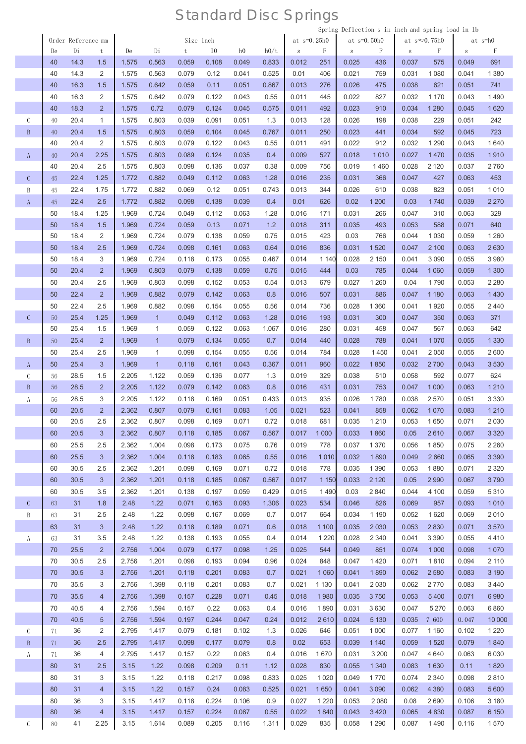|               |               |    |                    |                |       |              |           |       |       |       |               |         |         | Spring Deflection s in inch and spring load in 1b |       |                       |        |         |
|---------------|---------------|----|--------------------|----------------|-------|--------------|-----------|-------|-------|-------|---------------|---------|---------|---------------------------------------------------|-------|-----------------------|--------|---------|
|               |               |    | Order Reference mm |                |       |              | Size inch |       |       |       | at $s=0.25h0$ |         |         | at $s=0.50h0$                                     |       | at $s \approx 0.75h0$ |        | at s=h0 |
|               |               | De | Di                 | t              | De    | Di           | t         | 10    | h0    | h0/t  | $\,$ S        | F       | $\rm S$ | F                                                 | S     | F                     | $\,$ S | F       |
|               |               | 40 | 14.3               | 1.5            | 1.575 | 0.563        | 0.059     | 0.108 | 0.049 | 0.833 | 0.012         | 251     | 0.025   | 436                                               | 0.037 | 575                   | 0.049  | 691     |
|               |               | 40 | 14.3               | 2              | 1.575 | 0.563        | 0.079     | 0.12  | 0.041 | 0.525 | 0.01          | 406     | 0.021   | 759                                               | 0.031 | 1 0 8 0               | 0.041  | 1 3 8 0 |
|               |               | 40 | 16.3               | 1.5            | 1.575 | 0.642        | 0.059     | 0.11  | 0.051 | 0.867 | 0.013         | 276     | 0.026   | 475                                               | 0.038 | 621                   | 0.051  | 741     |
|               |               | 40 | 16.3               | 2              | 1.575 | 0.642        | 0.079     | 0.122 | 0.043 | 0.55  | 0.011         | 445     | 0.022   | 827                                               | 0.032 | 1 1 7 0               | 0.043  | 1490    |
|               |               | 40 | 18.3               | $\overline{2}$ | 1.575 | 0.72         | 0.079     | 0.124 | 0.045 | 0.575 | 0.011         | 492     | 0.023   | 910                                               | 0.034 | 1 2 8 0               | 0.045  | 1620    |
|               |               |    |                    | $\mathbf{1}$   |       |              |           |       |       |       |               |         |         |                                                   |       |                       |        |         |
| $\mathcal{C}$ |               | 40 | 20.4               |                | 1.575 | 0.803        | 0.039     | 0.091 | 0.051 | 1.3   | 0.013         | 128     | 0.026   | 198                                               | 0.038 | 229                   | 0.051  | 242     |
|               | $\mathbf B$   | 40 | 20.4               | 1.5            | 1.575 | 0.803        | 0.059     | 0.104 | 0.045 | 0.767 | 0.011         | 250     | 0.023   | 441                                               | 0.034 | 592                   | 0.045  | 723     |
|               |               | 40 | 20.4               | 2              | 1.575 | 0.803        | 0.079     | 0.122 | 0.043 | 0.55  | 0.011         | 491     | 0.022   | 912                                               | 0.032 | 1 2 9 0               | 0.043  | 1640    |
|               | A             | 40 | 20.4               | 2.25           | 1.575 | 0.803        | 0.089     | 0.124 | 0.035 | 0.4   | 0.009         | 527     | 0.018   | 1010                                              | 0.027 | 1470                  | 0.035  | 1910    |
|               |               | 40 | 20.4               | 2.5            | 1.575 | 0.803        | 0.098     | 0.136 | 0.037 | 0.38  | 0.009         | 756     | 0.019   | 1460                                              | 0.028 | 2 1 2 0               | 0.037  | 2760    |
|               | $\mathcal{C}$ | 45 | 22.4               | 1.25           | 1.772 | 0.882        | 0.049     | 0.112 | 0.063 | 1.28  | 0.016         | 235     | 0.031   | 366                                               | 0.047 | 427                   | 0.063  | 453     |
| B             |               | 45 | 22.4               | 1.75           | 1.772 | 0.882        | 0.069     | 0.12  | 0.051 | 0.743 | 0.013         | 344     | 0.026   | 610                                               | 0.038 | 823                   | 0.051  | 1010    |
|               | $\mathbf{A}$  | 45 | 22.4               | 2.5            | 1.772 | 0.882        | 0.098     | 0.138 | 0.039 | 0.4   | 0.01          | 626     | 0.02    | 1 200                                             | 0.03  | 1740                  | 0.039  | 2 270   |
|               |               |    |                    |                |       |              |           |       |       |       |               |         |         |                                                   |       |                       |        |         |
|               |               | 50 | 18.4               | 1.25           | 1.969 | 0.724        | 0.049     | 0.112 | 0.063 | 1.28  | 0.016         | 171     | 0.031   | 266                                               | 0.047 | 310                   | 0.063  | 329     |
|               |               | 50 | 18.4               | 1.5            | 1.969 | 0.724        | 0.059     | 0.13  | 0.071 | 1.2   | 0.018         | 311     | 0.035   | 493                                               | 0.053 | 588                   | 0.071  | 640     |
|               |               | 50 | 18.4               | 2              | 1.969 | 0.724        | 0.079     | 0.138 | 0.059 | 0.75  | 0.015         | 423     | 0.03    | 766                                               | 0.044 | 1 0 3 0               | 0.059  | 1 2 6 0 |
|               |               | 50 | 18.4               | 2.5            | 1.969 | 0.724        | 0.098     | 0.161 | 0.063 | 0.64  | 0.016         | 836     | 0.031   | 1520                                              | 0.047 | 2 100                 | 0.063  | 2630    |
|               |               | 50 | 18.4               | 3              | 1.969 | 0.724        | 0.118     | 0.173 | 0.055 | 0.467 | 0.014         | 1 1 4 0 | 0.028   | 2 1 5 0                                           | 0.041 | 3090                  | 0.055  | 3 9 8 0 |
|               |               | 50 | 20.4               | $\overline{2}$ | 1.969 | 0.803        | 0.079     | 0.138 | 0.059 | 0.75  | 0.015         | 444     | 0.03    | 785                                               | 0.044 | 1 0 6 0               | 0.059  | 1 300   |
|               |               | 50 | 20.4               | 2.5            | 1.969 | 0.803        | 0.098     | 0.152 | 0.053 | 0.54  | 0.013         | 679     | 0.027   | 1 2 6 0                                           | 0.04  | 1790                  | 0.053  | 2 2 8 0 |
|               |               | 50 | 22.4               | $\overline{2}$ | 1.969 | 0.882        | 0.079     | 0.142 | 0.063 | 0.8   | 0.016         | 507     | 0.031   | 886                                               | 0.047 | 1 1 8 0               | 0.063  | 1430    |
|               |               | 50 | 22.4               | 2.5            | 1.969 | 0.882        | 0.098     | 0.154 | 0.055 | 0.56  | 0.014         | 736     | 0.028   | 1 3 6 0                                           | 0.041 | 1920                  | 0.055  | 2440    |
|               |               |    |                    |                |       |              |           |       |       |       |               |         |         |                                                   |       |                       |        |         |
|               | $\mathcal{C}$ | 50 | 25.4               | 1.25           | 1.969 | $\mathbf{1}$ | 0.049     | 0.112 | 0.063 | 1.28  | 0.016         | 193     | 0.031   | 300                                               | 0.047 | 350                   | 0.063  | 371     |
|               |               | 50 | 25.4               | 1.5            | 1.969 | $\mathbf{1}$ | 0.059     | 0.122 | 0.063 | 1.067 | 0.016         | 280     | 0.031   | 458                                               | 0.047 | 567                   | 0.063  | 642     |
|               | $\mathbf{B}$  | 50 | 25.4               | $\overline{2}$ | 1.969 | $\mathbf{1}$ | 0.079     | 0.134 | 0.055 | 0.7   | 0.014         | 440     | 0.028   | 788                                               | 0.041 | 1070                  | 0.055  | 1 3 3 0 |
|               |               | 50 | 25.4               | 2.5            | 1.969 | 1            | 0.098     | 0.154 | 0.055 | 0.56  | 0.014         | 784     | 0.028   | 1450                                              | 0.041 | 2050                  | 0.055  | 2600    |
|               | A             | 50 | 25.4               | 3              | 1.969 | $\mathbf{1}$ | 0.118     | 0.161 | 0.043 | 0.367 | 0.011         | 960     | 0.022   | 1850                                              | 0.032 | 2700                  | 0.043  | 3530    |
|               | $\mathcal{C}$ | 56 | 28.5               | 1.5            | 2.205 | 1.122        | 0.059     | 0.136 | 0.077 | 1.3   | 0.019         | 329     | 0.038   | 510                                               | 0.058 | 592                   | 0.077  | 624     |
| $\, {\bf B}$  |               | 56 | 28.5               | $\overline{2}$ | 2.205 | 1.122        | 0.079     | 0.142 | 0.063 | 0.8   | 0.016         | 431     | 0.031   | 753                                               | 0.047 | 1 0 0 0               | 0.063  | 1 2 1 0 |
| A             |               | 56 | 28.5               | 3              | 2.205 | 1.122        | 0.118     | 0.169 | 0.051 | 0.433 | 0.013         | 935     | 0.026   | 1780                                              | 0.038 | 2570                  | 0.051  | 3 3 3 0 |
|               |               | 60 | 20.5               | 2              | 2.362 | 0.807        | 0.079     | 0.161 | 0.083 | 1.05  | 0.021         | 523     | 0.041   | 858                                               | 0.062 | 1070                  | 0.083  | 1210    |
|               |               | 60 | 20.5               | 2.5            | 2.362 | 0.807        | 0.098     | 0.169 | 0.071 | 0.72  | 0.018         | 681     | 0.035   | 1 2 1 0                                           | 0.053 | 1650                  | 0.071  | 2030    |
|               |               |    |                    |                |       |              |           |       |       |       |               |         |         |                                                   |       |                       |        |         |
|               |               | 60 | 20.5               | 3              | 2.362 | 0.807        | 0.118     | 0.185 | 0.067 | 0.567 | 0.017         | 1 0 0 0 | 0.033   | 1860                                              | 0.05  | 2610                  | 0.067  | 3 3 2 0 |
|               |               | 60 | 25.5               | 2.5            | 2.362 | 1.004        | 0.098     | 0.173 | 0.075 | 0.76  | 0.019         | 778     | 0.037   | 1 3 7 0                                           | 0.056 | 1850                  | 0.075  | 2 2 6 0 |
|               |               | 60 | 25.5               | 3              | 2.362 | 1.004        | 0.118     | 0.183 | 0.065 | 0.55  | 0.016         | 1010    | 0.032   | 1890                                              | 0.049 | 2660                  | 0.065  | 3 3 9 0 |
|               |               | 60 | 30.5               | 2.5            | 2.362 | 1.201        | 0.098     | 0.169 | 0.071 | 0.72  | 0.018         | 778     | 0.035   | 1 3 9 0                                           | 0.053 | 1880                  | 0.071  | 2 3 2 0 |
|               |               | 60 | 30.5               | 3 <sup>1</sup> | 2.362 | 1.201        | 0.118     | 0.185 | 0.067 | 0.567 | 0.017         | 1 1 5 0 | 0.033   | 2 1 2 0                                           | 0.05  | 2 9 9 0               | 0.067  | 3790    |
|               |               | 60 | 30.5               | 3.5            | 2.362 | 1.201        | 0.138     | 0.197 | 0.059 | 0.429 | 0.015         | 1490    | 0.03    | 2840                                              | 0.044 | 4 100                 | 0.059  | 5310    |
|               | $\mathsf{C}$  | 63 | 31                 | 1.8            | 2.48  | 1.22         | 0.071     | 0.163 | 0.093 | 1.306 | 0.023         | 534     | 0.046   | 826                                               | 0.069 | 957                   | 0.093  | 1010    |
|               | B             | 63 | 31                 | 2.5            | 2.48  | 1.22         | 0.098     | 0.167 | 0.069 | 0.7   | 0.017         | 664     | 0.034   | 1 1 9 0                                           | 0.052 | 1620                  | 0.069  | 2010    |
|               |               |    | 31                 | 3              | 2.48  | 1.22         | 0.118     |       | 0.071 |       |               |         | 0.035   | 2 0 3 0                                           |       | 2830                  | 0.071  |         |
|               |               | 63 |                    |                |       |              |           | 0.189 |       | 0.6   | 0.018         | 1 100   |         |                                                   | 0.053 |                       |        | 3570    |
|               | A             | 63 | 31                 | 3.5            | 2.48  | 1.22         | 0.138     | 0.193 | 0.055 | 0.4   | 0.014         | 1 2 2 0 | 0.028   | 2 3 4 0                                           | 0.041 | 3 3 9 0               | 0.055  | 4410    |
|               |               | 70 | 25.5               | 2 <sup>2</sup> | 2.756 | 1.004        | 0.079     | 0.177 | 0.098 | 1.25  | 0.025         | 544     | 0.049   | 851                                               | 0.074 | 1 0 0 0               | 0.098  | 1070    |
|               |               | 70 | 30.5               | 2.5            | 2.756 | 1.201        | 0.098     | 0.193 | 0.094 | 0.96  | 0.024         | 848     | 0.047   | 1420                                              | 0.071 | 1810                  | 0.094  | 2 1 1 0 |
|               |               | 70 | 30.5               | 3              | 2.756 | 1.201        | 0.118     | 0.201 | 0.083 | 0.7   | 0.021         | 1 0 6 0 | 0.041   | 1890                                              | 0.062 | 2 5 8 0               | 0.083  | 3 1 9 0 |
|               |               | 70 | 35.5               | 3              | 2.756 | 1.398        | 0.118     | 0.201 | 0.083 | 0.7   | 0.021         | 1 1 3 0 | 0.041   | 2 0 3 0                                           | 0.062 | 2770                  | 0.083  | 3 4 4 0 |
|               |               | 70 | 35.5               | $\overline{4}$ | 2.756 | 1.398        | 0.157     | 0.228 | 0.071 | 0.45  | 0.018         | 1980    | 0.035   | 3750                                              | 0.053 | 5400                  | 0.071  | 6980    |
|               |               | 70 | 40.5               | 4              | 2.756 | 1.594        | 0.157     | 0.22  | 0.063 | 0.4   | 0.016         | 1890    | 0.031   | 3630                                              | 0.047 | 5 2 7 0               | 0.063  | 6860    |
|               |               | 70 | 40.5               | 5              | 2.756 | 1.594        | 0.197     | 0.244 | 0.047 | 0.24  | 0.012         | 2610    | 0.024   | 5 1 3 0                                           | 0.035 | 7 600                 | 0.047  | 10 000  |
|               | $\mathsf C$   | 71 | 36                 | 2              | 2.795 | 1.417        | 0.079     | 0.181 | 0.102 | 1.3   | 0.026         | 646     | 0.051   | 1 0 0 0                                           | 0.077 | 1 1 6 0               | 0.102  | 1 2 2 0 |
|               |               |    |                    |                |       |              |           |       |       |       |               |         |         |                                                   |       |                       |        |         |
|               | $\, {\bf B}$  | 71 | 36                 | 2.5            | 2.795 | 1.417        | 0.098     | 0.177 | 0.079 | 0.8   | 0.02          | 653     | 0.039   | 1 1 4 0                                           | 0.059 | 1520                  | 0.079  | 1840    |
|               | A             | 71 | 36                 | 4              | 2.795 | 1.417        | 0.157     | 0.22  | 0.063 | 0.4   | 0.016         | 1670    | 0.031   | 3 2 0 0                                           | 0.047 | 4 6 4 0               | 0.063  | 6 0 3 0 |
|               |               | 80 | 31                 | 2.5            | 3.15  | 1.22         | 0.098     | 0.209 | 0.11  | 1.12  | 0.028         | 830     | 0.055   | 1 3 4 0                                           | 0.083 | 1630                  | 0.11   | 1820    |
|               |               | 80 | 31                 | 3              | 3.15  | 1.22         | 0.118     | 0.217 | 0.098 | 0.833 | 0.025         | 1 0 2 0 | 0.049   | 1770                                              | 0.074 | 2 3 4 0               | 0.098  | 2810    |
|               |               | 80 | 31                 | $\overline{4}$ | 3.15  | 1.22         | 0.157     | 0.24  | 0.083 | 0.525 | 0.021         | 1650    | 0.041   | 3 0 9 0                                           | 0.062 | 4 3 8 0               | 0.083  | 5 600   |
|               |               | 80 | 36                 | 3              | 3.15  | 1.417        | 0.118     | 0.224 | 0.106 | 0.9   | 0.027         | 1 2 2 0 | 0.053   | 2 0 8 0                                           | 0.08  | 2690                  | 0.106  | 3 1 8 0 |
|               |               | 80 | 36                 | $\overline{4}$ | 3.15  | 1.417        | 0.157     | 0.224 | 0.087 | 0.55  | 0.022         | 1840    | 0.043   | 3 4 2 0                                           | 0.065 | 4 8 3 0               | 0.087  | 6 150   |
|               | $\mathsf C$   |    |                    |                |       |              |           |       |       |       |               | 835     |         |                                                   |       |                       |        |         |
|               |               | 80 | 41                 | 2.25           | 3.15  | 1.614        | 0.089     | 0.205 | 0.116 | 1.311 | 0.029         |         | 0.058   | 1 2 9 0                                           | 0.087 | 1490                  | 0.116  | 1570    |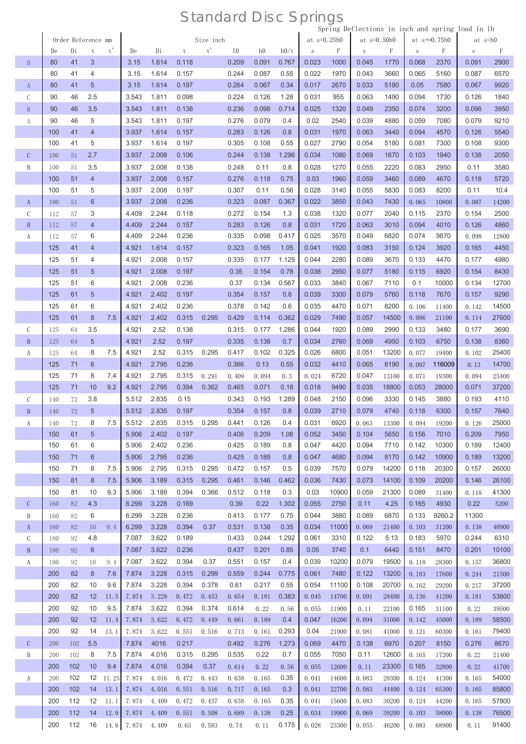|               |            |                    |                      |             |                |                |                |                |                |                |             |                |                |                |                |                    |                       | Spring Deflections in inch and spring load in 1b |                |
|---------------|------------|--------------------|----------------------|-------------|----------------|----------------|----------------|----------------|----------------|----------------|-------------|----------------|----------------|----------------|----------------|--------------------|-----------------------|--------------------------------------------------|----------------|
|               |            | Order Reference mm |                      |             |                |                |                | Size inch      |                |                |             | at $s=0.25h0$  |                |                | at $s=0.50h0$  |                    | at $s \approx 0.75h0$ | at s=h0                                          |                |
|               | De         | Di                 | $\mathbf t$          | t'          | De             | Di             | t              | t'             | 10             | h <sub>0</sub> | h0/t        | S              | F              | $\,$ S         | F              | $\, \mathbf{S} \,$ | F                     | $\,$ S                                           | F              |
| $\mathbf{B}$  | 80         | 41                 | 3                    |             | 3.15           | 1.614          | 0.118          |                | 0.209          | 0.091          | 0.767       | 0.023          | 1000           | 0.045          | 1770           | 0.068              | 2370                  | 0.091                                            | 2900           |
|               | 80         | 41                 | 4                    |             | 3.15           | 1.614          | 0.157          |                | 0.244          | 0.087          | 0.55        | 0.022          | 1970           | 0.043          | 3660           | 0.065              | 5160                  | 0.087                                            | 6570           |
| $\mathbf{A}$  | 80         | 41                 | 5                    |             | 3.15           | 1.614          | 0.197          |                | 0.264          | 0.067          | 0.34        | 0.017          | 2670           | 0.033          | 5180           | 0.05               | 7580                  | 0.067                                            | 9920           |
| $\mathcal{C}$ | 90         | 46                 | 2.5                  |             | 3.543          | 1.811          | 0.098          |                | 0.224          | 0.126          | 1.28        | 0.031          | 955            | 0.063          | 1490           | 0.094              | 1730                  | 0.126                                            | 1840           |
| $\mathbf B$   | 90         | 46                 | 3.5                  |             | 3.543          | 1.811          | 0.138          |                | 0.236          | 0.098          | 0.714       | 0.025          | 1320           | 0.049          | 2350           | 0.074              | 3200                  | 0.098                                            | 3950           |
| A             | 90<br>100  | 46<br>41           | 5<br>$\overline{4}$  |             | 3.543<br>3.937 | 1.811<br>1.614 | 0.197<br>0.157 |                | 0.276<br>0.283 | 0.079<br>0.126 | 0.4<br>0.8  | 0.02<br>0.031  | 2540<br>1970   | 0.039<br>0.063 | 4880<br>3440   | 0.059<br>0.094     | 7080<br>4570          | 0.079<br>0.126                                   | 9210<br>5540   |
|               | 100        | 41                 | 5                    |             | 3.937          | 1.614          | 0.197          |                | 0.305          | 0.108          | 0.55        | 0.027          | 2790           | 0.054          | 5180           | 0.081              | 7300                  | 0.108                                            | 9300           |
| $\mathcal{C}$ | 100        | 51                 | 2.7                  |             | 3.937          | 2.008          | 0.106          |                | 0.244          | 0.138          | 1.296       | 0.034          | 1080           | 0.069          | 1670           | 0.103              | 1940                  | 0.138                                            | 2050           |
| B             | 100        | 51                 | 3.5                  |             | 3.937          | 2.008          | 0.138          |                | 0.248          | 0.11           | 0.8         | 0.028          | 1270           | 0.055          | 2220           | 0.083              | 2950                  | 0.11                                             | 3580           |
|               | 100        | 51                 | $\overline{4}$       |             | 3.937          | 2.008          | 0.157          |                | 0.276          | 0.118          | 0.75        | 0.03           | 1960           | 0.059          | 3460           | 0.089              | 4670                  | 0.118                                            | 5720           |
|               | 100        | 51                 | 5                    |             | 3.937          | 2.008          | 0.197          |                | 0.307          | 0.11           | 0.56        | 0.028          | 3140           | 0.055          | 5830           | 0.083              | 8200                  | 0.11                                             | 10.4           |
| $\mathbf{A}$  | 100        | 51                 | $6\phantom{1}6$      |             | 3.937          | 2.008          | 0.236          |                | 0.323          | 0.087          | 0.367       | 0.022          | 3850           | 0.043          | 7430           | 0.065              | 10800                 | 0.087                                            | 14200          |
| $\mathcal{C}$ | 112        | 57                 | 3                    |             | 4.409          | 2.244          | 0.118          |                | 0.272          | 0.154          | 1.3         | 0.038          | 1320           | 0.077          | 2040           | 0.115              | 2370                  | 0.154                                            | 2500           |
| $\mathbf B$   | 112        | 57                 | $\overline{4}$       |             | 4.409          | 2.244          | 0.157          |                | 0.283          | 0.126          | 0.8         | 0.031          | 1720           | 0.063          | 3010           | 0.094              | 4010                  | 0.126                                            | 4860           |
| A             | 112        | 57                 | 6                    |             | 4.409          | 2.244          | 0.236          |                | 0.335          | 0.098          | 0.417       | 0.025          | 3570           | 0.049          | 6820           | 0.074              | 9870                  | 0.098                                            | 12800          |
|               | 125        | 41                 | $\overline{4}$       |             | 4.921          | 1.614          | 0.157          |                | 0.323          | 0.165          | 1.05        | 0.041          | 1920           | 0.083          | 3150           | 0.124              | 3920                  | 0.165                                            | 4450           |
|               | 125        | 51                 | 4                    |             | 4.921          | 2.008          | 0.157          |                | 0.335          | 0.177          | 1.125       | 0.044          | 2280           | 0.089          | 3670           | 0.133              | 4470                  | 0.177                                            | 4980           |
|               | 125        | 51                 | $\overline{5}$       |             | 4.921          | 2.008          | 0.197          |                | 0.35           | 0.154          | 0.78        | 0.038          | 2950           | 0.077          | 5180           | 0.115              | 6920                  | 0.154                                            | 8430           |
|               | 125        | 51                 | 6                    |             | 4.921          | 2.008          | 0.236          |                | 0.37           | 0.134          | 0.567       | 0.033          | 3840           | 0.067          | 7110           | 0.1                | 10000                 | 0.134                                            | 12700          |
|               | 125        | 61                 | $\overline{5}$       |             | 4.921          | 2.402          | 0.197          |                | 0.354          | 0.157          | 0.8         | 0.039          | 3300           | 0.079          | 5760           | 0.118              | 7670                  | 0.157                                            | 9290           |
|               | 125        | 61                 | 6                    |             | 4.921          | 2.402          | 0.236          |                | 0.378          | 0.142          | 0.6         | 0.035          | 4470           | 0.071          | 8200           | 0.106              | 11400                 | 0.142                                            | 14500          |
|               | 125        | 61                 | 8                    | 7.5         | 4.921          | 2.402          | 0.315          | 0.295          | 0.429          | 0.114          | 0.362       | 0.029          | 7490           | 0.057          | 14500          | 0.086              | 21100                 | 0.114                                            | 27600          |
| $\mathcal{C}$ | 125        | 64                 | 3.5                  |             | 4.921          | 2.52           | 0.138          |                | 0.315          | 0.177          | 1.286       | 0.044          | 1920           | 0.089          | 2990           | 0.133              | 3480                  | 0.177                                            | 3690           |
| $\, {\bf B}$  | 125        | 64                 | $\sqrt{5}$           |             | 4.921          | 2.52           | 0.197          |                | 0.335          | 0.138          | 0.7         | 0.034          | 2760           | 0.069          | 4950           | 0.103              | 6750                  | 0.138                                            | 8360           |
| A             | 125        | 64                 | 8                    | 7.5         | 4.921          | 2.52           | 0.315          | 0.295          | 0.417          | 0.102          | 0.325       | 0.026          | 6800           | 0.051          | 13200          | 0.077              | 19400                 | 0.102                                            | 25400          |
|               | 125<br>125 | 71<br>71           | $6\phantom{1}6$<br>8 | 7.4         | 4.921<br>4.921 | 2.795<br>2.795 | 0.236<br>0.315 | 0.291          | 0.366<br>0.409 | 0.13<br>0.094  | 0.55<br>0.3 | 0.032<br>0.024 | 4410<br>6720   | 0.065<br>0.047 | 8190           | 0.097<br>0.071     | 116009<br>19300       | 0.13<br>0.094                                    | 14700<br>25400 |
|               | 125        | 71                 | 10                   | 9.2         | 4.921          | 2.795          | 0.394          | 0.362          | 0.465          | 0.071          | 0.18        | 0.018          | 9490           | 0.035          | 13100<br>18800 | 0.053              | 28000                 | 0.071                                            | 37200          |
| С             | 140        | 72                 | 3.8                  |             | 5.512          | 2.835          | 0.15           |                | 0.343          | 0.193          | 1.289       | 0.048          | 2150           | 0.096          | 3330           | 0.145              | 3880                  | 0.193                                            | 4110           |
| B             | 140        | 72                 | 5                    |             | 5.512          | 2.835          | 0.197          |                | 0.354          | 0.157          | 0.8         | 0.039          | 2710           | 0.079          | 4740           | 0.118              | 6300                  | 0.157                                            | 7640           |
| A             | 140        | 72                 | 8                    | 7.5         | 5.512          | 2.835          | 0.315          | 0.295          | 0.441          | 0.126          | 0.4         | 0.031          | 6920           | 0.063          | 13300          | 0.094              | 19200                 | 0.126                                            | 25000          |
|               | 150        | 61                 | $\sqrt{5}$           |             | 5.906          | 2.402          | 0.197          |                | 0.406          | 0.209          | 1.06        | 0.052          | 3450           | 0.104          | 5650           | 0.156              | 7010                  | 0.209                                            | 7950           |
|               | 150        | 61                 | 6                    |             | 5.906          | 2.402          | 0.236          |                | 0.425          | 0.189          | 0.8         | 0.047          | 4420           | 0.094          | 7710           | 0.142              | 10300                 | 0.189                                            | 12400          |
|               | 150        | 71                 | $6\phantom{1}6$      |             | 5.906          | 2.795          | 0.236          |                | 0.425          | 0.189          | 0.8         | 0.047          | 4680           | 0.094          | 8170           | 0.142              | 10900                 | 0.189                                            | 13200          |
|               | 150        | 71                 | 8                    | 7.5         | 5.906          | 2.795          | 0.315          | 0.295          | 0.472          | 0.157          | 0.5         | 0.039          | 7570           | 0.079          | 14200          | 0.118              | 20300                 | 0.157                                            | 26000          |
|               | 150        | 81                 | 8                    | 7.5         | 5.906          | 3.189          | 0.315          | 0.295          | 0.461          | 0.146          | 0.462       | 0.036          | 7430           | 0.073          | 14100          | 0.109              | 20200                 | 0.146                                            | 26100          |
|               | 150        | 81                 | 10                   | 9.3         | 5.906          | 3.189          | 0.394          | 0.366          | 0.512          | 0.118          | 0.3         | 0.03           | 10900          | 0.059          | 21300          | 0.089              | 31400                 | 0.118                                            | 41300          |
| $\mathcal{C}$ | 160        | 82                 | 4.3                  |             | 6.299          | 3.228          | 0.169          |                | 0.39           | 0.22           | 1.302       | 0.055          | 2750           | 0.11           | 4.25           | 0.165              | 4930                  | 0.22                                             | 5200           |
| B             | 160        | 82                 | 6                    |             | 6.299          | 3.228          | 0.236          |                | 0.413          | 0.177          | 0.75        | 0.044          | 3880           | 0.089          | 6870           | 0.133              | 9260.2                | 11300                                            |                |
| $\mathbf{A}$  | 160        | 82                 | 10                   | 9.4         | 6.299          | 3.228          | 0.394          | 0.37           | 0.531          | 0.138          | 0.35        | 0.034          | 11000          | 0.069          | 21400          | 0.103              | 31200                 | 0.138                                            | 40900          |
| $\mathcal{C}$ | 180        | 92                 | 4.8                  |             | 7.087          | 3.622          | 0.189          |                | 0.433          | 0.244          | 1.292       | 0.061          | 3310           | 0.122          | 5.13           | 0.183              | 5970                  | 0.244                                            | 6310           |
| $\mathbf{B}$  | 180        | 92                 | 6                    |             | 7.087          | 3.622          | 0.236          |                | 0.437          | 0.201          | 0.85        | 0.05           | 3740           | 0.1            | 6440           | 0.151              | 8470                  | 0.201                                            | 10100          |
| A             | 180        | 92                 | 10                   | 9.4         | 7.087          | 3.622          | 0.394          | 0.37           | 0.551          | 0.157          | 0.4         | 0.039          | 10200          | 0.079          | 19500          | 0.118              | 28300                 | 0.157                                            | 36800          |
|               | 200        | 82                 | 8                    | 7.6         | 7.874          | 3.228          | 0.315          | 0.299          | 0.559          | 0.244          | 0.775       | 0.061          | 7480           | 0.122          | 13200          | 0.183              | 17600                 | 0.244                                            | 21500          |
|               | 200        | 82                 | 10                   | 9.6         | 7.874          | 3.228          | 0.394          | 0.378          | 0.61           | 0.217          | 0.55        | 0.054          | 11100          | 0.108          | 20700          | 0.162              | 29200                 | 0.217                                            | 37200<br>53800 |
|               | 200<br>200 | 82<br>92           | 12<br>10             | 11.5<br>9.5 | 7.874<br>7.874 | 3.228<br>3.622 | 0.472<br>0.394 | 0.453<br>0.374 | 0.654<br>0.614 | 0.181<br>0.22  | 0.383       | 0.045<br>0.055 | 14700          | 0.091          | 28400          | 0.136<br>0.165     | 41200<br>31100        | 0.181<br>0.22                                    | 39500          |
|               | 200        | 92                 | 12                   | 11.4        | 7.874          | 3.622          | 0.472          | 0.449          | 0.661          | 0.189          | 0.56<br>0.4 | 0.047          | 11900<br>16200 | 0.11<br>0.094  | 22100<br>31000 | 0.142              | 45000                 | 0.189                                            | 58500          |
|               | 200        | 92                 | 14                   | 13.1        | 7.874          | 3.622          | 0.551          | 0.516          | 0.713          | 0.161          | 0.293       | 0.04           | 21000          | 0.081          | 41000          | 0.121              | 60300                 | 0.161                                            | 79400          |
| $\mathcal{C}$ | 200        | 102                | 5.5                  |             | 7.874          | 4016           | 0.217          |                | 0.492          | 0.276          | 1.273       | 0.069          | 4470           | 0.138          | 6970           | 0.207              | 8150                  | 0.276                                            | 8670           |
| B             | 200        | 102                | 8                    | 7.5         | 7.874          | 4.016          | 0.315          | 0.295          | 0.535          | 0.22           | 0.7         | 0.055          | 7050           | 0.11           | 12600          | 0.165              | 17200                 | 0.22                                             | 21400          |
|               | 200        | 102                | 10                   | 9.4         | 7.874          | 4.016          | 0.394          | 0.37           | 0.614          | 0.22           | 0.56        | 0.055          | 12600          | 0.11           | 23300          | 0.165              | 32800                 | 0.22                                             | 41700          |
| A             | 200        | 102                | 12                   | 11.25       | 7.874          | 4.016          | 0.472          | 0.443          | 0.638          | 0.165          | 0.35        | 0.041          | 14600          | 0.083          | 28300          | 0.124              | 41300                 | 0.165                                            | 54000          |
|               | 200        | 102                | 14                   | 13.1        | 7.874          | 4.016          | 0.551          | 0.516          | 0.717          | 0.165          | 0.3         | 0.041          | 22700          | 0.083          | 44400          | 0.124              | 65300                 | 0.165                                            | 85800          |
|               | 200        | 112                | 12                   | 11.1        | 7.874          | 4.409          | 0.472          | 0.437          | 0.638          | 0.165          | 0.35        | 0.041          | 15600          | 0.083          | 30200          | 0.124              | 44200                 | 0.165                                            | 57800          |
|               | 200        | 112                | 14                   |             | $12.9$ 7.874   | 4.409          | 0.551          | 0.508          | 0.689          | 0.138          | 0.25        | 0.034          | 19900          | 0.069          | 39200          | 0.103              | 58000                 | 0.138                                            | 76500          |
|               | 200        | 112                | 16                   |             | 14.8 7.874     | 4.409          | 0.63           | 0.583          | 0.74           | 0.11           | 0.175       | 0.028          | 23300          | 0.055          | 46200          | 0.083              | 68900                 | 0.11                                             | 91400          |
|               |            |                    |                      |             |                |                |                |                |                |                |             |                |                |                |                |                    |                       |                                                  |                |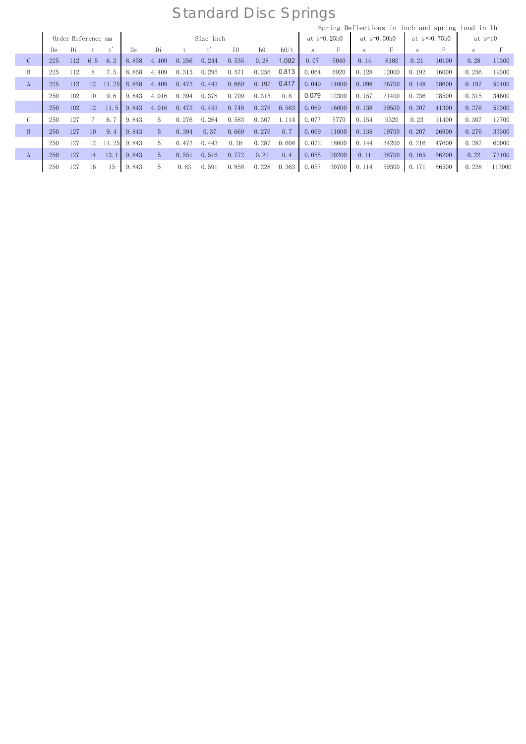|                |     |                    |     |       |       |       |       |           |       |                |       |               |       |       |               |       |                       | Spring Deflections in inch and spring load in 1b |        |
|----------------|-----|--------------------|-----|-------|-------|-------|-------|-----------|-------|----------------|-------|---------------|-------|-------|---------------|-------|-----------------------|--------------------------------------------------|--------|
|                |     | Order Reference mm |     |       |       |       |       | Size inch |       |                |       | at $s=0.25h0$ |       |       | at $s=0.50h0$ |       | at $s \approx 0.75h0$ | at s=h0                                          |        |
|                | De  | Di                 |     |       | De    | Di    |       |           | 10    | h <sub>0</sub> | h0/t  | S             |       |       |               |       |                       | S                                                |        |
| $\mathcal{C}$  | 225 | 112                | 6.5 | 6.2   | 8.858 | 4.409 | 0.256 | 0.244     | 0.535 | 0.28           | 1.092 | 0.07          | 5040  | 0.14  | 8180          | 0.21  | 10100                 | 0.28                                             | 11300  |
| B              | 225 | 112                | 8   | 7.5   | 8.858 | 4.409 | 0.315 | 0.295     | 0.571 | 0.256          | 0.813 | 0.064         | 6920  | 0.128 | 12000         | 0.192 | 16000                 | 0.256                                            | 19300  |
| A              | 225 | 112                | 12  | 11.25 | 8.858 | 4.409 | 0.472 | 0.443     | 0.669 | 0.197          | 0.417 | 0.049         | 14000 | 0.098 | 26700         | 0.148 | 38600                 | 0.197                                            | 50100  |
|                | 250 | 102                | 10  | 9.6   | 9.843 | 4.016 | 0.394 | 0.378     | 0.709 | 0.315          | 0.8   | 0.079         | 12300 | 0.157 | 21400         | 0.236 | 28500                 | 0.315                                            | 34600  |
|                | 250 | 102                | 12  | 11.5  | 9.843 | 4.016 | 0.472 | 0.453     | 0.748 | 0.276          | 0.583 | 0.069         | 16000 | 0.138 | 29500         | 0.207 | 41300                 | 0.276                                            | 52300  |
| C              | 250 | 127                |     | 6.7   | 9.843 | 5.    | 0.276 | 0.264     | 0.583 | 0.307          | 1.114 | 0.077         | 5770  | 0.154 | 9320          | 0.23  | 11400                 | 0.307                                            | 12700  |
| $\overline{B}$ | 250 | 127                | 10  | 9.4   | 9.843 | 5.    | 0.394 | 0.37      | 0.669 | 0.276          | 0.7   | 0.069         | 11000 | 0.138 | 19700         | 0.207 | 26900                 | 0.276                                            | 33300  |
|                | 250 | 127                | 12  | 11.25 | 9.843 | 5.    | 0.472 | 0.443     | 0.76  | 0.287          | 0.608 | 0.072         | 18600 | 0.144 | 34200         | 0.216 | 47600                 | 0.287                                            | 60000  |
| A              | 250 | 127                | 14  | 13.1  | 9.843 | 5     | 0.551 | 0.516     | 0.772 | 0.22           | 0.4   | 0.055         | 20200 | 0.11  | 38700         | 0.165 | 56200                 | 0.22                                             | 73100  |
|                | 250 | 127                | 16  | 15    | 9.843 | h.    | 0.63  | 0.591     | 0.858 | 0.228          | 0.363 | 0.057         | 30700 | 0.114 | 59300         | 0.171 | 86500                 | 0.228                                            | 113000 |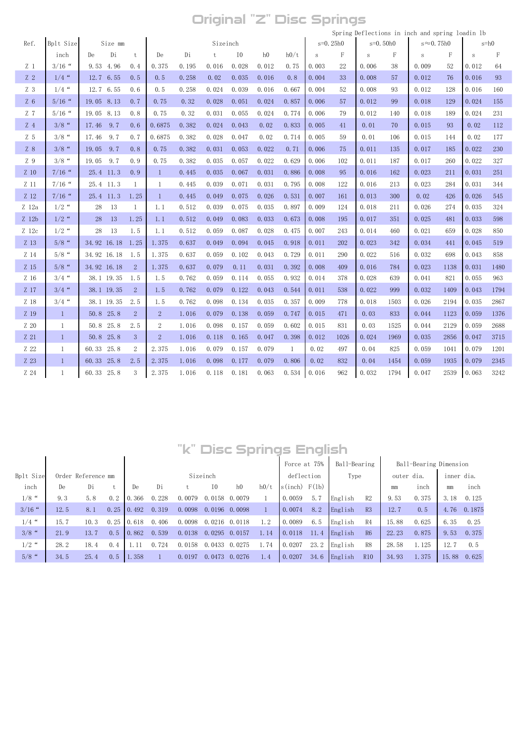## Original "Z" Disc Springs

|                |              |                  |                |                |       |          |        |       |       |              |            |            |      | Spring Deflections in inch and spring loadin 1b |      |        |              |
|----------------|--------------|------------------|----------------|----------------|-------|----------|--------|-------|-------|--------------|------------|------------|------|-------------------------------------------------|------|--------|--------------|
| Ref.           | Bplt Size    | Size mm          |                |                |       | Sizeinch |        |       |       | $s = 0.25h0$ |            | $s=0.50h0$ |      | $s \approx 0.75h0$                              |      |        | $s = h0$     |
|                | inch         | Di<br>De         | t              | De             | Di    | t        | $10\,$ | h0    | h0/t  | $\,$ s       | $_{\rm F}$ | $\rm S$    | F    | S                                               | F    | $\,$ S | $\mathbf{F}$ |
| Z <sub>1</sub> | $3/16$ "     | 9.53 4.96        | 0.4            | 0.375          | 0.195 | 0.016    | 0.028  | 0.012 | 0.75  | 0.003        | 22         | 0.006      | 38   | 0.009                                           | 52   | 0.012  | 64           |
| Z <sub>2</sub> | $1/4$ "      | 12.7 6.55        | 0, 5           | 0.5            | 0.258 | 0.02     | 0.035  | 0.016 | 0.8   | 0.004        | 33         | 0.008      | 57   | 0.012                                           | 76   | 0.016  | 93           |
| Z <sub>3</sub> | $1/4$ "      | 12.7 6.55        | 0.6            | 0.5            | 0.258 | 0.024    | 0.039  | 0.016 | 0.667 | 0.004        | 52         | 0.008      | 93   | 0.012                                           | 128  | 0.016  | 160          |
| $Z_6$          | $5/16$ "     | 19.05 8.13       | 0.7            | 0.75           | 0.32  | 0.028    | 0.051  | 0.024 | 0.857 | 0.006        | 57         | 0.012      | 99   | 0.018                                           | 129  | 0.024  | 155          |
| Z <sub>7</sub> | $5/16$ "     | 19.05 8.13       | 0.8            | 0.75           | 0.32  | 0.031    | 0.055  | 0.024 | 0.774 | 0.006        | 79         | 0.012      | 140  | 0.018                                           | 189  | 0.024  | 231          |
| Z <sub>4</sub> | $3/8$ "      | 9.7<br>17.46     | 0.6            | 0.6875         | 0.382 | 0.024    | 0.043  | 0.02  | 0.833 | 0.005        | 41         | 0.01       | 70   | 0.015                                           | 93   | 0.02   | 112          |
| Z <sub>5</sub> | $3/8$ "      | 9.7<br>17.46     | 0.7            | 0.6875         | 0.382 | 0.028    | 0.047  | 0.02  | 0.714 | 0.005        | 59         | 0.01       | 106  | 0.015                                           | 144  | 0.02   | 177          |
| Z8             | $3/8$ "      | 9.7<br>19.05     | 0, 8           | 0.75           | 0.382 | 0.031    | 0.053  | 0.022 | 0.71  | 0.006        | 75         | 0.011      | 135  | 0.017                                           | 185  | 0.022  | 230          |
| Z9             | $3/8$ "      | 9.7<br>19.05     | 0.9            | 0.75           | 0.382 | 0.035    | 0.057  | 0.022 | 0.629 | 0.006        | 102        | 0.011      | 187  | 0.017                                           | 260  | 0.022  | 327          |
| Z 10           | $7/16$ "     | 25.4 11.3        | 0.9            | $\mathbf{1}$   | 0.445 | 0.035    | 0.067  | 0.031 | 0.886 | 0.008        | 95         | 0.016      | 162  | 0.023                                           | 211  | 0.031  | 251          |
| Z 11           | $7/16$ "     | 25.4 11.3        | $\mathbf{1}$   | 1              | 0.445 | 0.039    | 0.071  | 0.031 | 0.795 | 0.008        | 122        | 0.016      | 213  | 0.023                                           | 284  | 0.031  | 344          |
| Z 12           | $7/16$ "     | 25.4 11.3        | 1.25           | $\mathbf{1}$   | 0.445 | 0.049    | 0.075  | 0.026 | 0.531 | 0.007        | 161        | 0.013      | 300  | 0.02                                            | 426  | 0.026  | 545          |
| Z 12a          | $1/2$ "      | 13<br>28         | $\mathbf{1}$   | 1.1            | 0.512 | 0.039    | 0.075  | 0.035 | 0.897 | 0.009        | 124        | 0.018      | 211  | 0.026                                           | 274  | 0.035  | 324          |
| Z 12b          | $1/2$ "      | 13<br>28         | 1.25           | 1.1            | 0.512 | 0.049    | 0.083  | 0.033 | 0.673 | 0.008        | 195        | 0.017      | 351  | 0.025                                           | 481  | 0.033  | 598          |
| Z 12c          | $1/2$ "      | 13<br>28         | 1.5            | 1.1            | 0.512 | 0.059    | 0.087  | 0.028 | 0.475 | 0.007        | 243        | 0.014      | 460  | 0.021                                           | 659  | 0.028  | 850          |
| Z 13           | $5/8$ "      | 34.92 16.18 1.25 |                | 1.375          | 0.637 | 0.049    | 0.094  | 0.045 | 0.918 | 0.011        | 202        | 0.023      | 342  | 0.034                                           | 441  | 0.045  | 519          |
| Z 14           | $5/8$ "      | 34.92 16.18      | - 1.5          | 1.375          | 0.637 | 0.059    | 0.102  | 0.043 | 0.729 | 0.011        | 290        | 0.022      | 516  | 0.032                                           | 698  | 0.043  | 858          |
| Z 15           | $5/8$ "      | 34.92 16.18      | $\overline{2}$ | 1.375          | 0.637 | 0.079    | 0.11   | 0.031 | 0.392 | 0.008        | 409        | 0.016      | 784  | 0.023                                           | 1138 | 0.031  | 1480         |
| Z 16           | $3/4$ "      | 38.1 19.35       | 1.5            | 1.5            | 0.762 | 0.059    | 0.114  | 0.055 | 0.932 | 0.014        | 378        | 0.028      | 639  | 0.041                                           | 821  | 0.055  | 963          |
| Z 17           | $3/4$ "      | 38.1 19.35       | $\overline{2}$ | 1.5            | 0.762 | 0.079    | 0.122  | 0.043 | 0.544 | 0.011        | 538        | 0.022      | 999  | 0.032                                           | 1409 | 0.043  | 1794         |
| Z 18           | $3/4$ "      | 38.1 19.35       | 2.5            | 1.5            | 0.762 | 0.098    | 0.134  | 0.035 | 0.357 | 0.009        | 778        | 0.018      | 1503 | 0.026                                           | 2194 | 0.035  | 2867         |
| Z 19           | $\mathbf{1}$ | 50.8 25.8        | $\mathbf{2}$   | $\overline{2}$ | 1.016 | 0.079    | 0.138  | 0.059 | 0.747 | 0.015        | 471        | 0.03       | 833  | 0.044                                           | 1123 | 0.059  | 1376         |
| Z 20           | 1            | 50.8 25.8        | 2.5            | $\overline{2}$ | 1.016 | 0.098    | 0.157  | 0.059 | 0.602 | 0.015        | 831        | 0.03       | 1525 | 0.044                                           | 2129 | 0.059  | 2688         |
| Z 21           | $\mathbf{1}$ | 50.8 25.8        | 3              | $\overline{2}$ | 1.016 | 0.118    | 0.165  | 0.047 | 0.398 | 0.012        | 1026       | 0.024      | 1969 | 0.035                                           | 2856 | 0.047  | 3715         |
| Z 22           | $\mathbf{1}$ | 60.33 25.8       | 2              | 2.375          | 1.016 | 0.079    | 0.157  | 0.079 | 1     | 0.02         | 497        | 0.04       | 825  | 0.059                                           | 1041 | 0.079  | 1201         |
| Z 23           | $\mathbf{1}$ | 60.33 25.8       | 2.5            | 2.375          | 1.016 | 0.098    | 0.177  | 0.079 | 0.806 | 0.02         | 832        | 0.04       | 1454 | 0.059                                           | 1935 | 0.079  | 2345         |
| Z 24           | $\mathbf{1}$ | 60.33 25.8       | 3              | 2.375          | 1.016 | 0.118    | 0.181  | 0.063 | 0.534 | 0.016        | 962        | 0.032      | 1794 | 0.047                                           | 2539 | 0.063  | 3242         |

# "k" Disc Springs English

|           |      |      |      |                    |       | VV II  |    |                |                                                                                                                     |        |      |                                                 |                                                                                        |                      |       |            |                                               |
|-----------|------|------|------|--------------------|-------|--------|----|----------------|---------------------------------------------------------------------------------------------------------------------|--------|------|-------------------------------------------------|----------------------------------------------------------------------------------------|----------------------|-------|------------|-----------------------------------------------|
|           |      |      |      |                    |       |        |    |                |                                                                                                                     |        |      |                                                 |                                                                                        |                      |       |            |                                               |
| Bplt Size |      |      |      |                    |       |        |    |                |                                                                                                                     |        |      |                                                 |                                                                                        |                      |       |            |                                               |
| inch      | De   | Di   |      | De                 | Di    |        | T0 | h <sub>0</sub> | h0/t                                                                                                                |        |      |                                                 |                                                                                        | mm                   | inch  | mm         | inch                                          |
| $1/8$ "   | 9.3  | 5.8  | 0, 2 | 0.366              | 0.228 | 0.0079 |    |                |                                                                                                                     | 0.0059 | 5.7  |                                                 | R2                                                                                     | 9.53                 | 0.375 | 3.18       | 0.125                                         |
| $3/16$ "  | 12.5 | 8.1  | 0.25 |                    | 0.319 | 0.0098 |    |                |                                                                                                                     | 0.0074 | 8.2  |                                                 | R3                                                                                     | 12.7                 | 0.5   | 4.76       | 0.1875                                        |
| $1/4$ "   | 15.7 | 10.3 | 0.25 | 0.618              | 0.406 | 0.0098 |    |                | 1.2                                                                                                                 | 0.0089 | 6.5  |                                                 | R <sub>4</sub>                                                                         | 15.88                | 0.625 | 6.35       | 0.25                                          |
| $3/8$ "   | 21.9 | 13.7 | 0, 5 | 0.862              | 0.539 | 0.0138 |    |                | 1.14                                                                                                                | 0.0118 | 11.4 |                                                 | R6                                                                                     | 22.23                | 0.875 | 9.53       | 0.375                                         |
| $1/2$ "   | 28.2 | 18.4 | 0.4  | l. 11              | 0.724 | 0.0158 |    |                | 1.74                                                                                                                | 0.0207 | 23.2 |                                                 | R <sub>8</sub>                                                                         | 28.58                | 1.125 | 12.7       | 0.5                                           |
| $5/8$ "   | 34.5 | 25.4 | 0.5  | 1.358              |       | 0.0197 |    |                | 1.4                                                                                                                 | 0.0207 | 34.6 |                                                 | <b>R10</b>                                                                             | 34.93                | 1.375 |            | 0.625                                         |
|           |      |      |      | Order Reference mm | 0.492 |        |    | Sizeinch       | 0.0158 0.0079<br>$0.0196$ 0.0098<br>$0.0216$ 0.0118<br>$0.0295$ 0.0157<br>$0.0433 \quad 0.0275$<br>0.0473<br>0.0276 |        |      | Force at 75%<br>deflection<br>$s(inch)$ $F(lb)$ | lisc Springs English<br>English<br>English<br>English<br>English<br>English<br>English | Ball-Bearing<br>Type |       | outer dia. | Ball-Bearing Dimension<br>inner dia.<br>15.88 |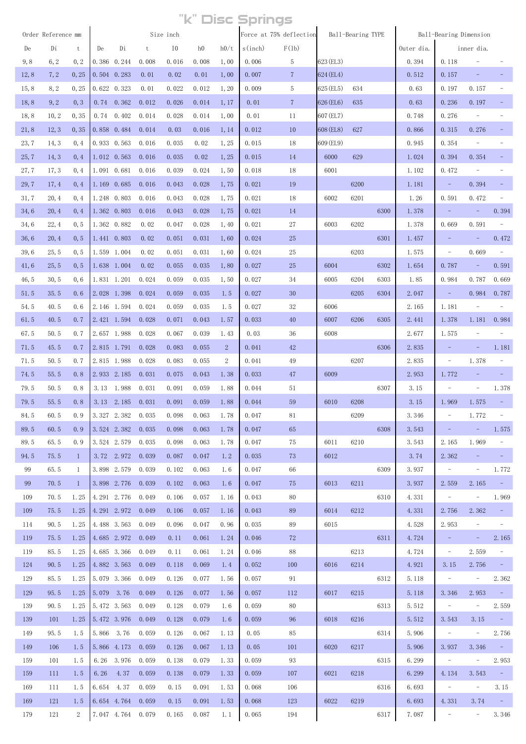|       |                    |              |      |                     |       |           |       |                | "k" Disc Springs |                         |           |                        |      |            |                                 |                          |                                |
|-------|--------------------|--------------|------|---------------------|-------|-----------|-------|----------------|------------------|-------------------------|-----------|------------------------|------|------------|---------------------------------|--------------------------|--------------------------------|
|       | Order Reference mm |              |      |                     |       | Size inch |       |                |                  | Force at 75% deflection |           | Ball-Bearing TYPE      |      |            | Ball-Bearing Dimension          |                          |                                |
| De    | Di                 | t            | De   | Di                  | t     | I0        | h0    | h0/t           | s(inch)          | F(1b)                   |           |                        |      | Outer dia. |                                 | inner dia.               |                                |
| 9,8   | 6, 2               | 0, 2         |      | 0.386 0.244         | 0.008 | 0.016     | 0.008 | 1,00           | 0.006            | 5                       | 623 (EL3) |                        |      | 0.394      | 0.118                           |                          |                                |
| 12, 8 | 7, 2               | 0, 25        |      | $0.504$ $0.283$     | 0.01  | 0.02      | 0.01  | 1,00           | 0.007            | $\overline{7}$          | 624 (EL4) |                        |      | 0.512      | 0.157                           |                          |                                |
| 15, 8 | 8, 2               | 0, 25        |      | $0.622 \quad 0.323$ | 0.01  | 0.022     | 0.012 | 1, 20          | 0.009            | 5                       | 625 (EL5) | 634                    |      | 0.63       | 0.197                           | 0.157                    |                                |
| 18,8  | 9, 2               | 0, 3         |      | $0.74$ $0.362$      | 0.012 | 0.026     | 0.014 | 1, 17          | 0.01             | $\overline{7}$          | 626 (EL6) | 635                    |      | 0.63       | 0.236                           | 0.197                    |                                |
| 18,8  | 10, 2              | 0, 35        |      | $0.74$ $0.402$      | 0.014 | 0.028     | 0.014 | 1,00           | 0.01             | 11                      | 607 (EL7) |                        |      | 0.748      | 0.276                           | $\overline{\phantom{a}}$ |                                |
| 21, 8 | 12, 3              | 0, 35        |      | 0.858 0.484         | 0.014 | 0.03      | 0.016 | 1, 14          | 0.012            | 10                      | 608 (EL8) | 627                    |      | 0.866      | 0.315                           | 0.276                    |                                |
| 23, 7 | 14, 3              | 0, 4         |      | $0.933$ $0.563$     | 0.016 | 0.035     | 0.02  | 1, 25          | 0.015            | 18                      | 609 (EL9) |                        |      | 0.945      | 0.354                           | $\overline{\phantom{a}}$ |                                |
| 25, 7 | 14, 3              | 0, 4         |      | $1.012 \quad 0.563$ | 0.016 | 0.035     | 0.02  | 1, 25          | 0.015            | <sup>14</sup>           | 6000      | 629                    |      | 1.024      | 0.394                           | 0.354                    |                                |
| 27, 7 | 17, 3              | 0, 4         |      | 1.091 0.681         | 0.016 | 0.039     | 0.024 | 1,50           | 0.018            | 18                      | 6001      |                        |      | 1.102      | 0.472                           | $\overline{\phantom{a}}$ |                                |
| 29, 7 | 17, 4              | 0, 4         |      | 1.169 0.685         | 0.016 | 0.043     | 0.028 | 1,75           | 0.021            | 19                      |           | 6200                   |      | 1.181      | $\overline{\phantom{a}}$        | 0.394                    | -                              |
| 31, 7 | 20, 4              | 0, 4         |      | 1.248 0.803         | 0.016 | 0.043     | 0.028 | 1,75           | 0.021            | 18                      | 6002      | 6201                   |      | 1.26       | 0.591                           | 0.472                    | ÷,                             |
| 34,6  | 20, 4              | 0, 4         |      | 1.362 0.803         | 0.016 | 0.043     | 0.028 | 1,75           | 0.021            | 14                      |           |                        | 6300 | 1.378      | $\overline{\phantom{a}}$        | $\overline{\phantom{a}}$ | 0.394                          |
| 34,6  | 22, 4              | 0, 5         |      | 1.362 0.882         | 0.02  | 0.047     | 0.028 | 1,40           | 0.021            | 27                      | 6003      | 6202                   |      | 1.378      | 0.669                           | 0.591                    | $\overline{\phantom{a}}$       |
| 36, 6 | 20, 4              | 0, 5         |      | 1.441 0.803         | 0.02  | 0.051     | 0.031 | 1,60           | 0.024            | 25                      |           |                        | 6301 | 1.457      | $\overline{\phantom{a}}$        |                          | 0.472                          |
| 39,6  | 25, 5              | 0, 5         |      | 1.559 1.004         | 0.02  | 0.051     | 0.031 | 1,60           | 0.024            | 25                      |           | 6203                   |      | 1.575      | $\overline{\phantom{0}}$        | 0.669                    | $\overline{\phantom{a}}$       |
| 41, 6 | 25, 5              | 0, 5         |      | 1.638 1.004         | 0.02  | 0.055     | 0.035 | 1,80           | 0.027            | 25                      | 6004      |                        | 6302 | 1.654      | 0.787                           | $\overline{\phantom{a}}$ | 0.591                          |
| 46, 5 | 30, 5              | 0, 6         |      | 1.831 1.201         | 0.024 | 0.059     | 0.035 | 1,50           | 0.027            | 34                      | 6005      | 6204                   | 6303 | 1.85       | 0.984                           | 0.787                    | 0.669                          |
| 51.5  | 35.5               | 0.6          |      | 2.028 1.398         | 0.024 | 0.059     | 0.035 | 1.5            | 0.027            | 30                      |           | 6205                   | 6304 | 2.047      | $\overline{\phantom{a}}$        | 0.984                    | 0.787                          |
| 54.5  | 40.5               | 0.6          |      | 2.146 1.594         | 0.024 | 0.059     | 0.035 | 1.5            | 0.027            | 32                      | 6006      |                        |      | 2.165      | 1.181                           | $\overline{\phantom{a}}$ |                                |
| 61.5  | 40.5               | 0.7          |      | 2.421 1.594         | 0.028 | 0.071     | 0.043 | 1.57           | 0.033            | 40                      | 6007      | 6206                   | 6305 | 2.441      | 1.378                           | 1.181                    | 0.984                          |
| 67.5  | 50.5               | 0.7          |      | 2.657 1.988         | 0.028 | 0.067     | 0.039 | 1.43           | 0.03             | 36                      | 6008      |                        |      | 2.677      | 1.575                           |                          |                                |
| 71.5  | 45.5               | 0.7          |      | 2.815 1.791         | 0.028 | 0.083     | 0.055 | $\overline{2}$ | 0.041            | 42                      |           |                        | 6306 | 2.835      |                                 |                          | 1.181                          |
| 71.5  | 50.5               | 0.7          |      | 2.815 1.988         | 0.028 | 0.083     | 0.055 | 2              | 0.041            | 49                      |           | 6207                   |      | 2.835      | $\overline{\phantom{a}}$        | 1.378                    | $\overline{\phantom{a}}$       |
| 74.5  | 55.5               | 0.8          |      | 2.933 2.185         | 0.031 | 0.075     | 0.043 | 1.38           | 0.033            | 47                      | 6009      |                        |      | 2.953      | 1.772                           |                          | -                              |
| 79.5  | 50.5               | 0.8          |      | 3.13 1.988          | 0.031 | 0.091     | 0.059 | 1.88           | 0.044            | 51                      |           |                        | 6307 | 3.15       | $\qquad \qquad -$               |                          | 1.378                          |
| 79.5  | 55.5               | 0.8          |      | 3.13 2.185          | 0.031 | 0.091     | 0.059 | 1.88           | 0.044            | 59                      | 6010      | 6208                   |      | 3.15       | 1.969                           | 1.575                    |                                |
| 84.5  | 60.5               | 0.9          |      | 3.327 2.382 0.035   |       | 0.098     | 0.063 | 1.78           | 0.047            | 81                      |           | 6209                   |      | 3.346      | $\overline{\phantom{a}}$        | 1.772                    | $\overline{\phantom{a}}$       |
| 89.5  | 60.5               | 0.9          |      | 3.524 2.382         | 0.035 | 0.098     | 0.063 | 1.78           | 0.047            | 65                      |           |                        | 6308 | 3.543      | $\overline{\phantom{a}}$        | $\sim$ $-$               | 1.575                          |
| 89.5  | 65.5               | 0.9          |      | 3.524 2.579 0.035   |       | 0.098     | 0.063 | 1.78           | 0.047            | 75                      | 6011      | 6210                   |      | 3.543      | 2.165                           | 1.969                    | $\equiv$                       |
| 94.5  | 75.5               | $\mathbf{1}$ |      | 3.72 2.972 0.039    |       | 0.087     | 0.047 | 1.2            | 0.035            | 73                      | 6012      |                        |      | 3.74       | 2.362                           |                          | $\equiv$                       |
| 99    | 65.5               | 1            |      | 3.898 2.579         | 0.039 | 0.102     | 0.063 | 1.6            | 0.047            | 66                      |           |                        | 6309 | 3.937      | $\overline{\phantom{a}}$        | $\overline{\phantom{a}}$ | 1.772                          |
| 99    | 70.5               | $\mathbf{1}$ |      | 3.898 2.776 0.039   |       | 0.102     | 0.063 | 1.6            | 0.047            | 75                      | 6013      | 6211                   |      | 3.937      | 2.559                           | 2.165                    | $\alpha \rightarrow \alpha$    |
| 109   | 70.5               | 1.25         |      | 4.291 2.776 0.049   |       | 0.106     | 0.057 | 1.16           | 0.043            | 80                      |           |                        | 6310 | 4.331      | $\overline{\phantom{a}}$        | $\sim$                   | 1.969                          |
| 109   | 75.5               | 1.25         |      | 4.291 2.972 0.049   |       | 0.106     | 0.057 | 1.16           | 0.043            | 89                      | 6014      | 6212                   |      | 4.331      | 2.756                           | 2.362                    | $\sim$                         |
| 114   | 90.5               | 1.25         |      | 4.488 3.563         | 0.049 | 0.096     | 0.047 | 0.96           | 0.035            | 89                      | 6015      |                        |      | 4.528      | 2.953                           | $\overline{\phantom{a}}$ | $\overline{\phantom{a}}$       |
| 119   | 75.5               | 1.25         |      | 4.685 2.972 0.049   |       | 0.11      | 0.061 | 1.24           | 0.046            | 72                      |           | <b>Service Service</b> | 6311 | 4.724      | $\overline{\phantom{a}}$        | $\equiv$ .               | 2.165                          |
| 119   | 85.5               | 1.25         |      | 4.685 3.366 0.049   |       | 0.11      | 0.061 | 1.24           | 0.046            | 88                      |           | 6213                   |      | 4.724      | $\overline{\phantom{a}}$        | 2.559                    | $\equiv$                       |
| 124   | 90.5               | 1.25         |      | 4.882 3.563         | 0.049 | 0.118     | 0.069 | 1.4            | 0.052            | 100                     | 6016      | 6214                   |      | 4.921      | 3.15                            | 2.756                    | $\alpha = 0$                   |
| 129   | 85.5               | 1.25         |      | 5.079 3.366         | 0.049 | 0.126     | 0.077 | 1.56           | 0.057            | 91                      |           |                        | 6312 | 5.118      | $\sim$                          | $ \,$                    | 2.362                          |
| 129   | 95.5               | 1.25         |      | $5.079$ 3.76        | 0.049 | 0.126     | 0.077 | 1.56           | 0.057            | 112                     | 6017      | 6215                   |      | 5.118      | 3.346                           | 2.953                    | $\alpha_{\rm{eff}}=0.1$        |
| 139   | 90.5               | 1.25         |      | 5.472 3.563 0.049   |       | 0.128     | 0.079 | 1.6            | 0.059            | 80                      |           |                        | 6313 | 5.512      | $\overline{\phantom{a}}$        | $\overline{\phantom{a}}$ | 2.559                          |
| 139   | 101                | 1.25         |      | 5.472 3.976         | 0.049 | 0.128     | 0.079 | 1.6            | 0.059            | 96                      | 6018      | 6216                   |      | 5.512      | 3.543                           | 3.15                     | $\sim 10^{11}$                 |
| 149   | 95.5               | 1.5          |      | 5.866 3.76          | 0.059 | 0.126     | 0.067 | 1.13           | 0.05             | 85                      |           |                        | 6314 | 5.906      | $\overline{\phantom{a}}$        | $-$                      | 2.756                          |
| 149   | 106                | 1.5          |      | 5.866 4.173 0.059   |       | 0.126     | 0.067 | 1.13           | 0.05             | 101                     | 6020      | 6217                   |      | 5.906      | 3.937                           | 3.346                    | $\alpha_{\rm eff} = 0.1$       |
| 159   | 101                | 1.5          | 6.26 | 3.976               | 0.059 | 0.138     | 0.079 | 1.33           | 0.059            | 93                      |           |                        | 6315 | 6.299      | $\overline{\phantom{a}}$        | $\overline{\phantom{a}}$ | 2.953                          |
| 159   | 111                | 1.5          | 6.26 | 4.37                | 0.059 | 0.138     | 0.079 | 1.33           | 0.059            | 107                     | 6021      | 6218                   |      | 6.299      | 4.134                           | 3.543                    | $\alpha$ , $\alpha$ , $\alpha$ |
| 169   | 111                | 1.5          |      | 6.654 4.37          | 0.059 | 0.15      | 0.091 | 1.53           | 0.068            | 106                     |           |                        | 6316 | 6.693      | $\overline{\phantom{a}}$        | $\overline{\phantom{a}}$ | 3.15                           |
| 169   | 121                | 1.5          |      | 6.654 4.764 0.059   |       | 0.15      | 0.091 | 1.53           | 0.068            | 123                     | 6022      | 6219                   |      | 6.693      | 4.331                           | 3.74                     | $\sim 10^{-1}$                 |
| 179   | 121                | 2            |      | 7.047 4.764 0.079   |       | 0.165     | 0.087 | 1.1            | 0.065            | 194                     |           |                        | 6317 | 7.087      | $\frac{1}{2}$ and $\frac{1}{2}$ | $\sim$ $-$               | 3.346                          |
|       |                    |              |      |                     |       |           |       |                |                  |                         |           |                        |      |            |                                 |                          |                                |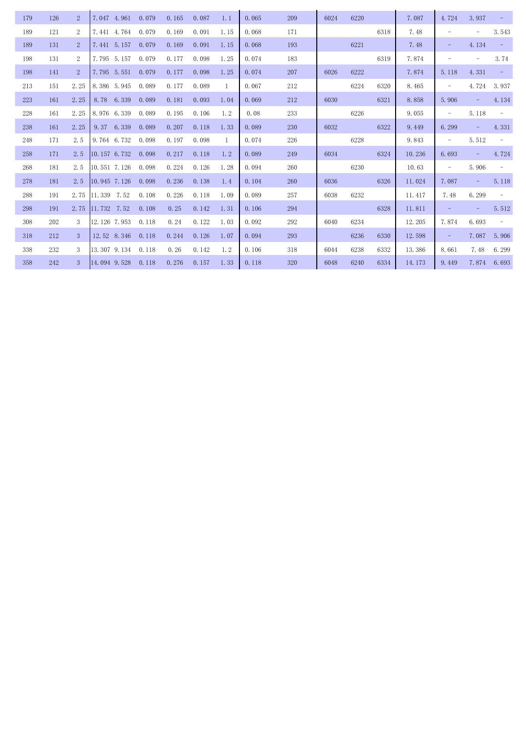| 179 | 126 | $\overline{2}$ | 7.047 4.961  |             | 0.079 | 0.165 | 0.087 | 1.1            | 0.065 | 209 | 6024 | 6220 |      | 7.087  | 4.724                    | 3.937                    |                          |
|-----|-----|----------------|--------------|-------------|-------|-------|-------|----------------|-------|-----|------|------|------|--------|--------------------------|--------------------------|--------------------------|
| 189 | 121 | $\overline{2}$ | 7.441 4.764  |             | 0.079 | 0.169 | 0.091 | 1.15           | 0.068 | 171 |      |      | 6318 | 7.48   | $\equiv$                 |                          | 3.543                    |
| 189 | 131 | $\overline{2}$ | 7.441 5.157  |             | 0.079 | 0.169 | 0.091 | 1.15           | 0.068 | 193 |      | 6221 |      | 7.48   | $\overline{\phantom{a}}$ | 4.134                    | $\overline{\phantom{a}}$ |
| 198 | 131 | 2              | 7.795 5.157  |             | 0.079 | 0.177 | 0.098 | 1.25           | 0.074 | 183 |      |      | 6319 | 7.874  | $\overline{\phantom{m}}$ | $\overline{\phantom{a}}$ | 3.74                     |
| 198 | 141 | $\overline{2}$ | 7.795 5.551  |             | 0.079 | 0.177 | 0.098 | 1.25           | 0.074 | 207 | 6026 | 6222 |      | 7.874  | 5.118                    | 4.331                    | $\sim$                   |
| 213 | 151 | 2.25           | 8.386 5.945  |             | 0.089 | 0.177 | 0.089 | $\overline{1}$ | 0.067 | 212 |      | 6224 | 6320 | 8.465  | $\overline{\phantom{a}}$ | 4.724                    | 3.937                    |
| 223 | 161 | 2.25           | 8.78         | 6.339       | 0.089 | 0.181 | 0.093 | 1.04           | 0.069 | 212 | 6030 |      | 6321 | 8.858  | 5.906                    |                          | 4.134                    |
| 228 | 161 | 2.25           | 8.976 6.339  |             | 0.089 | 0.195 | 0.106 | 1.2            | 0.08  | 233 |      | 6226 |      | 9.055  | $\overline{\phantom{a}}$ | 5.118                    | $\qquad \qquad -$        |
| 238 | 161 | 2.25           | 9.37         | 6.339       | 0.089 | 0.207 | 0.118 | 1.33           | 0.089 | 230 | 6032 |      | 6322 | 9.449  | 6.299                    | -                        | 4.331                    |
| 248 | 171 | 2.5            | 9.764 6.732  |             | 0.098 | 0.197 | 0.098 | $\mathbf{1}$   | 0.074 | 226 |      | 6228 |      | 9.843  | $\overline{\phantom{a}}$ | 5.512                    | $\overline{\phantom{a}}$ |
| 258 | 171 | 2.5            | 10.157 6.732 |             | 0.098 | 0.217 | 0.118 | 1.2            | 0.089 | 249 | 6034 |      | 6324 | 10.236 | 6.693                    |                          | 4.724                    |
| 268 | 181 | 2.5            | 10.551 7.126 |             | 0.098 | 0.224 | 0.126 | 1.28           | 0.094 | 260 |      | 6230 |      | 10.63  | $\overline{\phantom{a}}$ | 5.906                    |                          |
| 278 | 181 | 2.5            | 10.945 7.126 |             | 0.098 | 0.236 | 0.138 | 1.4            | 0.104 | 260 | 6036 |      | 6326 | 11.024 | 7.087                    | $\qquad \qquad -$        | 5.118                    |
| 288 | 191 | 2.75           | 11.339 7.52  |             | 0.108 | 0.226 | 0.118 | 1.09           | 0.089 | 257 | 6038 | 6232 |      | 11.417 | 7.48                     | 6.299                    |                          |
| 298 | 191 | 2.75           | 11.732 7.52  |             | 0.108 | 0.25  | 0.142 | 1.31           | 0.106 | 294 |      |      | 6328 | 11.811 | $\overline{\phantom{a}}$ |                          | 5.512                    |
| 308 | 202 | 3              | 12.126 7.953 |             | 0.118 | 0.24  | 0.122 | 1.03           | 0.092 | 292 | 6040 | 6234 |      | 12.205 | 7.874                    | 6.693                    | $\overline{\phantom{a}}$ |
| 318 | 212 | 3              |              | 12.52 8.346 | 0.118 | 0.244 | 0.126 | 1.07           | 0.094 | 293 |      | 6236 | 6330 | 12.598 | $\sim$                   | 7.087                    | 5.906                    |
| 338 | 232 | 3              | 13.307 9.134 |             | 0.118 | 0.26  | 0.142 | 1.2            | 0.106 | 318 | 6044 | 6238 | 6332 | 13.386 | 8.661                    | 7.48                     | 6.299                    |
| 358 | 242 | 3              | 14.094 9.528 |             | 0.118 | 0.276 | 0.157 | 1.33           | 0.118 | 320 | 6048 | 6240 | 6334 | 14.173 | 9.449                    |                          | 7.874 6.693              |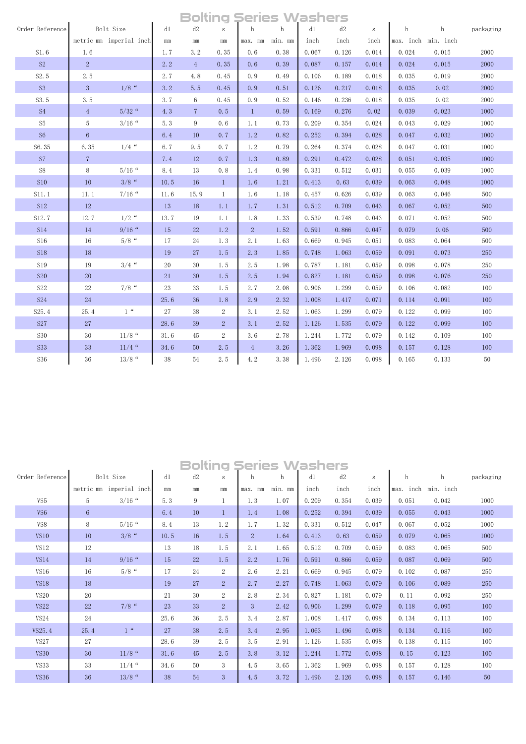|  |  |  |  | <b>Bolting Series Washers</b> |
|--|--|--|--|-------------------------------|
|--|--|--|--|-------------------------------|

|                    |                |                         |      | wuu             | IJ             | 2 - 1 - 2      | v       | 231 131 2 |       |        |           |           |           |
|--------------------|----------------|-------------------------|------|-----------------|----------------|----------------|---------|-----------|-------|--------|-----------|-----------|-----------|
| Order Reference    |                | Bolt Size               | d1   | d2              | $\,$ S         | h              | h       | d1        | d2    | $\,$ S | h         | h         | packaging |
|                    |                | metric mm imperial inch | mm   | $\rm mm$        | mm             | max. mm        | min. mm | inch      | inch  | inch   | max. inch | min. inch |           |
| S1.6               | 1.6            |                         | 1.7  | 3.2             | 0.35           | 0, 6           | 0.38    | 0.067     | 0.126 | 0.014  | 0.024     | 0.015     | 2000      |
| S <sub>2</sub>     | $2^{\circ}$    |                         | 2.2  | $4\overline{ }$ | 0.35           | 0.6            | 0.39    | 0.087     | 0.157 | 0.014  | 0.024     | 0.015     | 2000      |
| S2.5               | 2.5            |                         | 2.7  | 4.8             | 0.45           | 0.9            | 0.49    | 0.106     | 0.189 | 0.018  | 0.035     | 0.019     | 2000      |
| S <sub>3</sub>     | 3              | $1/8$ "                 | 3.2  | 5.5             | 0.45           | 0.9            | 0.51    | 0.126     | 0.217 | 0.018  | 0.035     | 0.02      | 2000      |
| S3.5               | 3.5            |                         | 3.7  | 6               | 0.45           | 0.9            | 0.52    | 0.146     | 0.236 | 0.018  | 0.035     | 0.02      | 2000      |
| S <sub>4</sub>     | $\overline{4}$ | $5/32$ "                | 4.3  | $7\overline{ }$ | 0.5            | $\mathbf{1}$   | 0.59    | 0.169     | 0.276 | 0.02   | 0.039     | 0.023     | 1000      |
| S <sub>5</sub>     | 5              | $3/16$ "                | 5.3  | 9               | 0, 6           | 1.1            | 0.73    | 0.209     | 0.354 | 0.024  | 0.043     | 0.029     | 1000      |
| S <sub>6</sub>     | $\,6\,$        |                         | 6.4  | 10              | 0.7            | 1.2            | 0.82    | 0.252     | 0.394 | 0.028  | 0.047     | 0.032     | 1000      |
| S6.35              | 6.35           | $1/4$ "                 | 6.7  | 9.5             | 0.7            | 1.2            | 0.79    | 0.264     | 0.374 | 0.028  | 0.047     | 0.031     | 1000      |
| S7                 | $\overline{7}$ |                         | 7.4  | 12              | 0.7            | 1.3            | 0.89    | 0.291     | 0.472 | 0.028  | 0.051     | 0.035     | 1000      |
| ${\rm S}8$         | $\,8\,$        | $5/16$ "                | 8.4  | 13              | 0.8            | 1.4            | 0.98    | 0.331     | 0.512 | 0.031  | 0.055     | 0.039     | 1000      |
| S10                | 10             | $3/8$ "                 | 10.5 | 16              | $\mathbf{1}$   | 1.6            | 1.21    | 0.413     | 0.63  | 0.039  | 0.063     | 0.048     | 1000      |
| S11.1              | 11.1           | $7/16$ "                | 11.6 | 15.9            | $\mathbf{1}$   | 1.6            | 1.18    | 0.457     | 0.626 | 0.039  | 0.063     | 0.046     | 500       |
| <b>S12</b>         | 12             |                         | 13   | 18              | 1.1            | 1.7            | 1.31    | 0.512     | 0.709 | 0.043  | 0.067     | 0.052     | 500       |
| S12.7              | 12.7           | $1/2$ "                 | 13.7 | 19              | 1.1            | 1.8            | 1.33    | 0.539     | 0.748 | 0.043  | 0.071     | 0.052     | 500       |
| <b>S14</b>         | 14             | $9/16$ "                | 15   | 22              | 1, 2           | $\overline{2}$ | 1.52    | 0.591     | 0.866 | 0.047  | 0.079     | 0.06      | 500       |
| S16                | 16             | $5/8$ "                 | 17   | 24              | 1.3            | 2.1            | 1.63    | 0.669     | 0.945 | 0.051  | 0.083     | 0.064     | 500       |
| <b>S18</b>         | 18             |                         | 19   | 27              | 1.5            | 2.3            | 1.85    | 0.748     | 1.063 | 0.059  | 0.091     | 0.073     | 250       |
| <b>S19</b>         | 19             | $3/4$ "                 | 20   | 30              | 1.5            | 2.5            | 1.98    | 0.787     | 1.181 | 0.059  | 0.098     | 0.078     | 250       |
| <b>S20</b>         | 20             |                         | 21   | 30              | 1.5            | 2.5            | 1.94    | 0.827     | 1.181 | 0.059  | 0.098     | 0.076     | 250       |
| S22                | 22             | $7/8$ "                 | 23   | 33              | 1.5            | 2.7            | 2.08    | 0.906     | 1.299 | 0.059  | 0.106     | 0.082     | 100       |
| <b>S24</b>         | 24             |                         | 25.6 | 36              | 1.8            | 2.9            | 2.32    | 1.008     | 1.417 | 0.071  | 0.114     | 0.091     | 100       |
| S <sub>25</sub> .4 | 25.4           | 1 <sup>4</sup>          | 27   | 38              | $\overline{2}$ | 3.1            | 2.52    | 1.063     | 1.299 | 0.079  | 0.122     | 0.099     | 100       |
| <b>S27</b>         | 27             |                         | 28.6 | 39              | $\overline{2}$ | 3.1            | 2.52    | 1.126     | 1.535 | 0.079  | 0.122     | 0.099     | 100       |
| <b>S30</b>         | $30\,$         | $11/8$ "                | 31.6 | 45              | $\overline{2}$ | 3.6            | 2.78    | 1.244     | 1.772 | 0.079  | 0.142     | 0.109     | 100       |
| <b>S33</b>         | 33             | $11/4$ "                | 34.6 | 50              | 2.5            | $\overline{4}$ | 3.26    | 1.362     | 1.969 | 0.098  | 0.157     | 0.128     | 100       |
| S36                | 36             | $13/8$ "                | 38   | 54              | 2.5            | 4.2            | 3.38    | 1.496     | 2.126 | 0.098  | 0.165     | 0.133     | 50        |

|                 |                 |                |          |          |                |              | <b>Bolting Series Washers</b> |       |       |                 |           |           |           |
|-----------------|-----------------|----------------|----------|----------|----------------|--------------|-------------------------------|-------|-------|-----------------|-----------|-----------|-----------|
| Order Reference |                 | Bolt Size      | d1       | d2       | S              | h            | h                             | d1    | d2    | $\, \mathbf{S}$ | h         | h         | packaging |
|                 | metric mm       | imperial inch  | $\rm mm$ | $\rm mm$ | mm             | max.<br>mm   | min. mm                       | inch  | inch  | inch            | max. inch | min. inch |           |
| VS5             | 5               | $3/16$ "       | 5.3      | 9        | $\mathbf{1}$   | 1.3          | 1.07                          | 0.209 | 0.354 | 0.039           | 0.051     | 0.042     | 1000      |
| VS <sub>6</sub> | $6\phantom{1}6$ |                | 6.4      | 10       | $\mathbf{1}$   | 1.4          | 1.08                          | 0.252 | 0.394 | 0.039           | 0.055     | 0.043     | 1000      |
| VS8             | 8               | $5/16$ "       | 8.4      | 13       | 1.2            | 1.7          | 1.32                          | 0.331 | 0.512 | 0.047           | 0.067     | 0.052     | 1000      |
| <b>VS10</b>     | 10              | $3/8$ "        | 10.5     | 16       | 1.5            | $\mathbf{2}$ | 1.64                          | 0.413 | 0.63  | 0.059           | 0.079     | 0.065     | 1000      |
| VS12            | 12              |                | 13       | 18       | 1.5            | 2.1          | 1.65                          | 0.512 | 0.709 | 0.059           | 0.083     | 0.065     | 500       |
| VS14            | 14              | $9/16$ "       | 15       | 22       | 1.5            | 2.2          | 1.76                          | 0.591 | 0.866 | 0.059           | 0.087     | 0.069     | 500       |
| VS16            | 16              | $5/8$ "        | 17       | 24       | $\overline{2}$ | 2.6          | 2.21                          | 0.669 | 0.945 | 0.079           | 0.102     | 0.087     | 250       |
| <b>VS18</b>     | 18              |                | 19       | 27       | 2              | 2.7          | 2.27                          | 0.748 | 1.063 | 0.079           | 0.106     | 0.089     | 250       |
| <b>VS20</b>     | 20              |                | 21       | 30       | $\overline{2}$ | 2.8          | 2.34                          | 0.827 | 1.181 | 0.079           | 0.11      | 0.092     | 250       |
| <b>VS22</b>     | 22              | $7/8$ "        | 23       | 33       | $\overline{2}$ | 3            | 2.42                          | 0.906 | 1.299 | 0.079           | 0.118     | 0.095     | 100       |
| VS24            | 24              |                | 25.6     | 36       | 2.5            | 3.4          | 2.87                          | 1.008 | 1.417 | 0.098           | 0.134     | 0.113     | 100       |
| VS25.4          | 25.4            | 1 <sup>u</sup> | 27       | 38       | 2.5            | 3.4          | 2.95                          | 1.063 | 1.496 | 0.098           | 0.134     | 0.116     | 100       |
| <b>VS27</b>     | 27              |                | 28.6     | 39       | 2.5            | 3.5          | 2.91                          | 1.126 | 1.535 | 0.098           | 0.138     | 0.115     | 100       |
| <b>VS30</b>     | 30              | $11/8$ "       | 31.6     | 45       | 2.5            | 3.8          | 3.12                          | 1.244 | 1.772 | 0.098           | 0.15      | 0.123     | 100       |
| <b>VS33</b>     | 33              | $11/4$ "       | 34.6     | 50       | 3              | 4.5          | 3.65                          | 1.362 | 1.969 | 0.098           | 0.157     | 0.128     | 100       |
| <b>VS36</b>     | 36              | $13/8$ "       | 38       | 54       | 3              | 4.5          | 3.72                          | 1.496 | 2.126 | 0.098           | 0.157     | 0.146     | 50        |